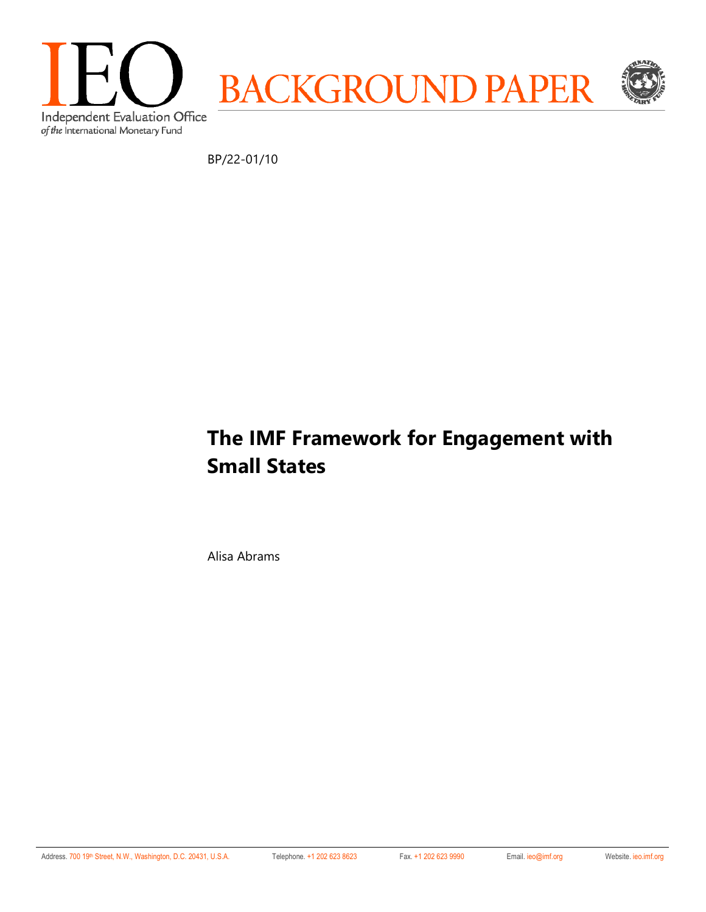

BP/22-01/10

# **The IMF Framework for Engagement with Small States**

Alisa Abrams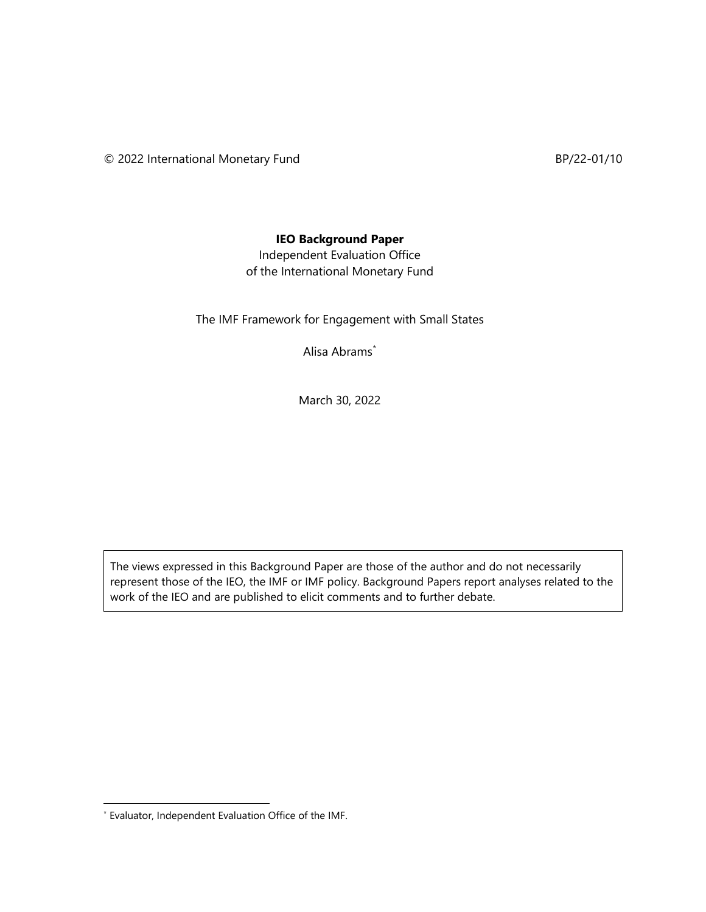#### **IEO Background Paper**

Independent Evaluation Office of the International Monetary Fund

The IMF Framework for Engagement with Small States

Alisa Abrams[\\*](#page-1-0)

March 30, 2022

The views expressed in this Background Paper are those of the author and do not necessarily represent those of the IEO, the IMF or IMF policy. Background Papers report analyses related to the work of the IEO and are published to elicit comments and to further debate.

<span id="page-1-0"></span><sup>\*</sup> Evaluator, Independent Evaluation Office of the IMF.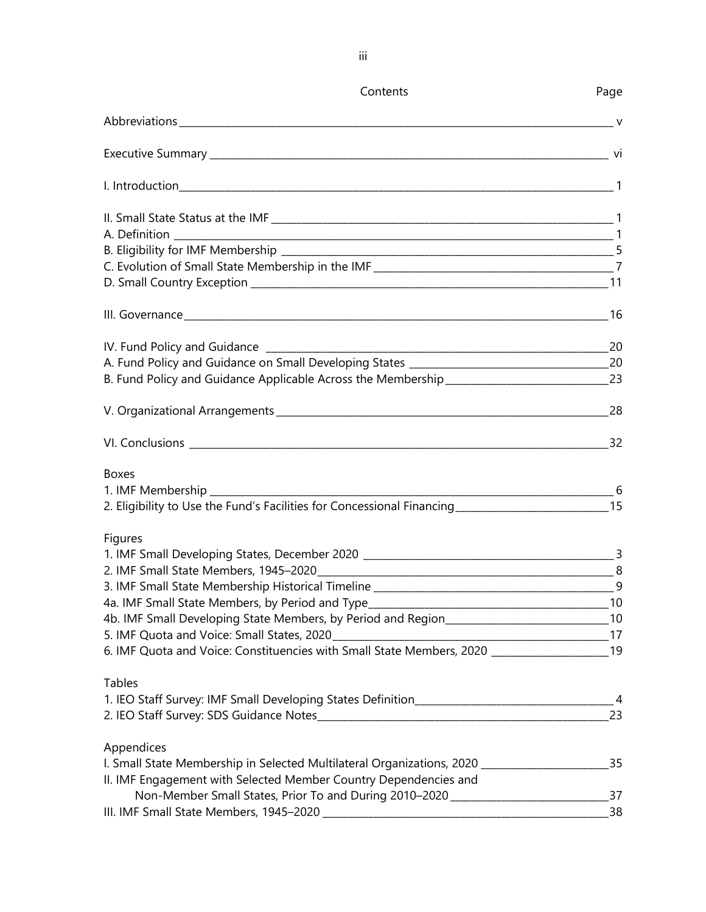|                                                                                                        | Contents                                                                         | Page |
|--------------------------------------------------------------------------------------------------------|----------------------------------------------------------------------------------|------|
|                                                                                                        |                                                                                  |      |
|                                                                                                        |                                                                                  |      |
|                                                                                                        |                                                                                  |      |
|                                                                                                        |                                                                                  |      |
|                                                                                                        |                                                                                  |      |
|                                                                                                        |                                                                                  |      |
|                                                                                                        |                                                                                  |      |
|                                                                                                        |                                                                                  |      |
|                                                                                                        |                                                                                  |      |
|                                                                                                        |                                                                                  |      |
|                                                                                                        |                                                                                  |      |
| B. Fund Policy and Guidance Applicable Across the Membership _________________________________23       |                                                                                  |      |
|                                                                                                        |                                                                                  |      |
|                                                                                                        |                                                                                  |      |
| <b>Boxes</b>                                                                                           |                                                                                  |      |
| 1. IMF Membership ________________________                                                             |                                                                                  |      |
| 2. Eligibility to Use the Fund's Facilities for Concessional Financing _____________________________15 |                                                                                  |      |
| Figures                                                                                                |                                                                                  |      |
|                                                                                                        |                                                                                  |      |
|                                                                                                        |                                                                                  |      |
|                                                                                                        |                                                                                  | 9    |
| 4a. IMF Small State Members, by Period and Type_________________________________                       |                                                                                  | 10   |
| 4b. IMF Small Developing State Members, by Period and Region_________________________________10        |                                                                                  |      |
|                                                                                                        |                                                                                  |      |
| 6. IMF Quota and Voice: Constituencies with Small State Members, 2020 ______________________19         |                                                                                  |      |
| <b>Tables</b>                                                                                          |                                                                                  |      |
|                                                                                                        |                                                                                  |      |
|                                                                                                        |                                                                                  | 23   |
| Appendices                                                                                             |                                                                                  |      |
| I. Small State Membership in Selected Multilateral Organizations, 2020 _____________________________   |                                                                                  | 35   |
| II. IMF Engagement with Selected Member Country Dependencies and                                       |                                                                                  |      |
|                                                                                                        | Non-Member Small States, Prior To and During 2010-2020 _________________________ | 37   |
|                                                                                                        |                                                                                  | 38   |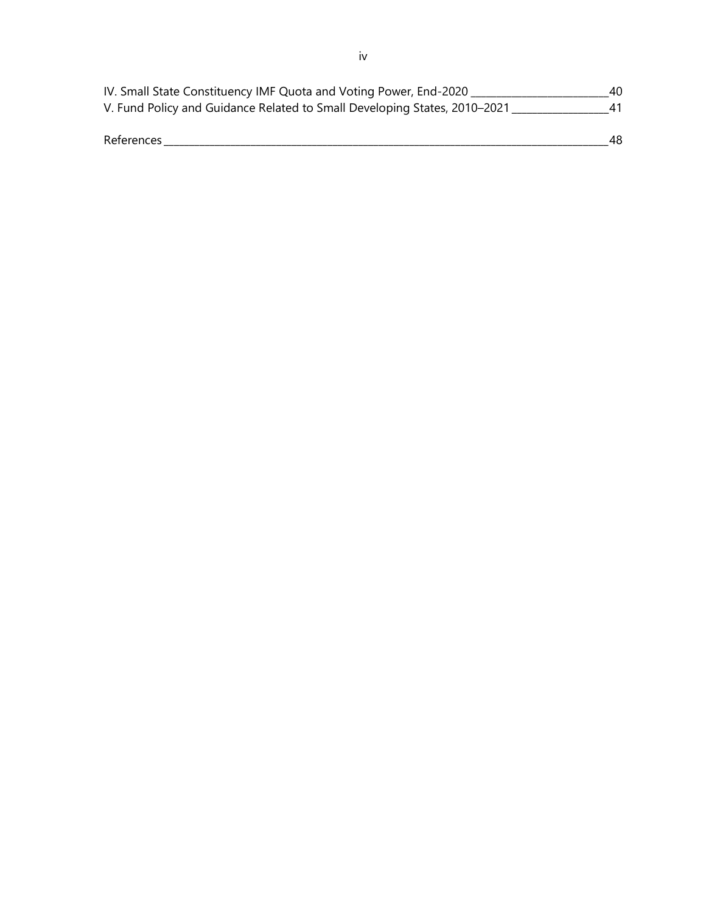| IV. Small State Constituency IMF Quota and Voting Power, End-2020         | 40 |
|---------------------------------------------------------------------------|----|
| V. Fund Policy and Guidance Related to Small Developing States, 2010–2021 |    |
|                                                                           |    |
| References                                                                | 48 |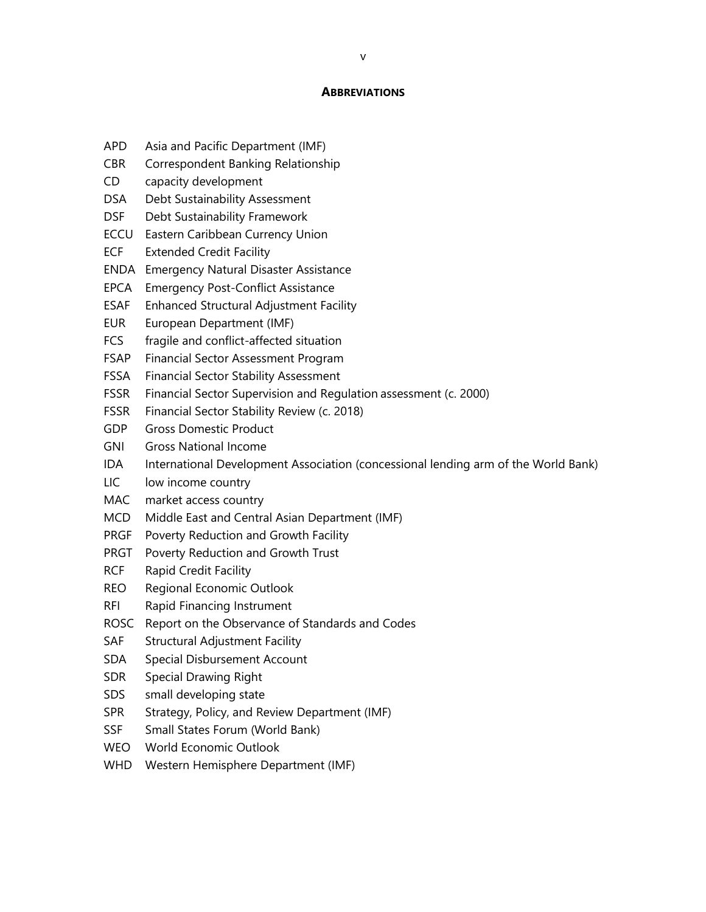#### **ABBREVIATIONS**

- APD Asia and Pacific Department (IMF)
- CBR Correspondent Banking Relationship
- CD capacity development
- DSA Debt Sustainability Assessment
- DSF Debt Sustainability Framework
- ECCU Eastern Caribbean Currency Union
- ECF Extended Credit Facility
- ENDA Emergency Natural Disaster Assistance
- EPCA Emergency Post-Conflict Assistance
- ESAF Enhanced Structural Adjustment Facility
- EUR European Department (IMF)
- FCS fragile and conflict-affected situation
- FSAP Financial Sector Assessment Program
- FSSA Financial Sector Stability Assessment
- FSSR Financial Sector Supervision and Regulation assessment (c. 2000)
- FSSR Financial Sector Stability Review (c. 2018)
- GDP Gross Domestic Product
- GNI Gross National Income
- IDA International Development Association (concessional lending arm of the World Bank)
- LIC low income country
- MAC market access country
- MCD Middle East and Central Asian Department (IMF)
- PRGF Poverty Reduction and Growth Facility
- PRGT Poverty Reduction and Growth Trust
- RCF Rapid Credit Facility
- REO Regional Economic Outlook
- RFI Rapid Financing Instrument
- ROSC Report on the Observance of Standards and Codes
- SAF Structural Adjustment Facility
- SDA Special Disbursement Account
- SDR Special Drawing Right
- SDS small developing state
- SPR Strategy, Policy, and Review Department (IMF)
- SSF Small States Forum (World Bank)
- WEO World Economic Outlook
- WHD Western Hemisphere Department (IMF)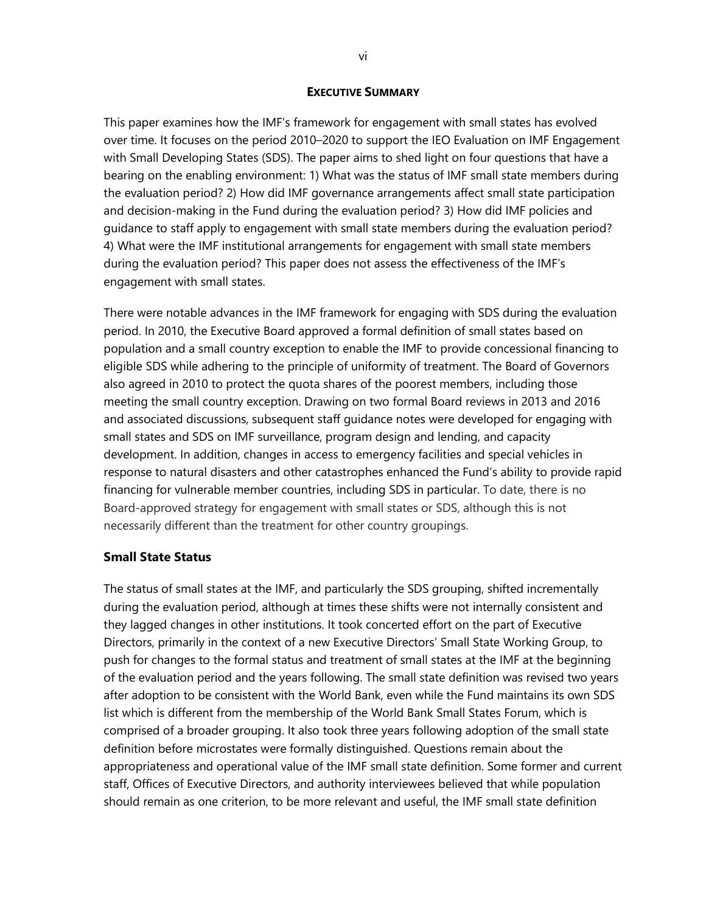#### **EXECUTIVE SUMMARY**

This paper examines how the IMF's framework for engagement with small states has evolved over time. It focuses on the period 2010–2020 to support the IEO Evaluation on IMF Engagement with Small Developing States (SDS). The paper aims to shed light on four questions that have a bearing on the enabling environment: 1) What was the status of IMF small state members during the evaluation period? 2) How did IMF governance arrangements affect small state participation and decision-making in the Fund during the evaluation period? 3) How did IMF policies and guidance to staff apply to engagement with small state members during the evaluation period? 4) What were the IMF institutional arrangements for engagement with small state members during the evaluation period? This paper does not assess the effectiveness of the IMF's engagement with small states.

There were notable advances in the IMF framework for engaging with SDS during the evaluation period. In 2010, the Executive Board approved a formal definition of small states based on population and a small country exception to enable the IMF to provide concessional financing to eligible SDS while adhering to the principle of uniformity of treatment. The Board of Governors also agreed in 2010 to protect the quota shares of the poorest members, including those meeting the small country exception. Drawing on two formal Board reviews in 2013 and 2016 and associated discussions, subsequent staff guidance notes were developed for engaging with small states and SDS on IMF surveillance, program design and lending, and capacity development. In addition, changes in access to emergency facilities and special vehicles in response to natural disasters and other catastrophes enhanced the Fund's ability to provide rapid financing for vulnerable member countries, including SDS in particular. To date, there is no Board-approved strategy for engagement with small states or SDS, although this is not necessarily different than the treatment for other country groupings.

#### **Small State Status**

The status of small states at the IMF, and particularly the SDS grouping, shifted incrementally during the evaluation period, although at times these shifts were not internally consistent and they lagged changes in other institutions. It took concerted effort on the part of Executive Directors, primarily in the context of a new Executive Directors' Small State Working Group, to push for changes to the formal status and treatment of small states at the IMF at the beginning of the evaluation period and the years following. The small state definition was revised two years after adoption to be consistent with the World Bank, even while the Fund maintains its own SDS list which is different from the membership of the World Bank Small States Forum, which is comprised of a broader grouping. It also took three years following adoption of the small state definition before microstates were formally distinguished. Questions remain about the appropriateness and operational value of the IMF small state definition. Some former and current staff, Offices of Executive Directors, and authority interviewees believed that while population should remain as one criterion, to be more relevant and useful, the IMF small state definition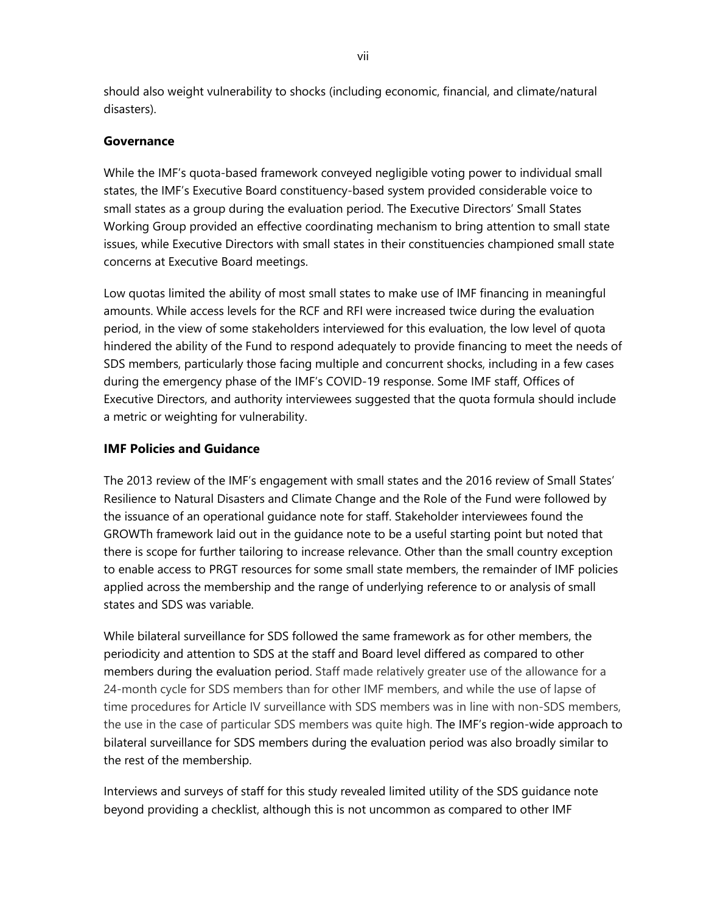should also weight vulnerability to shocks (including economic, financial, and climate/natural disasters).

#### **Governance**

While the IMF's quota-based framework conveyed negligible voting power to individual small states, the IMF's Executive Board constituency-based system provided considerable voice to small states as a group during the evaluation period. The Executive Directors' Small States Working Group provided an effective coordinating mechanism to bring attention to small state issues, while Executive Directors with small states in their constituencies championed small state concerns at Executive Board meetings.

Low quotas limited the ability of most small states to make use of IMF financing in meaningful amounts. While access levels for the RCF and RFI were increased twice during the evaluation period, in the view of some stakeholders interviewed for this evaluation, the low level of quota hindered the ability of the Fund to respond adequately to provide financing to meet the needs of SDS members, particularly those facing multiple and concurrent shocks, including in a few cases during the emergency phase of the IMF's COVID-19 response. Some IMF staff, Offices of Executive Directors, and authority interviewees suggested that the quota formula should include a metric or weighting for vulnerability.

#### **IMF Policies and Guidance**

The 2013 review of the IMF's engagement with small states and the 2016 review of Small States' Resilience to Natural Disasters and Climate Change and the Role of the Fund were followed by the issuance of an operational guidance note for staff. Stakeholder interviewees found the GROWTh framework laid out in the guidance note to be a useful starting point but noted that there is scope for further tailoring to increase relevance. Other than the small country exception to enable access to PRGT resources for some small state members, the remainder of IMF policies applied across the membership and the range of underlying reference to or analysis of small states and SDS was variable.

While bilateral surveillance for SDS followed the same framework as for other members, the periodicity and attention to SDS at the staff and Board level differed as compared to other members during the evaluation period. Staff made relatively greater use of the allowance for a 24-month cycle for SDS members than for other IMF members, and while the use of lapse of time procedures for Article IV surveillance with SDS members was in line with non-SDS members, the use in the case of particular SDS members was quite high. The IMF's region-wide approach to bilateral surveillance for SDS members during the evaluation period was also broadly similar to the rest of the membership.

Interviews and surveys of staff for this study revealed limited utility of the SDS guidance note beyond providing a checklist, although this is not uncommon as compared to other IMF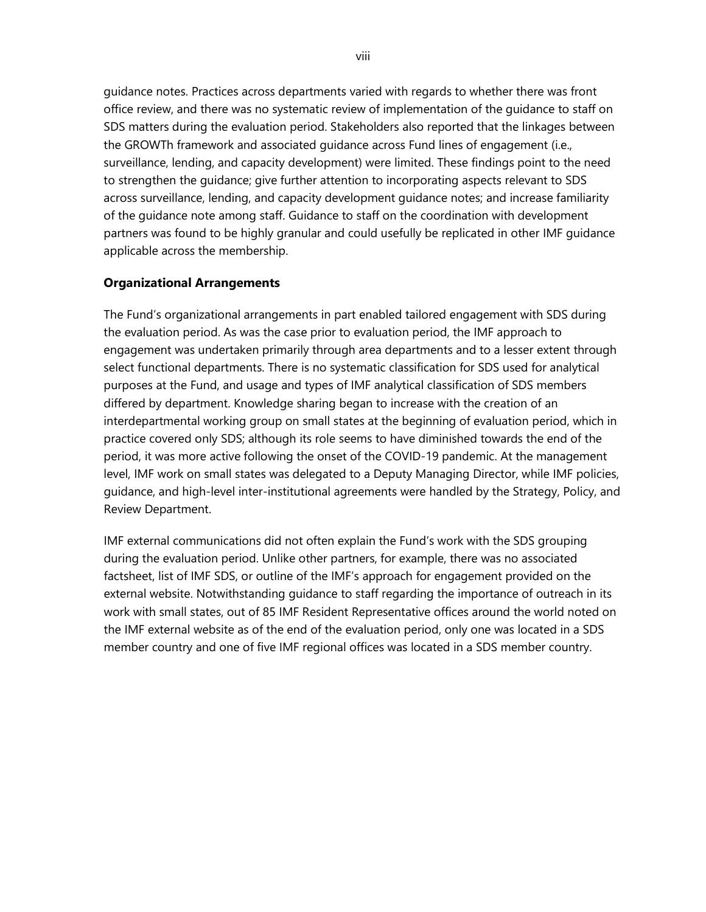guidance notes. Practices across departments varied with regards to whether there was front office review, and there was no systematic review of implementation of the guidance to staff on SDS matters during the evaluation period. Stakeholders also reported that the linkages between the GROWTh framework and associated guidance across Fund lines of engagement (i.e., surveillance, lending, and capacity development) were limited. These findings point to the need to strengthen the guidance; give further attention to incorporating aspects relevant to SDS across surveillance, lending, and capacity development guidance notes; and increase familiarity of the guidance note among staff. Guidance to staff on the coordination with development partners was found to be highly granular and could usefully be replicated in other IMF guidance applicable across the membership.

# **Organizational Arrangements**

The Fund's organizational arrangements in part enabled tailored engagement with SDS during the evaluation period. As was the case prior to evaluation period, the IMF approach to engagement was undertaken primarily through area departments and to a lesser extent through select functional departments. There is no systematic classification for SDS used for analytical purposes at the Fund, and usage and types of IMF analytical classification of SDS members differed by department. Knowledge sharing began to increase with the creation of an interdepartmental working group on small states at the beginning of evaluation period, which in practice covered only SDS; although its role seems to have diminished towards the end of the period, it was more active following the onset of the COVID-19 pandemic. At the management level, IMF work on small states was delegated to a Deputy Managing Director, while IMF policies, guidance, and high-level inter-institutional agreements were handled by the Strategy, Policy, and Review Department.

IMF external communications did not often explain the Fund's work with the SDS grouping during the evaluation period. Unlike other partners, for example, there was no associated factsheet, list of IMF SDS, or outline of the IMF's approach for engagement provided on the external website. Notwithstanding guidance to staff regarding the importance of outreach in its work with small states, out of 85 IMF Resident Representative offices around the world noted on the IMF external website as of the end of the evaluation period, only one was located in a SDS member country and one of five IMF regional offices was located in a SDS member country.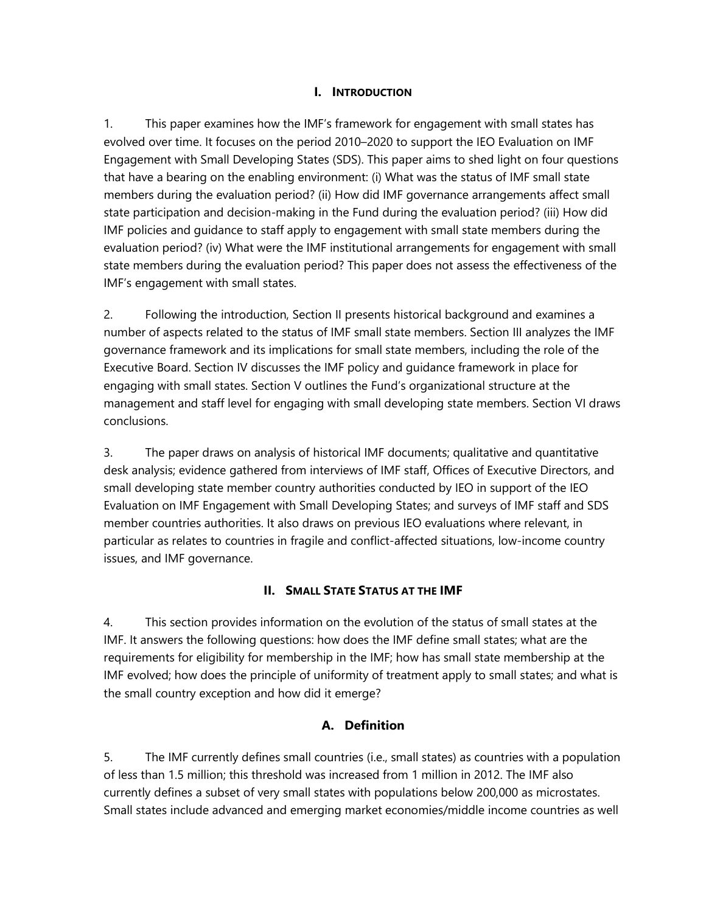# **I. INTRODUCTION**

1. This paper examines how the IMF's framework for engagement with small states has evolved over time. It focuses on the period 2010–2020 to support the IEO Evaluation on IMF Engagement with Small Developing States (SDS). This paper aims to shed light on four questions that have a bearing on the enabling environment: (i) What was the status of IMF small state members during the evaluation period? (ii) How did IMF governance arrangements affect small state participation and decision-making in the Fund during the evaluation period? (iii) How did IMF policies and guidance to staff apply to engagement with small state members during the evaluation period? (iv) What were the IMF institutional arrangements for engagement with small state members during the evaluation period? This paper does not assess the effectiveness of the IMF's engagement with small states.

2. Following the introduction, Section II presents historical background and examines a number of aspects related to the status of IMF small state members. Section III analyzes the IMF governance framework and its implications for small state members, including the role of the Executive Board. Section IV discusses the IMF policy and guidance framework in place for engaging with small states. Section V outlines the Fund's organizational structure at the management and staff level for engaging with small developing state members. Section VI draws conclusions.

3. The paper draws on analysis of historical IMF documents; qualitative and quantitative desk analysis; evidence gathered from interviews of IMF staff, Offices of Executive Directors, and small developing state member country authorities conducted by IEO in support of the IEO Evaluation on IMF Engagement with Small Developing States; and surveys of IMF staff and SDS member countries authorities. It also draws on previous IEO evaluations where relevant, in particular as relates to countries in fragile and conflict-affected situations, low-income country issues, and IMF governance.

#### **II. SMALL STATE STATUS AT THE IMF**

4. This section provides information on the evolution of the status of small states at the IMF. It answers the following questions: how does the IMF define small states; what are the requirements for eligibility for membership in the IMF; how has small state membership at the IMF evolved; how does the principle of uniformity of treatment apply to small states; and what is the small country exception and how did it emerge?

# **A. Definition**

5. The IMF currently defines small countries (i.e., small states) as countries with a population of less than 1.5 million; this threshold was increased from 1 million in 2012. The IMF also currently defines a subset of very small states with populations below 200,000 as microstates. Small states include advanced and emerging market economies/middle income countries as well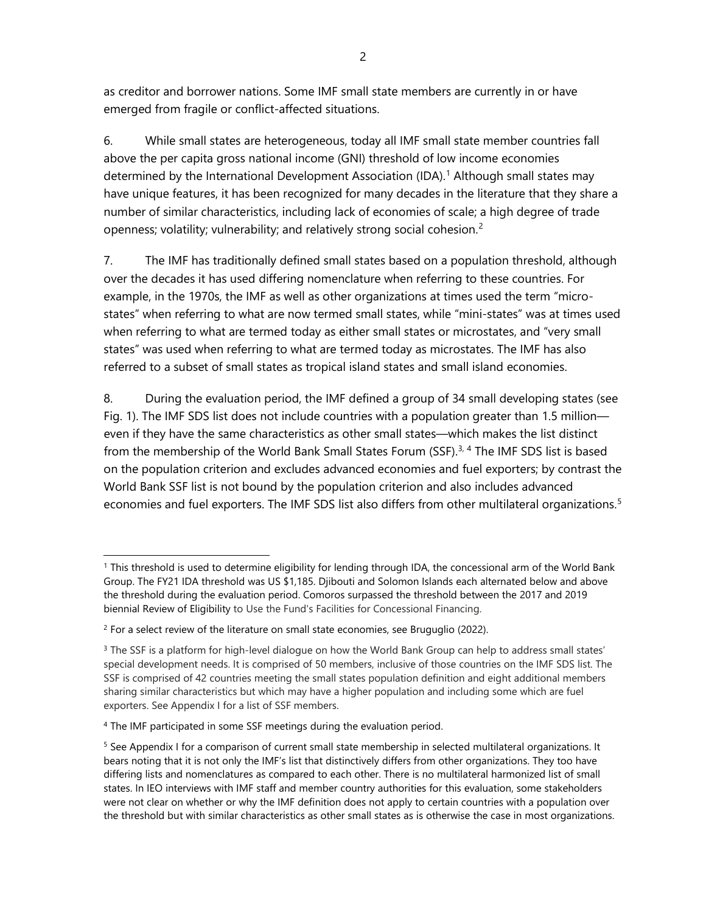as creditor and borrower nations. Some IMF small state members are currently in or have emerged from fragile or conflict-affected situations.

6. While small states are heterogeneous, today all IMF small state member countries fall above the per capita gross national income (GNI) threshold of low income economies determined by the International Development Association (IDA).<sup>[1](#page-9-0)</sup> Although small states may have unique features, it has been recognized for many decades in the literature that they share a number of similar characteristics, including lack of economies of scale; a high degree of trade openness; volatility; vulnerability; and relatively strong social cohesion.<sup>[2](#page-9-1)</sup>

7. The IMF has traditionally defined small states based on a population threshold, although over the decades it has used differing nomenclature when referring to these countries. For example, in the 1970s, the IMF as well as other organizations at times used the term "microstates" when referring to what are now termed small states, while "mini-states" was at times used when referring to what are termed today as either small states or microstates, and "very small states" was used when referring to what are termed today as microstates. The IMF has also referred to a subset of small states as tropical island states and small island economies.

8. During the evaluation period, the IMF defined a group of 34 small developing states (see Fig. 1). The IMF SDS list does not include countries with a population greater than 1.5 million even if they have the same characteristics as other small states—which makes the list distinct from the membership of the World Bank Small States Forum (SSF).<sup>[3](#page-9-2), [4](#page-9-3)</sup> The IMF SDS list is based on the population criterion and excludes advanced economies and fuel exporters; by contrast the World Bank SSF list is not bound by the population criterion and also includes advanced economies and fuel exporters. The IMF SDS list also differs from other multilateral organizations. [5](#page-9-4)

<span id="page-9-0"></span><sup>1</sup> This threshold is used to determine eligibility for lending through IDA, the concessional arm of the World Bank Group. The FY21 IDA threshold was US \$1,185. Djibouti and Solomon Islands each alternated below and above the threshold during the evaluation period. Comoros surpassed the threshold between the 2017 and 2019 biennial Review of Eligibility to Use the Fund's Facilities for Concessional Financing.

<span id="page-9-1"></span> $2$  For a select review of the literature on small state economies, see Bruguglio (2022).

<span id="page-9-2"></span><sup>&</sup>lt;sup>3</sup> The SSF is a platform for high-level dialogue on how the World Bank Group can help to address small states' special development needs. It is comprised of 50 members, inclusive of those countries on the IMF SDS list. The SSF is comprised of 42 countries meeting the small states population definition and eight additional members sharing similar characteristics but which may have a higher population and including some which are fuel exporters. See Appendix I for a list of SSF members.

<span id="page-9-3"></span><sup>&</sup>lt;sup>4</sup> The IMF participated in some SSF meetings during the evaluation period.

<span id="page-9-4"></span><sup>&</sup>lt;sup>5</sup> See Appendix I for a comparison of current small state membership in selected multilateral organizations. It bears noting that it is not only the IMF's list that distinctively differs from other organizations. They too have differing lists and nomenclatures as compared to each other. There is no multilateral harmonized list of small states. In IEO interviews with IMF staff and member country authorities for this evaluation, some stakeholders were not clear on whether or why the IMF definition does not apply to certain countries with a population over the threshold but with similar characteristics as other small states as is otherwise the case in most organizations.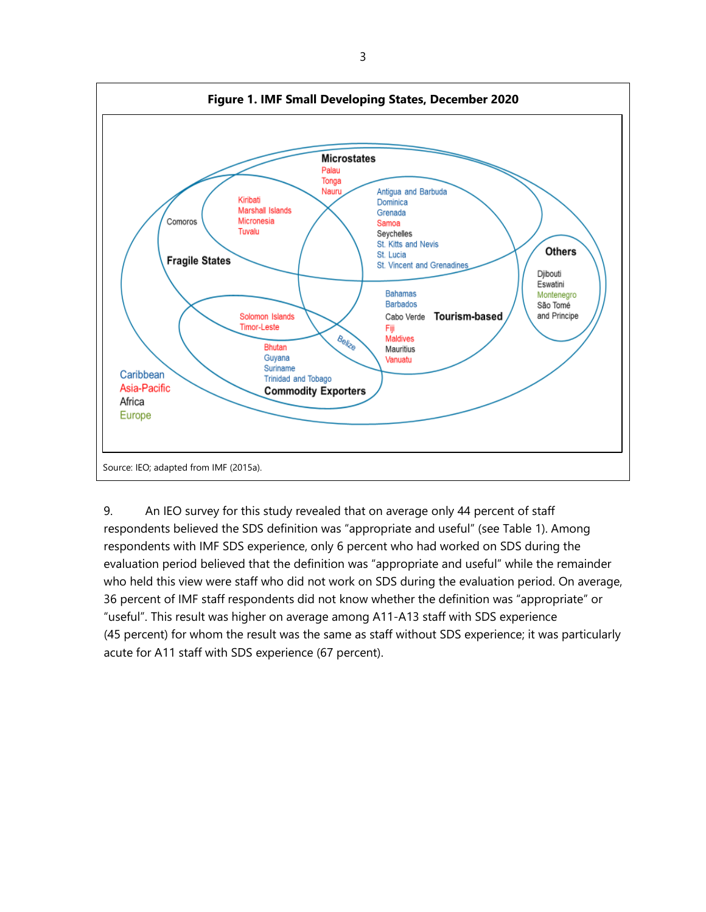

9. An IEO survey for this study revealed that on average only 44 percent of staff respondents believed the SDS definition was "appropriate and useful" (see Table 1). Among respondents with IMF SDS experience, only 6 percent who had worked on SDS during the evaluation period believed that the definition was "appropriate and useful" while the remainder who held this view were staff who did not work on SDS during the evaluation period. On average, 36 percent of IMF staff respondents did not know whether the definition was "appropriate" or "useful". This result was higher on average among A11-A13 staff with SDS experience (45 percent) for whom the result was the same as staff without SDS experience; it was particularly acute for A11 staff with SDS experience (67 percent).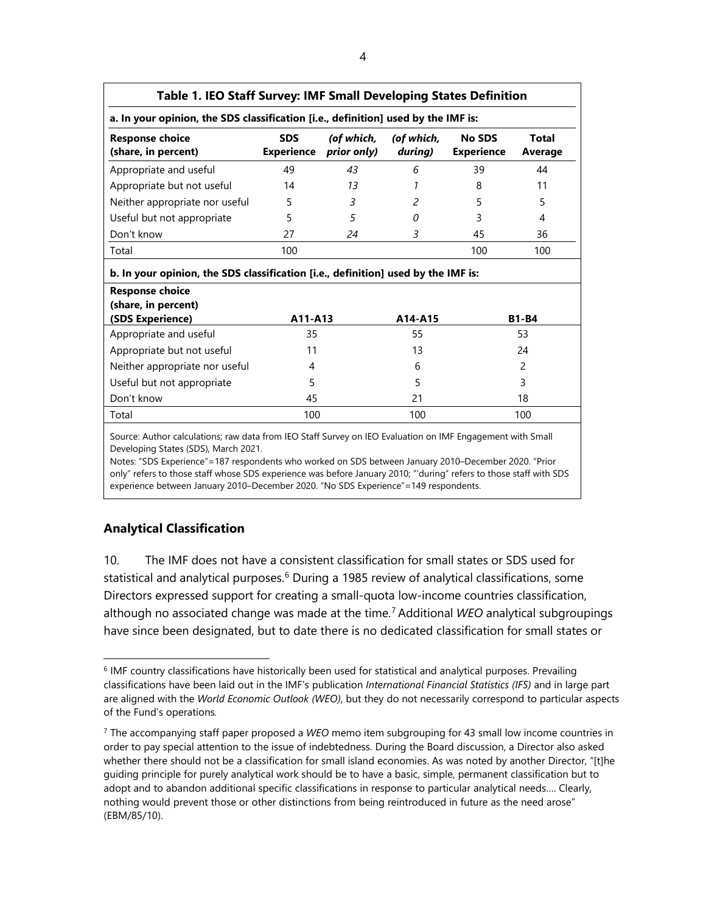| Table 1. IEO Staff Survey: IMF Small Developing States Definition                 |                                 |                           |                       |                                    |                  |  |  |  |  |  |
|-----------------------------------------------------------------------------------|---------------------------------|---------------------------|-----------------------|------------------------------------|------------------|--|--|--|--|--|
| a. In your opinion, the SDS classification [i.e., definition] used by the IMF is: |                                 |                           |                       |                                    |                  |  |  |  |  |  |
| <b>Response choice</b><br>(share, in percent)                                     | <b>SDS</b><br><b>Experience</b> | (of which,<br>prior only) | (of which,<br>during) | <b>No SDS</b><br><b>Experience</b> | Total<br>Average |  |  |  |  |  |
| Appropriate and useful                                                            | 49                              | 43                        | 6                     | 39                                 | 44               |  |  |  |  |  |
| Appropriate but not useful                                                        | 14                              | 13                        |                       | 8                                  | 11               |  |  |  |  |  |
| Neither appropriate nor useful                                                    | 5                               | 3                         | $\mathcal{P}$         | 5                                  | 5                |  |  |  |  |  |
| Useful but not appropriate                                                        | 5                               | 5                         | O                     | 3                                  | 4                |  |  |  |  |  |
| Don't know                                                                        | 27                              | 24                        | 3                     | 45                                 | 36               |  |  |  |  |  |
| Total                                                                             | 100                             |                           |                       | 100                                | 100              |  |  |  |  |  |
| b. In your opinion, the SDS classification [i.e., definition] used by the IMF is: |                                 |                           |                       |                                    |                  |  |  |  |  |  |
| <b>Response choice</b><br>(share, in percent)<br>(SDS Experience)                 | A11-A13                         |                           | A14-A15               |                                    | <b>B1-B4</b>     |  |  |  |  |  |
| Appropriate and useful                                                            | 35                              |                           | 55                    |                                    | 53               |  |  |  |  |  |
| Appropriate but not useful                                                        | 11                              |                           | 13                    |                                    | 24               |  |  |  |  |  |
| Neither appropriate nor useful                                                    | 4                               |                           | 6                     |                                    | 2                |  |  |  |  |  |
| Useful but not appropriate                                                        | 5                               |                           | 5                     |                                    | 3                |  |  |  |  |  |

Source: Author calculations; raw data from IEO Staff Survey on IEO Evaluation on IMF Engagement with Small Developing States (SDS), March 2021.

Don't know  $\begin{array}{ccccccc} 45 & 21 & 18 \end{array}$ Total 100 100 100

Notes: "SDS Experience"=187 respondents who worked on SDS between January 2010–December 2020. "Prior only" refers to those staff whose SDS experience was before January 2010; "'during" refers to those staff with SDS experience between January 2010–December 2020. "No SDS Experience"=149 respondents.

# **Analytical Classification**

10. The IMF does not have a consistent classification for small states or SDS used for statistical and analytical purposes.<sup>[6](#page-11-0)</sup> During a 1985 review of analytical classifications, some Directors expressed support for creating a small-quota low-income countries classification, although no associated change was made at the time. [7](#page-11-1) Additional *WEO* analytical subgroupings have since been designated, but to date there is no dedicated classification for small states or

<span id="page-11-0"></span><sup>6</sup> IMF country classifications have historically been used for statistical and analytical purposes. Prevailing classifications have been laid out in the IMF's publication *International Financial Statistics (IFS)* and in large part are aligned with the *World Economic Outlook (WEO)*, but they do not necessarily correspond to particular aspects of the Fund's operations*.*

<span id="page-11-1"></span><sup>7</sup> The accompanying staff paper proposed a *WEO* memo item subgrouping for 43 small low income countries in order to pay special attention to the issue of indebtedness. During the Board discussion, a Director also asked whether there should not be a classification for small island economies. As was noted by another Director, "[t]he guiding principle for purely analytical work should be to have a basic, simple, permanent classification but to adopt and to abandon additional specific classifications in response to particular analytical needs…. Clearly, nothing would prevent those or other distinctions from being reintroduced in future as the need arose" (EBM/85/10).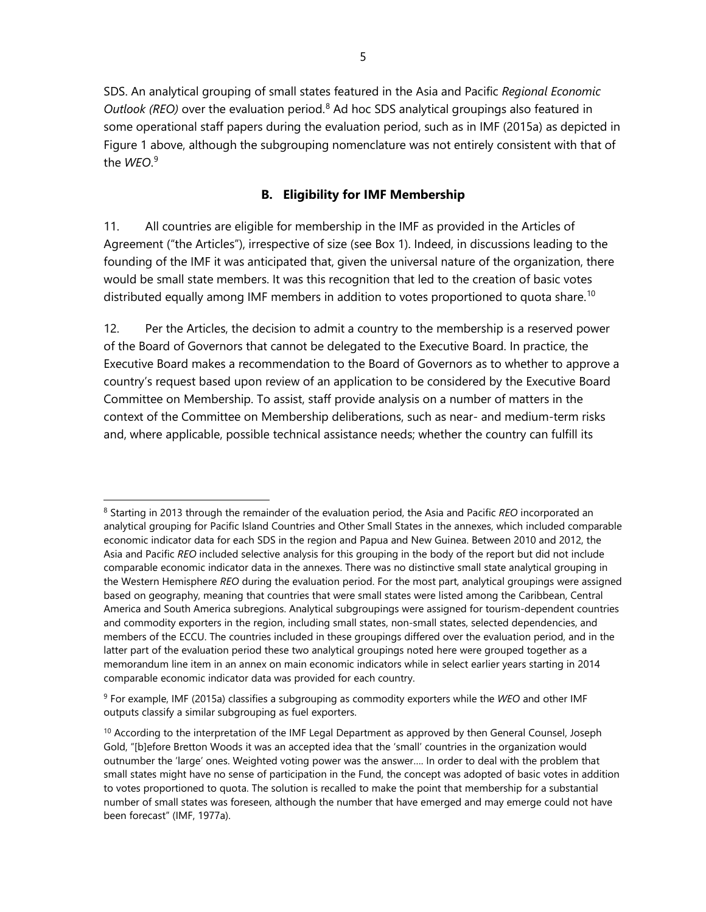SDS. An analytical grouping of small states featured in the Asia and Pacific *Regional Economic Outlook (REO)* over the evaluation period.<sup>[8](#page-12-0)</sup> Ad hoc SDS analytical groupings also featured in some operational staff papers during the evaluation period, such as in IMF (2015a) as depicted in Figure 1 above, although the subgrouping nomenclature was not entirely consistent with that of the *WEO*. [9](#page-12-1)

# **B. Eligibility for IMF Membership**

11. All countries are eligible for membership in the IMF as provided in the Articles of Agreement ("the Articles"), irrespective of size (see Box 1). Indeed, in discussions leading to the founding of the IMF it was anticipated that, given the universal nature of the organization, there would be small state members. It was this recognition that led to the creation of basic votes distributed equally among IMF members in addition to votes proportioned to quota share.<sup>[10](#page-12-2)</sup>

12. Per the Articles, the decision to admit a country to the membership is a reserved power of the Board of Governors that cannot be delegated to the Executive Board. In practice, the Executive Board makes a recommendation to the Board of Governors as to whether to approve a country's request based upon review of an application to be considered by the Executive Board Committee on Membership. To assist, staff provide analysis on a number of matters in the context of the Committee on Membership deliberations, such as near- and medium-term risks and, where applicable, possible technical assistance needs; whether the country can fulfill its

<span id="page-12-0"></span><sup>8</sup> Starting in 2013 through the remainder of the evaluation period, the Asia and Pacific *REO* incorporated an analytical grouping for Pacific Island Countries and Other Small States in the annexes, which included comparable economic indicator data for each SDS in the region and Papua and New Guinea. Between 2010 and 2012, the Asia and Pacific *REO* included selective analysis for this grouping in the body of the report but did not include comparable economic indicator data in the annexes. There was no distinctive small state analytical grouping in the Western Hemisphere *REO* during the evaluation period. For the most part, analytical groupings were assigned based on geography, meaning that countries that were small states were listed among the Caribbean, Central America and South America subregions. Analytical subgroupings were assigned for tourism-dependent countries and commodity exporters in the region, including small states, non-small states, selected dependencies, and members of the ECCU. The countries included in these groupings differed over the evaluation period, and in the latter part of the evaluation period these two analytical groupings noted here were grouped together as a memorandum line item in an annex on main economic indicators while in select earlier years starting in 2014 comparable economic indicator data was provided for each country.

<span id="page-12-1"></span><sup>9</sup> For example, IMF (2015a) classifies a subgrouping as commodity exporters while the *WEO* and other IMF outputs classify a similar subgrouping as fuel exporters.

<span id="page-12-2"></span><sup>&</sup>lt;sup>10</sup> According to the interpretation of the IMF Legal Department as approved by then General Counsel, Joseph Gold, "[b]efore Bretton Woods it was an accepted idea that the 'small' countries in the organization would outnumber the 'large' ones. Weighted voting power was the answer…. In order to deal with the problem that small states might have no sense of participation in the Fund, the concept was adopted of basic votes in addition to votes proportioned to quota. The solution is recalled to make the point that membership for a substantial number of small states was foreseen, although the number that have emerged and may emerge could not have been forecast" (IMF, 1977a).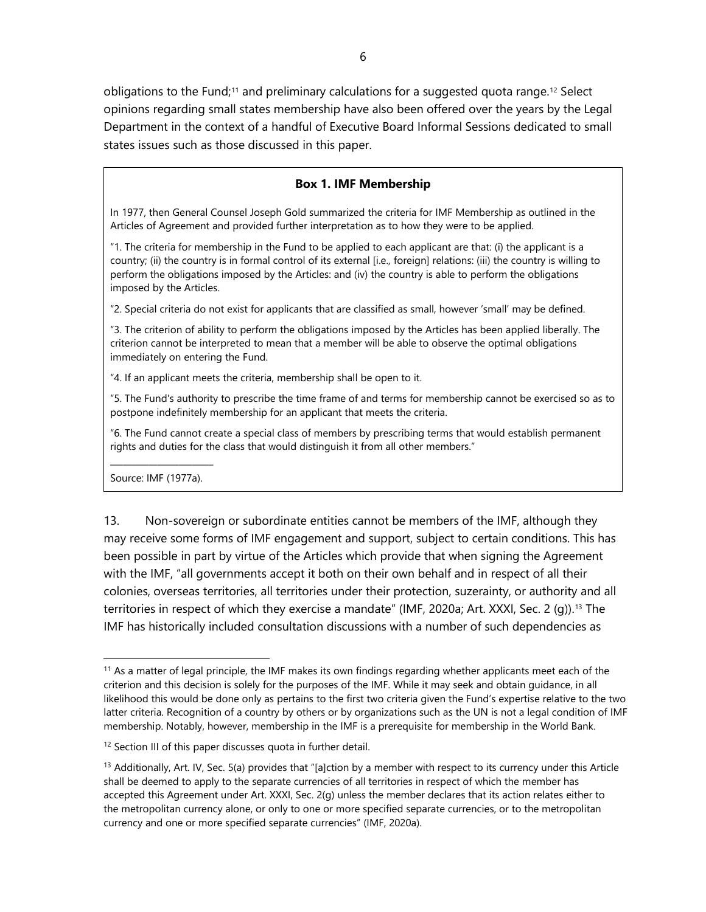obligations to the Fund;<sup>[11](#page-13-0)</sup> and preliminary calculations for a suggested quota range.<sup>[12](#page-13-1)</sup> Select opinions regarding small states membership have also been offered over the years by the Legal Department in the context of a handful of Executive Board Informal Sessions dedicated to small states issues such as those discussed in this paper.

#### **Box 1. IMF Membership**

In 1977, then General Counsel Joseph Gold summarized the criteria for IMF Membership as outlined in the Articles of Agreement and provided further interpretation as to how they were to be applied.

"1. The criteria for membership in the Fund to be applied to each applicant are that: (i) the applicant is a country; (ii) the country is in formal control of its external [i.e., foreign] relations: (iii) the country is willing to perform the obligations imposed by the Articles: and (iv) the country is able to perform the obligations imposed by the Articles.

"2. Special criteria do not exist for applicants that are classified as small, however 'small' may be defined.

"3. The criterion of ability to perform the obligations imposed by the Articles has been applied liberally. The criterion cannot be interpreted to mean that a member will be able to observe the optimal obligations immediately on entering the Fund.

"4. If an applicant meets the criteria, membership shall be open to it.

"5. The Fund's authority to prescribe the time frame of and terms for membership cannot be exercised so as to postpone indefinitely membership for an applicant that meets the criteria.

"6. The Fund cannot create a special class of members by prescribing terms that would establish permanent rights and duties for the class that would distinguish it from all other members."

\_\_\_\_\_\_\_\_\_\_\_\_\_\_\_\_\_\_\_\_\_\_\_\_ Source: IMF (1977a).

13. Non-sovereign or subordinate entities cannot be members of the IMF, although they may receive some forms of IMF engagement and support, subject to certain conditions. This has been possible in part by virtue of the Articles which provide that when signing the Agreement with the IMF, "all governments accept it both on their own behalf and in respect of all their colonies, overseas territories, all territories under their protection, suzerainty, or authority and all territories in respect of which they exercise a mandate" (IMF, 2020a; Art. XXXI, Sec. 2 (q)).<sup>[13](#page-13-2)</sup> The IMF has historically included consultation discussions with a number of such dependencies as

<span id="page-13-0"></span> $11$  As a matter of legal principle, the IMF makes its own findings regarding whether applicants meet each of the criterion and this decision is solely for the purposes of the IMF. While it may seek and obtain guidance, in all likelihood this would be done only as pertains to the first two criteria given the Fund's expertise relative to the two latter criteria. Recognition of a country by others or by organizations such as the UN is not a legal condition of IMF membership. Notably, however, membership in the IMF is a prerequisite for membership in the World Bank.

<span id="page-13-1"></span><sup>&</sup>lt;sup>12</sup> Section III of this paper discusses quota in further detail.

<span id="page-13-2"></span> $13$  Additionally, Art. IV, Sec. 5(a) provides that "[a]ction by a member with respect to its currency under this Article shall be deemed to apply to the separate currencies of all territories in respect of which the member has accepted this Agreement under Art. XXXI, Sec. 2(g) unless the member declares that its action relates either to the metropolitan currency alone, or only to one or more specified separate currencies, or to the metropolitan currency and one or more specified separate currencies" (IMF, 2020a).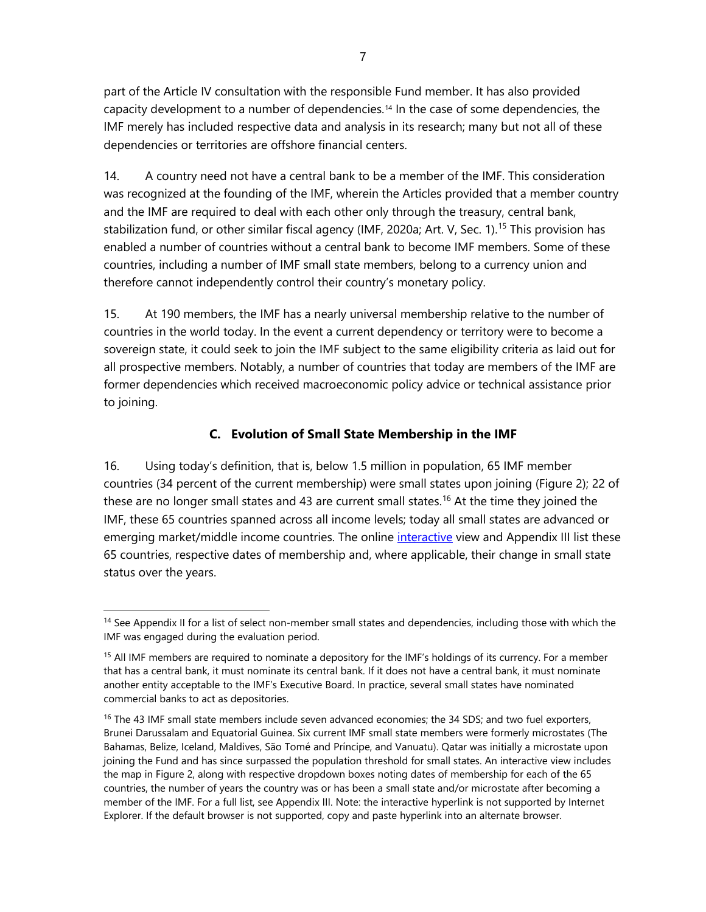part of the Article IV consultation with the responsible Fund member. It has also provided capacity development to a number of dependencies.<sup>[14](#page-14-0)</sup> In the case of some dependencies, the IMF merely has included respective data and analysis in its research; many but not all of these dependencies or territories are offshore financial centers.

14. A country need not have a central bank to be a member of the IMF. This consideration was recognized at the founding of the IMF, wherein the Articles provided that a member country and the IMF are required to deal with each other only through the treasury, central bank, stabilization fund, or other similar fiscal agency (IMF, 2020a; Art. V, Sec. 1). [15](#page-14-1) This provision has enabled a number of countries without a central bank to become IMF members. Some of these countries, including a number of IMF small state members, belong to a currency union and therefore cannot independently control their country's monetary policy.

15. At 190 members, the IMF has a nearly universal membership relative to the number of countries in the world today. In the event a current dependency or territory were to become a sovereign state, it could seek to join the IMF subject to the same eligibility criteria as laid out for all prospective members. Notably, a number of countries that today are members of the IMF are former dependencies which received macroeconomic policy advice or technical assistance prior to joining.

# **C. Evolution of Small State Membership in the IMF**

16. Using today's definition, that is, below 1.5 million in population, 65 IMF member countries (34 percent of the current membership) were small states upon joining (Figure 2); 22 of these are no longer small states and 43 are current small states. [16](#page-14-2) At the time they joined the IMF, these 65 countries spanned across all income levels; today all small states are advanced or emerging market/middle income countries. The online *interactive* view and Appendix III list these 65 countries, respective dates of membership and, where applicable, their change in small state status over the years.

<span id="page-14-0"></span><sup>&</sup>lt;sup>14</sup> See Appendix II for a list of select non-member small states and dependencies, including those with which the IMF was engaged during the evaluation period.

<span id="page-14-1"></span><sup>&</sup>lt;sup>15</sup> All IMF members are required to nominate a depository for the IMF's holdings of its currency. For a member that has a central bank, it must nominate its central bank. If it does not have a central bank, it must nominate another entity acceptable to the IMF's Executive Board. In practice, several small states have nominated commercial banks to act as depositories.

<span id="page-14-2"></span><sup>&</sup>lt;sup>16</sup> The 43 IMF small state members include seven advanced economies; the 34 SDS; and two fuel exporters, Brunei Darussalam and Equatorial Guinea. Six current IMF small state members were formerly microstates (The Bahamas, Belize, Iceland, Maldives, São Tomé and Príncipe, and Vanuatu). Qatar was initially a microstate upon joining the Fund and has since surpassed the population threshold for small states. An interactive view includes the map in Figure 2, along with respective dropdown boxes noting dates of membership for each of the 65 countries, the number of years the country was or has been a small state and/or microstate after becoming a member of the IMF. For a full list, see Appendix III. Note: the interactive hyperlink is not supported by Internet Explorer. If the default browser is not supported, copy and paste hyperlink into an alternate browser.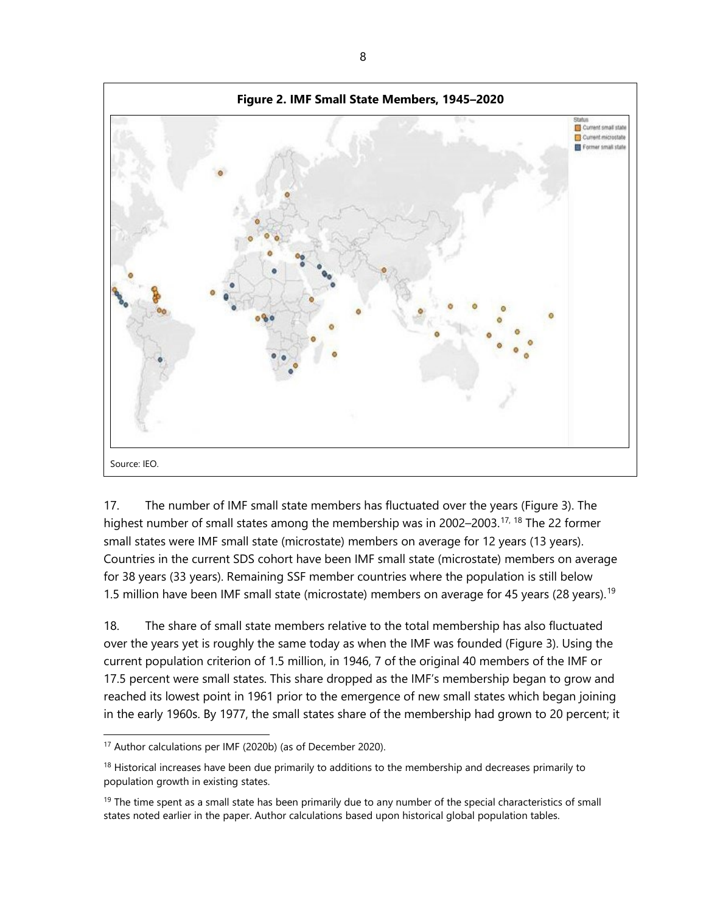

17. The number of IMF small state members has fluctuated over the years (Figure 3). The highest number of small states among the membership was in 2002–2003.<sup>[17,](#page-15-0) [18](#page-15-1)</sup> The 22 former small states were IMF small state (microstate) members on average for 12 years (13 years). Countries in the current SDS cohort have been IMF small state (microstate) members on average for 38 years (33 years). Remaining SSF member countries where the population is still below 1.5 million have been IMF small state (microstate) members on average for 45 years (28 years).<sup>[19](#page-15-2)</sup>

18. The share of small state members relative to the total membership has also fluctuated over the years yet is roughly the same today as when the IMF was founded (Figure 3). Using the current population criterion of 1.5 million, in 1946, 7 of the original 40 members of the IMF or 17.5 percent were small states. This share dropped as the IMF's membership began to grow and reached its lowest point in 1961 prior to the emergence of new small states which began joining in the early 1960s. By 1977, the small states share of the membership had grown to 20 percent; it

<span id="page-15-0"></span><sup>17</sup> Author calculations per IMF (2020b) (as of December 2020).

<span id="page-15-1"></span><sup>&</sup>lt;sup>18</sup> Historical increases have been due primarily to additions to the membership and decreases primarily to population growth in existing states.

<span id="page-15-2"></span> $19$  The time spent as a small state has been primarily due to any number of the special characteristics of small states noted earlier in the paper. Author calculations based upon historical global population tables.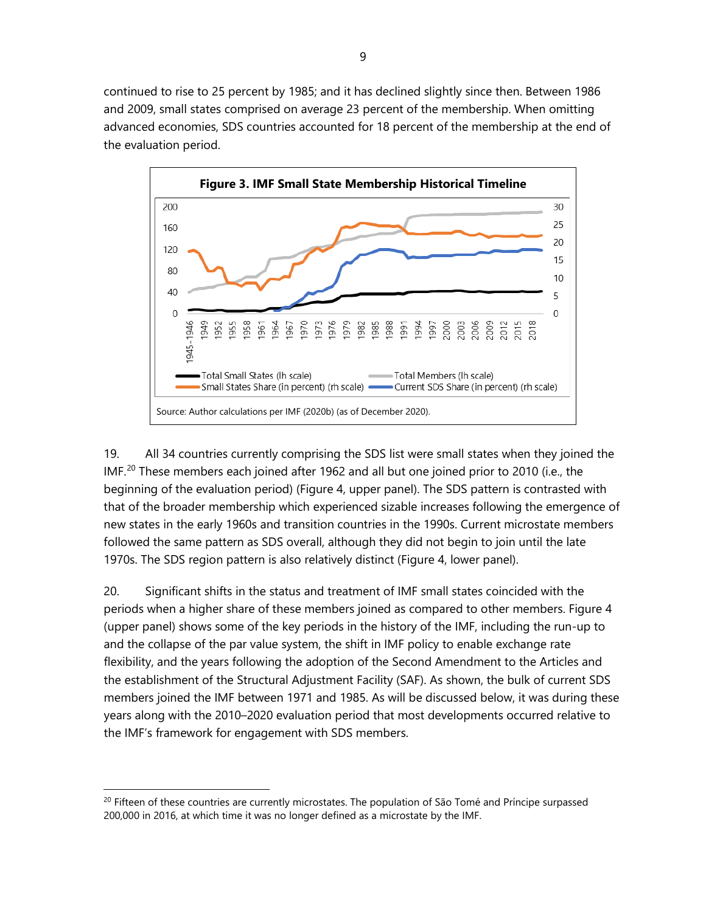continued to rise to 25 percent by 1985; and it has declined slightly since then. Between 1986 and 2009, small states comprised on average 23 percent of the membership. When omitting advanced economies, SDS countries accounted for 18 percent of the membership at the end of the evaluation period.



19. All 34 countries currently comprising the SDS list were small states when they joined the IMF.<sup>20</sup> These members each joined after 1962 and all but one joined prior to 2010 (i.e., the beginning of the evaluation period) (Figure 4, upper panel). The SDS pattern is contrasted with that of the broader membership which experienced sizable increases following the emergence of new states in the early 1960s and transition countries in the 1990s. Current microstate members followed the same pattern as SDS overall, although they did not begin to join until the late 1970s. The SDS region pattern is also relatively distinct (Figure 4, lower panel).

20. Significant shifts in the status and treatment of IMF small states coincided with the periods when a higher share of these members joined as compared to other members. Figure 4 (upper panel) shows some of the key periods in the history of the IMF, including the run-up to and the collapse of the par value system, the shift in IMF policy to enable exchange rate flexibility, and the years following the adoption of the Second Amendment to the Articles and the establishment of the Structural Adjustment Facility (SAF). As shown, the bulk of current SDS members joined the IMF between 1971 and 1985. As will be discussed below, it was during these years along with the 2010–2020 evaluation period that most developments occurred relative to the IMF's framework for engagement with SDS members.

<span id="page-16-0"></span> $^{20}$  Fifteen of these countries are currently microstates. The population of São Tomé and Príncipe surpassed 200,000 in 2016, at which time it was no longer defined as a microstate by the IMF.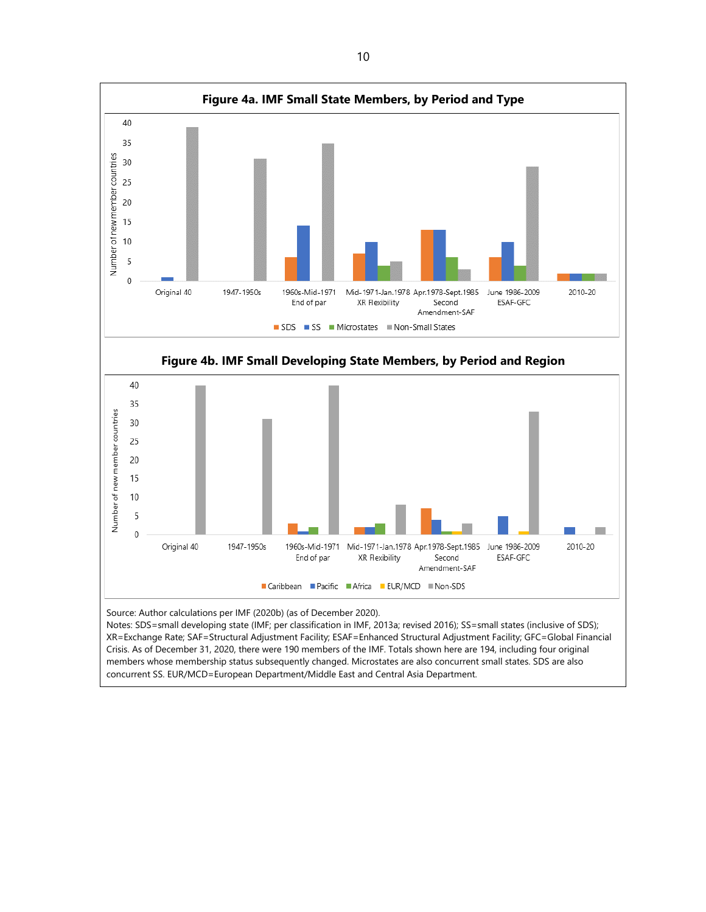

Source: Author calculations per IMF (2020b) (as of December 2020).<br>Notes: SDS=small developing state (IMF; per classification in IMF, 2013a; revised 2016); SS=small states (inclusive of SDS); XR=Exchange Rate; SAF=Structural Adjustment Facility; ESAF=Enhanced Structural Adjustment Facility; GFC=Global Financial Crisis. As of December 31, 2020, there were 190 members of the IMF. Totals shown here are 194, including four original members whose membership status subsequently changed. Microstates are also concurrent small states. SDS are also concurrent SS. EUR/MCD=European Department/Middle East and Central Asia Department.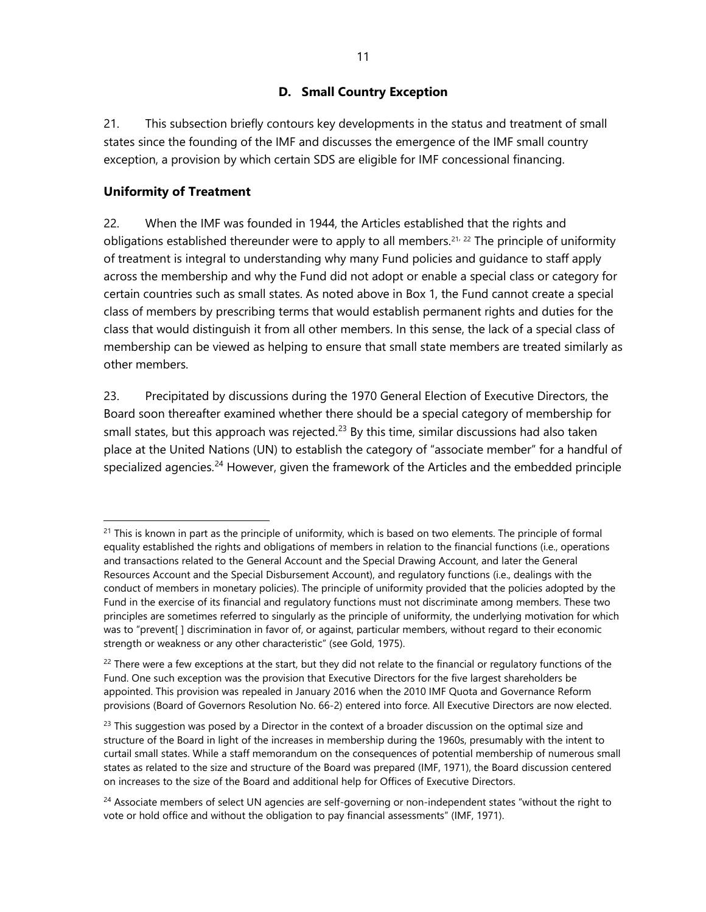# **D. Small Country Exception**

21. This subsection briefly contours key developments in the status and treatment of small states since the founding of the IMF and discusses the emergence of the IMF small country exception, a provision by which certain SDS are eligible for IMF concessional financing.

#### **Uniformity of Treatment**

22. When the IMF was founded in 1944, the Articles established that the rights and obligations established thereunder were to apply to all members.<sup>[21](#page-18-0), [22](#page-18-1)</sup> The principle of uniformity of treatment is integral to understanding why many Fund policies and guidance to staff apply across the membership and why the Fund did not adopt or enable a special class or category for certain countries such as small states. As noted above in Box 1, the Fund cannot create a special class of members by prescribing terms that would establish permanent rights and duties for the class that would distinguish it from all other members. In this sense, the lack of a special class of membership can be viewed as helping to ensure that small state members are treated similarly as other members.

23. Precipitated by discussions during the 1970 General Election of Executive Directors, the Board soon thereafter examined whether there should be a special category of membership for small states, but this approach was rejected.<sup>[23](#page-18-2)</sup> By this time, similar discussions had also taken place at the United Nations (UN) to establish the category of "associate member" for a handful of specialized agencies.<sup>[24](#page-18-3)</sup> However, given the framework of the Articles and the embedded principle

<span id="page-18-0"></span> $21$  This is known in part as the principle of uniformity, which is based on two elements. The principle of formal equality established the rights and obligations of members in relation to the financial functions (i.e., operations and transactions related to the General Account and the Special Drawing Account, and later the General Resources Account and the Special Disbursement Account), and regulatory functions (i.e., dealings with the conduct of members in monetary policies). The principle of uniformity provided that the policies adopted by the Fund in the exercise of its financial and regulatory functions must not discriminate among members. These two principles are sometimes referred to singularly as the principle of uniformity, the underlying motivation for which was to "prevent[ ] discrimination in favor of, or against, particular members, without regard to their economic strength or weakness or any other characteristic" (see Gold, 1975).

<span id="page-18-1"></span> $22$  There were a few exceptions at the start, but they did not relate to the financial or regulatory functions of the Fund. One such exception was the provision that Executive Directors for the five largest shareholders be appointed. This provision was repealed in January 2016 when the 2010 IMF Quota and Governance Reform provisions (Board of Governors Resolution No. 66-2) entered into force. All Executive Directors are now elected.

<span id="page-18-2"></span> $^{23}$  This suggestion was posed by a Director in the context of a broader discussion on the optimal size and structure of the Board in light of the increases in membership during the 1960s, presumably with the intent to curtail small states. While a staff memorandum on the consequences of potential membership of numerous small states as related to the size and structure of the Board was prepared (IMF, 1971), the Board discussion centered on increases to the size of the Board and additional help for Offices of Executive Directors.

<span id="page-18-3"></span><sup>&</sup>lt;sup>24</sup> Associate members of select UN agencies are self-governing or non-independent states "without the right to vote or hold office and without the obligation to pay financial assessments" (IMF, 1971).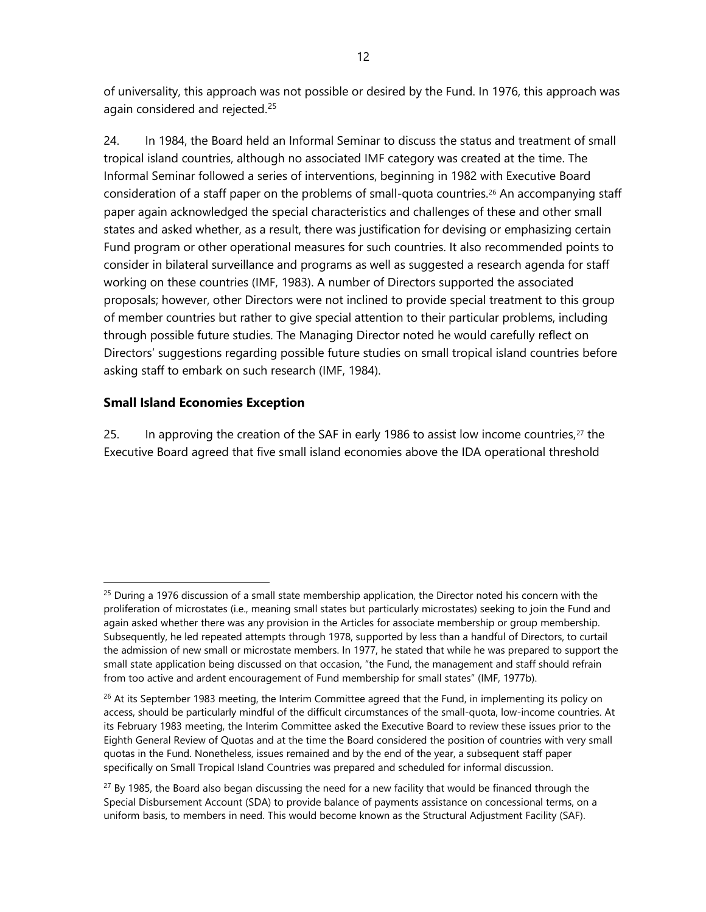of universality, this approach was not possible or desired by the Fund. In 1976, this approach was again considered and rejected.<sup>[25](#page-19-0)</sup>

24. In 1984, the Board held an Informal Seminar to discuss the status and treatment of small tropical island countries, although no associated IMF category was created at the time. The Informal Seminar followed a series of interventions, beginning in 1982 with Executive Board consideration of a staff paper on the problems of small-quota countries.<sup>[26](#page-19-1)</sup> An accompanying staff paper again acknowledged the special characteristics and challenges of these and other small states and asked whether, as a result, there was justification for devising or emphasizing certain Fund program or other operational measures for such countries. It also recommended points to consider in bilateral surveillance and programs as well as suggested a research agenda for staff working on these countries (IMF, 1983). A number of Directors supported the associated proposals; however, other Directors were not inclined to provide special treatment to this group of member countries but rather to give special attention to their particular problems, including through possible future studies. The Managing Director noted he would carefully reflect on Directors' suggestions regarding possible future studies on small tropical island countries before asking staff to embark on such research (IMF, 1984).

# **Small Island Economies Exception**

25. In approving the creation of the SAF in early 1986 to assist low income countries,<sup>[27](#page-19-2)</sup> the Executive Board agreed that five small island economies above the IDA operational threshold

<span id="page-19-0"></span> $25$  During a 1976 discussion of a small state membership application, the Director noted his concern with the proliferation of microstates (i.e., meaning small states but particularly microstates) seeking to join the Fund and again asked whether there was any provision in the Articles for associate membership or group membership. Subsequently, he led repeated attempts through 1978, supported by less than a handful of Directors, to curtail the admission of new small or microstate members. In 1977, he stated that while he was prepared to support the small state application being discussed on that occasion, "the Fund, the management and staff should refrain from too active and ardent encouragement of Fund membership for small states" (IMF, 1977b).

<span id="page-19-1"></span> $26$  At its September 1983 meeting, the Interim Committee agreed that the Fund, in implementing its policy on access, should be particularly mindful of the difficult circumstances of the small-quota, low-income countries. At its February 1983 meeting, the Interim Committee asked the Executive Board to review these issues prior to the Eighth General Review of Quotas and at the time the Board considered the position of countries with very small quotas in the Fund. Nonetheless, issues remained and by the end of the year, a subsequent staff paper specifically on Small Tropical Island Countries was prepared and scheduled for informal discussion.

<span id="page-19-2"></span> $27$  By 1985, the Board also began discussing the need for a new facility that would be financed through the Special Disbursement Account (SDA) to provide balance of payments assistance on concessional terms, on a uniform basis, to members in need. This would become known as the Structural Adjustment Facility (SAF).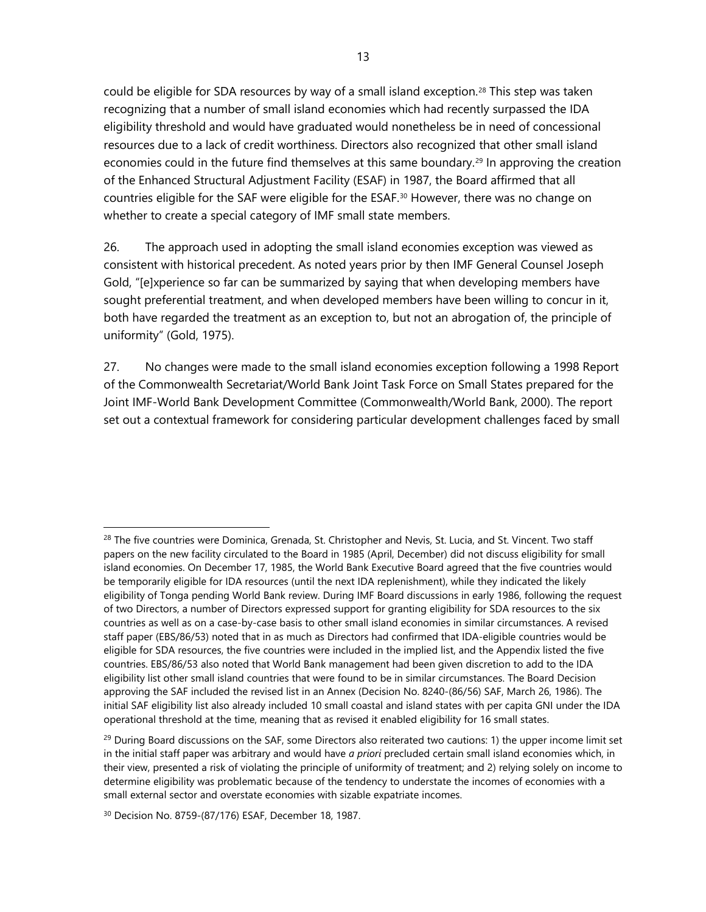could be eligible for SDA resources by way of a small island exception. [28](#page-20-0) This step was taken recognizing that a number of small island economies which had recently surpassed the IDA eligibility threshold and would have graduated would nonetheless be in need of concessional resources due to a lack of credit worthiness. Directors also recognized that other small island economies could in the future find themselves at this same boundary.<sup>[29](#page-20-1)</sup> In approving the creation of the Enhanced Structural Adjustment Facility (ESAF) in 1987, the Board affirmed that all countries eligible for the SAF were eligible for the ESAF.[30](#page-20-2) However, there was no change on whether to create a special category of IMF small state members.

26. The approach used in adopting the small island economies exception was viewed as consistent with historical precedent. As noted years prior by then IMF General Counsel Joseph Gold, "[e]xperience so far can be summarized by saying that when developing members have sought preferential treatment, and when developed members have been willing to concur in it, both have regarded the treatment as an exception to, but not an abrogation of, the principle of uniformity" (Gold, 1975).

27. No changes were made to the small island economies exception following a 1998 Report of the Commonwealth Secretariat/World Bank Joint Task Force on Small States prepared for the Joint IMF-World Bank Development Committee (Commonwealth/World Bank, 2000). The report set out a contextual framework for considering particular development challenges faced by small

<span id="page-20-0"></span><sup>&</sup>lt;sup>28</sup> The five countries were Dominica, Grenada, St. Christopher and Nevis, St. Lucia, and St. Vincent. Two staff papers on the new facility circulated to the Board in 1985 (April, December) did not discuss eligibility for small island economies. On December 17, 1985, the World Bank Executive Board agreed that the five countries would be temporarily eligible for IDA resources (until the next IDA replenishment), while they indicated the likely eligibility of Tonga pending World Bank review. During IMF Board discussions in early 1986, following the request of two Directors, a number of Directors expressed support for granting eligibility for SDA resources to the six countries as well as on a case-by-case basis to other small island economies in similar circumstances. A revised staff paper (EBS/86/53) noted that in as much as Directors had confirmed that IDA-eligible countries would be eligible for SDA resources, the five countries were included in the implied list, and the Appendix listed the five countries. EBS/86/53 also noted that World Bank management had been given discretion to add to the IDA eligibility list other small island countries that were found to be in similar circumstances. The Board Decision approving the SAF included the revised list in an Annex (Decision No. 8240-(86/56) SAF, March 26, 1986). The initial SAF eligibility list also already included 10 small coastal and island states with per capita GNI under the IDA operational threshold at the time, meaning that as revised it enabled eligibility for 16 small states.

<span id="page-20-1"></span> $29$  During Board discussions on the SAF, some Directors also reiterated two cautions: 1) the upper income limit set in the initial staff paper was arbitrary and would have *a priori* precluded certain small island economies which, in their view, presented a risk of violating the principle of uniformity of treatment; and 2) relying solely on income to determine eligibility was problematic because of the tendency to understate the incomes of economies with a small external sector and overstate economies with sizable expatriate incomes.

<span id="page-20-2"></span><sup>30</sup> Decision No. 8759-(87/176) ESAF, December 18, 1987.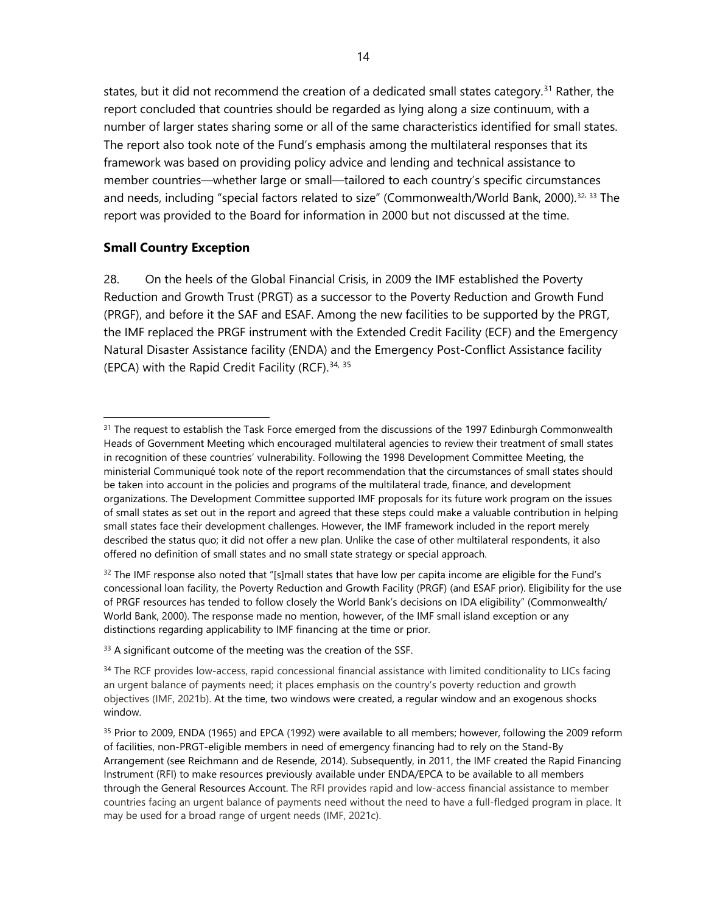states, but it did not recommend the creation of a dedicated small states category.<sup>[31](#page-21-0)</sup> Rather, the report concluded that countries should be regarded as lying along a size continuum, with a number of larger states sharing some or all of the same characteristics identified for small states. The report also took note of the Fund's emphasis among the multilateral responses that its framework was based on providing policy advice and lending and technical assistance to member countries—whether large or small—tailored to each country's specific circumstances and needs, including "special factors related to size" (Commonwealth/World Bank, 2000).[32](#page-21-1), [33](#page-21-2) The report was provided to the Board for information in 2000 but not discussed at the time.

#### **Small Country Exception**

28. On the heels of the Global Financial Crisis, in 2009 the IMF established the Poverty Reduction and Growth Trust (PRGT) as a successor to the Poverty Reduction and Growth Fund (PRGF), and before it the SAF and ESAF. Among the new facilities to be supported by the PRGT, the IMF replaced the PRGF instrument with the Extended Credit Facility (ECF) and the Emergency Natural Disaster Assistance facility (ENDA) and the Emergency Post-Conflict Assistance facility (EPCA) with the Rapid Credit Facility (RCF).<sup>[34](#page-21-3), [35](#page-21-4)</sup>

<span id="page-21-2"></span><sup>33</sup> A significant outcome of the meeting was the creation of the SSF.

<span id="page-21-0"></span><sup>&</sup>lt;sup>31</sup> The request to establish the Task Force emerged from the discussions of the 1997 Edinburgh Commonwealth Heads of Government Meeting which encouraged multilateral agencies to review their treatment of small states in recognition of these countries' vulnerability. Following the 1998 Development Committee Meeting, the ministerial Communiqué took note of the report recommendation that the circumstances of small states should be taken into account in the policies and programs of the multilateral trade, finance, and development organizations. The Development Committee supported IMF proposals for its future work program on the issues of small states as set out in the report and agreed that these steps could make a valuable contribution in helping small states face their development challenges. However, the IMF framework included in the report merely described the status quo; it did not offer a new plan. Unlike the case of other multilateral respondents, it also offered no definition of small states and no small state strategy or special approach.

<span id="page-21-1"></span> $32$  The IMF response also noted that "[s]mall states that have low per capita income are eligible for the Fund's concessional loan facility, the Poverty Reduction and Growth Facility (PRGF) (and ESAF prior). Eligibility for the use of PRGF resources has tended to follow closely the World Bank's decisions on IDA eligibility" (Commonwealth/ World Bank, 2000). The response made no mention, however, of the IMF small island exception or any distinctions regarding applicability to IMF financing at the time or prior.

<span id="page-21-3"></span><sup>&</sup>lt;sup>34</sup> The RCF provides low-access, rapid concessional financial assistance with limited conditionality to LICs facing an urgent balance of payments need; it places emphasis on the country's poverty reduction and growth objectives (IMF, 2021b). At the time, two windows were created, a regular window and an exogenous shocks window.

<span id="page-21-4"></span><sup>&</sup>lt;sup>35</sup> Prior to 2009, ENDA (1965) and EPCA (1992) were available to all members; however, following the 2009 reform of facilities, non-PRGT-eligible members in need of emergency financing had to rely on the Stand-By Arrangement (see Reichmann and de Resende, 2014). Subsequently, in 2011, the IMF created the Rapid Financing Instrument (RFI) to make resources previously available under ENDA/EPCA to be available to all members through the General Resources Account. The RFI provides rapid and low-access financial assistance to member countries facing an urgent balance of payments need without the need to have a full-fledged program in place. It may be used for a broad range of urgent needs (IMF, 2021c).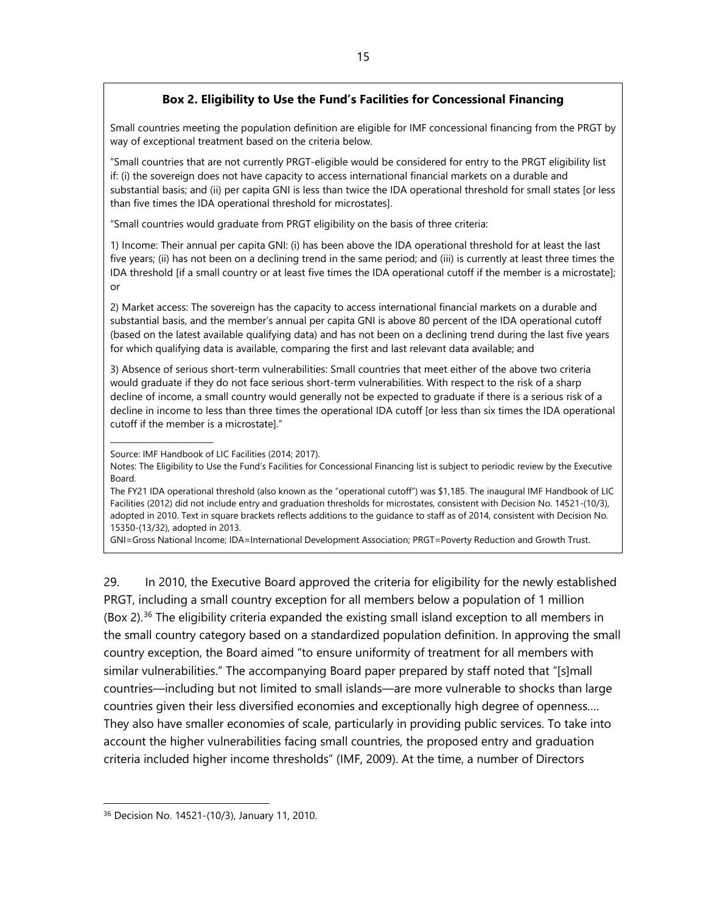#### **Box 2. Eligibility to Use the Fund's Facilities for Concessional Financing**

Small countries meeting the population definition are eligible for IMF concessional financing from the PRGT by way of exceptional treatment based on the criteria below.

"Small countries that are not currently PRGT-eligible would be considered for entry to the PRGT eligibility list if: (i) the sovereign does not have capacity to access international financial markets on a durable and substantial basis; and (ii) per capita GNI is less than twice the IDA operational threshold for small states [or less than five times the IDA operational threshold for microstates].

"Small countries would graduate from PRGT eligibility on the basis of three criteria:

1) Income: Their annual per capita GNI: (i) has been above the IDA operational threshold for at least the last five years; (ii) has not been on a declining trend in the same period; and (iii) is currently at least three times the IDA threshold [if a small country or at least five times the IDA operational cutoff if the member is a microstate]; or

2) Market access: The sovereign has the capacity to access international financial markets on a durable and substantial basis, and the member's annual per capita GNI is above 80 percent of the IDA operational cutoff (based on the latest available qualifying data) and has not been on a declining trend during the last five years for which qualifying data is available, comparing the first and last relevant data available; and

3) Absence of serious short-term vulnerabilities: Small countries that meet either of the above two criteria would graduate if they do not face serious short-term vulnerabilities. With respect to the risk of a sharp decline of income, a small country would generally not be expected to graduate if there is a serious risk of a decline in income to less than three times the operational IDA cutoff [or less than six times the IDA operational cutoff if the member is a microstate]."

\_\_\_\_\_\_\_\_\_\_\_\_\_\_\_\_\_\_\_\_\_\_\_\_

GNI=Gross National Income; IDA=International Development Association; PRGT=Poverty Reduction and Growth Trust.

29. In 2010, the Executive Board approved the criteria for eligibility for the newly established PRGT, including a small country exception for all members below a population of 1 million (Box 2).<sup>[36](#page-22-0)</sup> The eligibility criteria expanded the existing small island exception to all members in the small country category based on a standardized population definition. In approving the small country exception, the Board aimed "to ensure uniformity of treatment for all members with similar vulnerabilities." The accompanying Board paper prepared by staff noted that "[s]mall countries—including but not limited to small islands—are more vulnerable to shocks than large countries given their less diversified economies and exceptionally high degree of openness…. They also have smaller economies of scale, particularly in providing public services. To take into account the higher vulnerabilities facing small countries, the proposed entry and graduation criteria included higher income thresholds" (IMF, 2009). At the time, a number of Directors

Source: IMF Handbook of LIC Facilities (2014; 2017).

Notes: The Eligibility to Use the Fund's Facilities for Concessional Financing list is subject to periodic review by the Executive Board.

The FY21 IDA operational threshold (also known as the "operational cutoff") was \$1,185. The inaugural IMF Handbook of LIC Facilities (2012) did not include entry and graduation thresholds for microstates, consistent with Decision No. 14521-(10/3), adopted in 2010. Text in square brackets reflects additions to the guidance to staff as of 2014, consistent with Decision No. 15350-(13/32), adopted in 2013.

<span id="page-22-0"></span><sup>36</sup> Decision No. 14521-(10/3), January 11, 2010.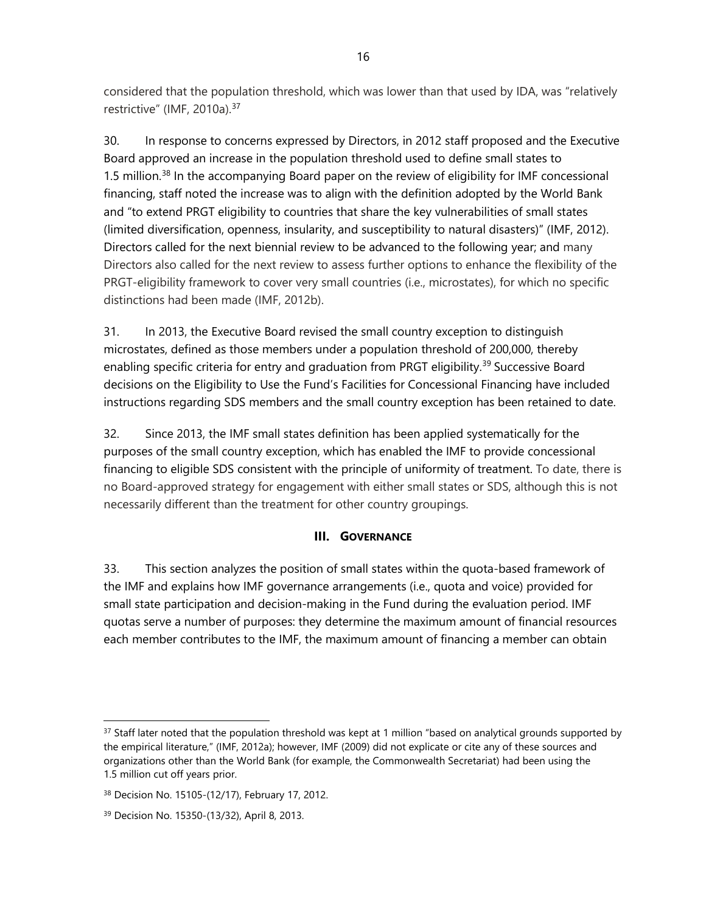considered that the population threshold, which was lower than that used by IDA, was "relatively restrictive" (IMF, 2010a).<sup>[37](#page-23-0)</sup>

30. In response to concerns expressed by Directors, in 2012 staff proposed and the Executive Board approved an increase in the population threshold used to define small states to 1.5 million.<sup>[38](#page-23-1)</sup> In the accompanying Board paper on the review of eligibility for IMF concessional financing, staff noted the increase was to align with the definition adopted by the World Bank and "to extend PRGT eligibility to countries that share the key vulnerabilities of small states (limited diversification, openness, insularity, and susceptibility to natural disasters)" (IMF, 2012). Directors called for the next biennial review to be advanced to the following year; and many Directors also called for the next review to assess further options to enhance the flexibility of the PRGT-eligibility framework to cover very small countries (i.e., microstates), for which no specific distinctions had been made (IMF, 2012b).

31. In 2013, the Executive Board revised the small country exception to distinguish microstates, defined as those members under a population threshold of 200,000, thereby enabling specific criteria for entry and graduation from PRGT eligibility.<sup>[39](#page-23-2)</sup> Successive Board decisions on the Eligibility to Use the Fund's Facilities for Concessional Financing have included instructions regarding SDS members and the small country exception has been retained to date.

32. Since 2013, the IMF small states definition has been applied systematically for the purposes of the small country exception, which has enabled the IMF to provide concessional financing to eligible SDS consistent with the principle of uniformity of treatment. To date, there is no Board-approved strategy for engagement with either small states or SDS, although this is not necessarily different than the treatment for other country groupings.

# **III. GOVERNANCE**

33. This section analyzes the position of small states within the quota-based framework of the IMF and explains how IMF governance arrangements (i.e., quota and voice) provided for small state participation and decision-making in the Fund during the evaluation period. IMF quotas serve a number of purposes: they determine the maximum amount of financial resources each member contributes to the IMF, the maximum amount of financing a member can obtain

<span id="page-23-0"></span> $37$  Staff later noted that the population threshold was kept at 1 million "based on analytical grounds supported by the empirical literature," (IMF, 2012a); however, IMF (2009) did not explicate or cite any of these sources and organizations other than the World Bank (for example, the Commonwealth Secretariat) had been using the 1.5 million cut off years prior.

<span id="page-23-1"></span><sup>38</sup> Decision No. 15105-(12/17), February 17, 2012.

<span id="page-23-2"></span><sup>39</sup> Decision No. 15350-(13/32), April 8, 2013.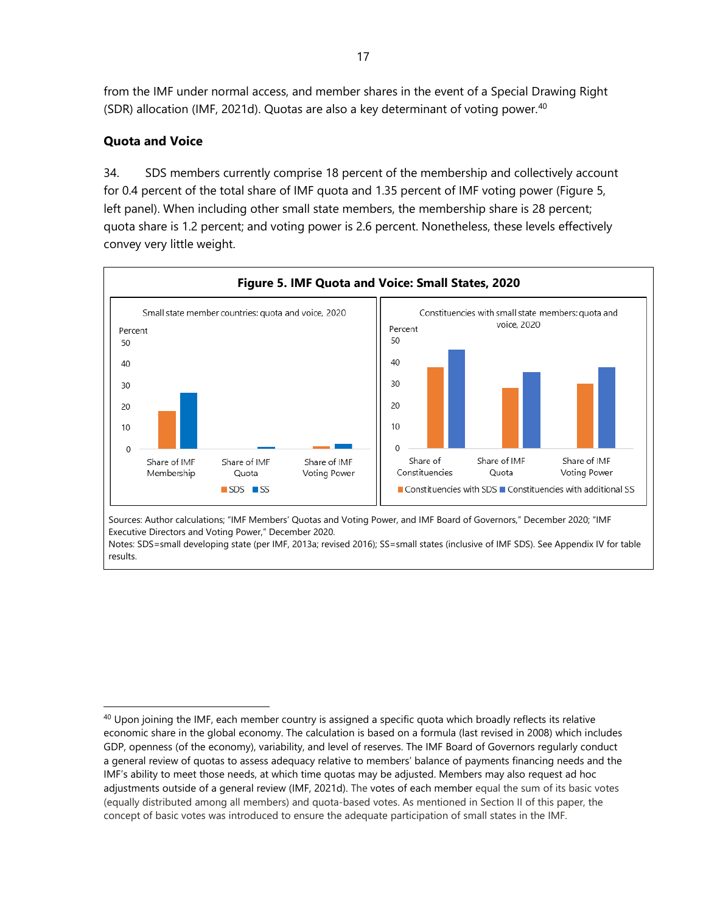from the IMF under normal access, and member shares in the event of a Special Drawing Right (SDR) allocation (IMF, 2021d). Quotas are also a key determinant of voting power.<sup>[40](#page-24-0)</sup>

# **Quota and Voice**

34. SDS members currently comprise 18 percent of the membership and collectively account for 0.4 percent of the total share of IMF quota and 1.35 percent of IMF voting power (Figure 5, left panel). When including other small state members, the membership share is 28 percent; quota share is 1.2 percent; and voting power is 2.6 percent. Nonetheless, these levels effectively convey very little weight.



Sources: Author calculations; "IMF Members' Quotas and Voting Power, and IMF Board of Governors," December 2020; "IMF Executive Directors and Voting Power," December 2020.

Notes: SDS=small developing state (per IMF, 2013a; revised 2016); SS=small states (inclusive of IMF SDS). See Appendix IV for table results.

<span id="page-24-0"></span><sup>&</sup>lt;sup>40</sup> Upon joining the IMF, each member country is assigned a specific quota which broadly reflects its relative economic share in the global economy. The calculation is based on a formula (last revised in 2008) which includes GDP, openness (of the economy), variability, and level of reserves. The IMF Board of Governors regularly conduct a general review of quotas to assess adequacy relative to members' balance of payments financing needs and the IMF's ability to meet those needs, at which time quotas may be adjusted. Members may also request ad hoc adjustments outside of a general review (IMF, 2021d). The [votes of each member](http://www.imf.org/external/np/sec/memdir/eds.aspx#1) equal the sum of its basic votes (equally distributed among all members) and quota-based votes. As mentioned in Section II of this paper, the concept of basic votes was introduced to ensure the adequate participation of small states in the IMF.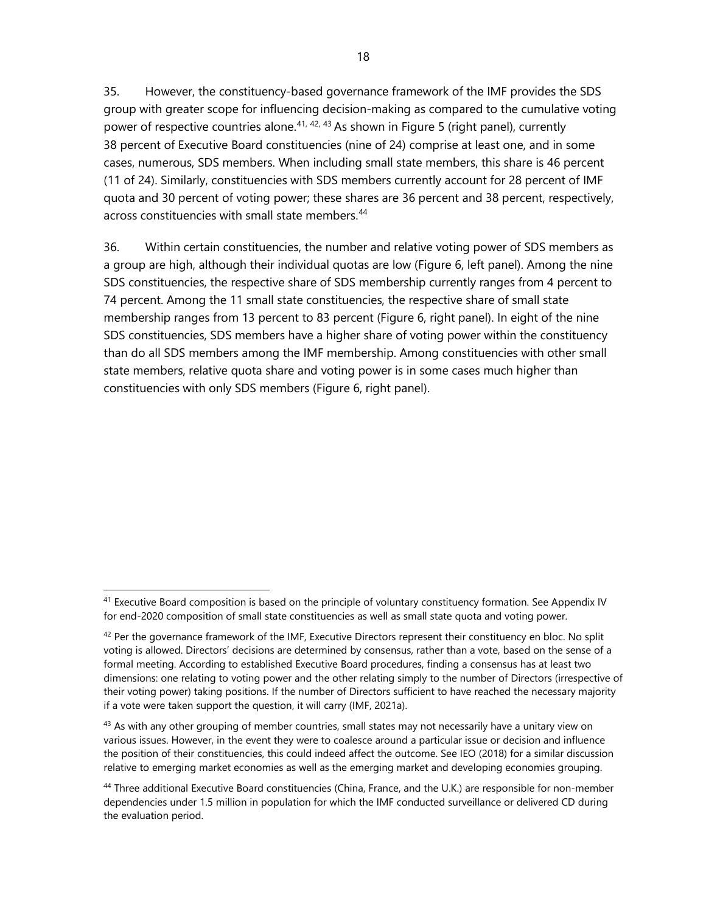35. However, the constituency-based governance framework of the IMF provides the SDS group with greater scope for influencing decision-making as compared to the cumulative voting power of respective countries alone.<sup>[41](#page-25-0), [42](#page-25-1), [43](#page-25-2)</sup> As shown in Figure 5 (right panel), currently 38 percent of Executive Board constituencies (nine of 24) comprise at least one, and in some cases, numerous, SDS members. When including small state members, this share is 46 percent (11 of 24). Similarly, constituencies with SDS members currently account for 28 percent of IMF quota and 30 percent of voting power; these shares are 36 percent and 38 percent, respectively, across constituencies with small state members.<sup>[44](#page-25-3)</sup>

36. Within certain constituencies, the number and relative voting power of SDS members as a group are high, although their individual quotas are low (Figure 6, left panel). Among the nine SDS constituencies, the respective share of SDS membership currently ranges from 4 percent to 74 percent. Among the 11 small state constituencies, the respective share of small state membership ranges from 13 percent to 83 percent (Figure 6, right panel). In eight of the nine SDS constituencies, SDS members have a higher share of voting power within the constituency than do all SDS members among the IMF membership. Among constituencies with other small state members, relative quota share and voting power is in some cases much higher than constituencies with only SDS members (Figure 6, right panel).

<span id="page-25-2"></span> $43$  As with any other grouping of member countries, small states may not necessarily have a unitary view on various issues. However, in the event they were to coalesce around a particular issue or decision and influence the position of their constituencies, this could indeed affect the outcome. See IEO (2018) for a similar discussion relative to emerging market economies as well as the emerging market and developing economies grouping.

<span id="page-25-0"></span><sup>&</sup>lt;sup>41</sup> Executive Board composition is based on the principle of voluntary constituency formation. See Appendix IV for end-2020 composition of small state constituencies as well as small state quota and voting power.

<span id="page-25-1"></span> $42$  Per the governance framework of the IMF, Executive Directors represent their constituency en bloc. No split voting is allowed. Directors' decisions are determined by consensus, rather than a vote, based on the sense of a formal meeting. According to established Executive Board procedures, finding a consensus has at least two dimensions: one relating to voting power and the other relating simply to the number of Directors (irrespective of their voting power) taking positions. If the number of Directors sufficient to have reached the necessary majority if a vote were taken support the question, it will carry (IMF, 2021a).

<span id="page-25-3"></span><sup>44</sup> Three additional Executive Board constituencies (China, France, and the U.K.) are responsible for non-member dependencies under 1.5 million in population for which the IMF conducted surveillance or delivered CD during the evaluation period.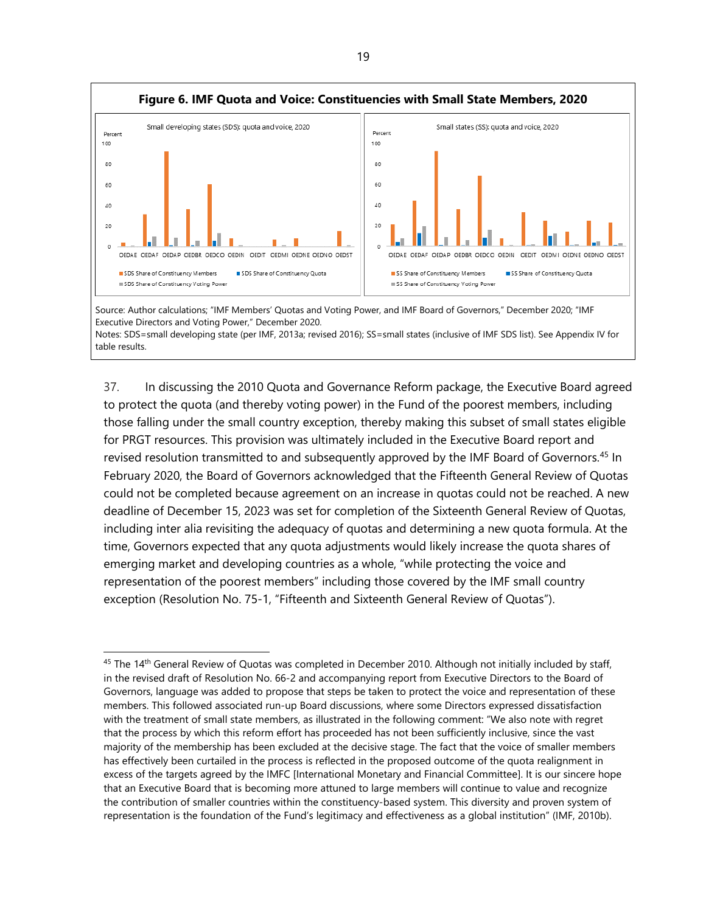

Notes: SDS=small developing state (per IMF, 2013a; revised 2016); SS=small states (inclusive of IMF SDS list). See Appendix IV for table results.

37. In discussing the 2010 Quota and Governance Reform package, the Executive Board agreed to protect the quota (and thereby voting power) in the Fund of the poorest members, including those falling under the small country exception, thereby making this subset of small states eligible for PRGT resources. This provision was ultimately included in the Executive Board report and revised resolution transmitted to and subsequently approved by the IMF Board of Governors.<sup>[45](#page-26-0)</sup> In February 2020, the Board of Governors acknowledged that the Fifteenth General Review of Quotas could not be completed because agreement on an increase in quotas could not be reached. A new deadline of December 15, 2023 was set for completion of the Sixteenth General Review of Quotas, including inter alia revisiting the adequacy of quotas and determining a new quota formula. At the time, Governors expected that any quota adjustments would likely increase the quota shares of emerging market and developing countries as a whole, "while protecting the voice and representation of the poorest members" including those covered by the IMF small country exception (Resolution No. 75-1, "Fifteenth and Sixteenth General Review of Quotas").

<span id="page-26-0"></span><sup>&</sup>lt;sup>45</sup> The 14<sup>th</sup> General Review of Quotas was completed in December 2010. Although not initially included by staff, in the revised draft of Resolution No. 66-2 and accompanying report from Executive Directors to the Board of Governors, language was added to propose that steps be taken to protect the voice and representation of these members. This followed associated run-up Board discussions, where some Directors expressed dissatisfaction with the treatment of small state members, as illustrated in the following comment: "We also note with regret that the process by which this reform effort has proceeded has not been sufficiently inclusive, since the vast majority of the membership has been excluded at the decisive stage. The fact that the voice of smaller members has effectively been curtailed in the process is reflected in the proposed outcome of the quota realignment in excess of the targets agreed by the IMFC [International Monetary and Financial Committee]. It is our sincere hope that an Executive Board that is becoming more attuned to large members will continue to value and recognize the contribution of smaller countries within the constituency-based system. This diversity and proven system of representation is the foundation of the Fund's legitimacy and effectiveness as a global institution" (IMF, 2010b).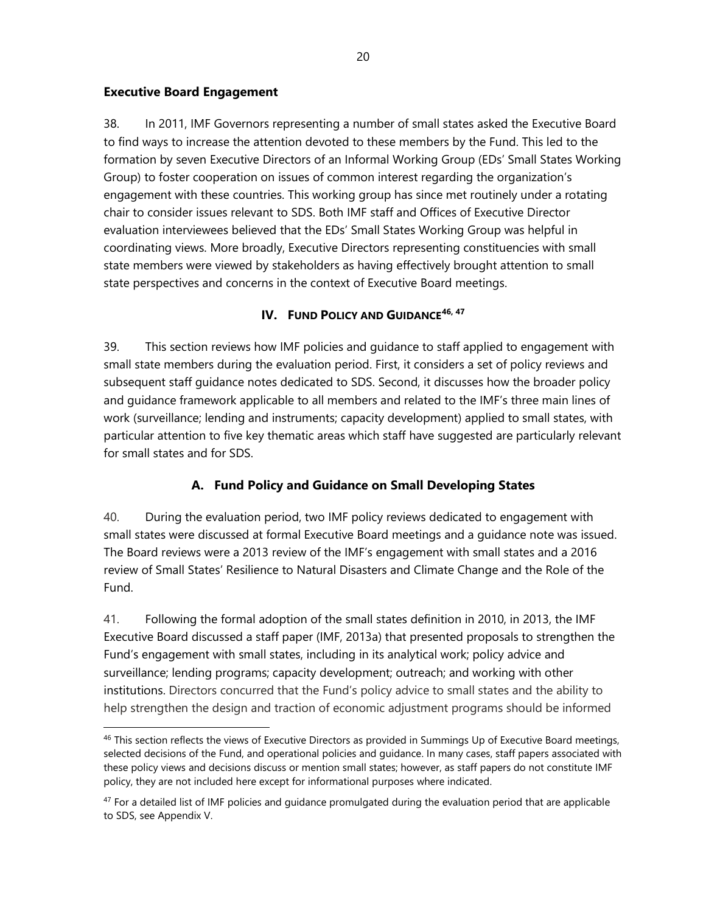#### **Executive Board Engagement**

38. In 2011, IMF Governors representing a number of small states asked the Executive Board to find ways to increase the attention devoted to these members by the Fund. This led to the formation by seven Executive Directors of an Informal Working Group (EDs' Small States Working Group) to foster cooperation on issues of common interest regarding the organization's engagement with these countries. This working group has since met routinely under a rotating chair to consider issues relevant to SDS. Both IMF staff and Offices of Executive Director evaluation interviewees believed that the EDs' Small States Working Group was helpful in coordinating views. More broadly, Executive Directors representing constituencies with small state members were viewed by stakeholders as having effectively brought attention to small state perspectives and concerns in the context of Executive Board meetings.

#### **IV. FUND POLICY AND GUIDANCE[46](#page-27-0), [47](#page-27-1)**

39. This section reviews how IMF policies and guidance to staff applied to engagement with small state members during the evaluation period. First, it considers a set of policy reviews and subsequent staff guidance notes dedicated to SDS. Second, it discusses how the broader policy and guidance framework applicable to all members and related to the IMF's three main lines of work (surveillance; lending and instruments; capacity development) applied to small states, with particular attention to five key thematic areas which staff have suggested are particularly relevant for small states and for SDS.

# **A. Fund Policy and Guidance on Small Developing States**

40. During the evaluation period, two IMF policy reviews dedicated to engagement with small states were discussed at formal Executive Board meetings and a guidance note was issued. The Board reviews were a 2013 review of the IMF's engagement with small states and a 2016 review of Small States' Resilience to Natural Disasters and Climate Change and the Role of the Fund.

41. Following the formal adoption of the small states definition in 2010, in 2013, the IMF Executive Board discussed a staff paper (IMF, 2013a) that presented proposals to strengthen the Fund's engagement with small states, including in its analytical work; policy advice and surveillance; lending programs; capacity development; outreach; and working with other institutions. Directors concurred that the Fund's policy advice to small states and the ability to help strengthen the design and traction of economic adjustment programs should be informed

<span id="page-27-0"></span><sup>&</sup>lt;sup>46</sup> This section reflects the views of Executive Directors as provided in Summings Up of Executive Board meetings, selected decisions of the Fund, and operational policies and guidance. In many cases, staff papers associated with these policy views and decisions discuss or mention small states; however, as staff papers do not constitute IMF policy, they are not included here except for informational purposes where indicated.

<span id="page-27-1"></span> $47$  For a detailed list of IMF policies and guidance promulgated during the evaluation period that are applicable to SDS, see Appendix V.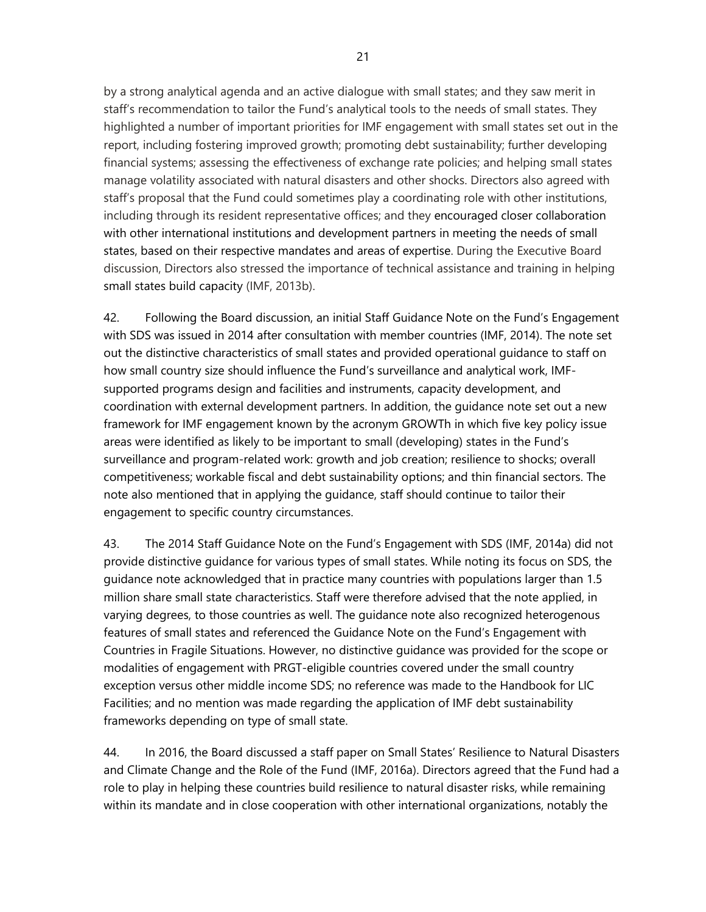by a strong analytical agenda and an active dialogue with small states; and they saw merit in staff's recommendation to tailor the Fund's analytical tools to the needs of small states. They highlighted a number of important priorities for IMF engagement with small states set out in the report, including fostering improved growth; promoting debt sustainability; further developing financial systems; assessing the effectiveness of exchange rate policies; and helping small states manage volatility associated with natural disasters and other shocks. Directors also agreed with staff's proposal that the Fund could sometimes play a coordinating role with other institutions, including through its resident representative offices; and they encouraged closer collaboration with other international institutions and development partners in meeting the needs of small states, based on their respective mandates and areas of expertise. During the Executive Board discussion, Directors also stressed the importance of technical assistance and training in helping small states build capacity (IMF, 2013b).

42. Following the Board discussion, an initial Staff Guidance Note on the Fund's Engagement with SDS was issued in 2014 after consultation with member countries (IMF, 2014). The note set out the distinctive characteristics of small states and provided operational guidance to staff on how small country size should influence the Fund's surveillance and analytical work, IMFsupported programs design and facilities and instruments, capacity development, and coordination with external development partners. In addition, the guidance note set out a new framework for IMF engagement known by the acronym GROWTh in which five key policy issue areas were identified as likely to be important to small (developing) states in the Fund's surveillance and program-related work: growth and job creation; resilience to shocks; overall competitiveness; workable fiscal and debt sustainability options; and thin financial sectors. The note also mentioned that in applying the guidance, staff should continue to tailor their engagement to specific country circumstances.

43. The 2014 Staff Guidance Note on the Fund's Engagement with SDS (IMF, 2014a) did not provide distinctive guidance for various types of small states. While noting its focus on SDS, the guidance note acknowledged that in practice many countries with populations larger than 1.5 million share small state characteristics. Staff were therefore advised that the note applied, in varying degrees, to those countries as well. The guidance note also recognized heterogenous features of small states and referenced the Guidance Note on the Fund's Engagement with Countries in Fragile Situations. However, no distinctive guidance was provided for the scope or modalities of engagement with PRGT-eligible countries covered under the small country exception versus other middle income SDS; no reference was made to the Handbook for LIC Facilities; and no mention was made regarding the application of IMF debt sustainability frameworks depending on type of small state.

44. In 2016, the Board discussed a staff paper on Small States' Resilience to Natural Disasters and Climate Change and the Role of the Fund (IMF, 2016a). Directors agreed that the Fund had a role to play in helping these countries build resilience to natural disaster risks, while remaining within its mandate and in close cooperation with other international organizations, notably the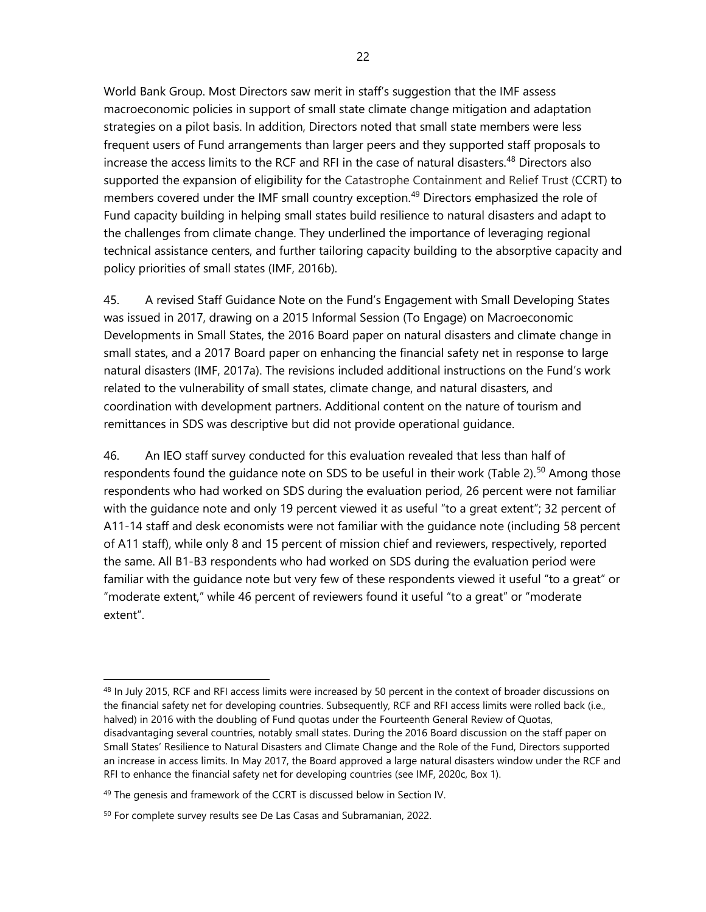World Bank Group. Most Directors saw merit in staff's suggestion that the IMF assess macroeconomic policies in support of small state climate change mitigation and adaptation strategies on a pilot basis. In addition, Directors noted that small state members were less frequent users of Fund arrangements than larger peers and they supported staff proposals to increase the access limits to the RCF and RFI in the case of natural disasters. [48](#page-29-0) Directors also supported the expansion of eligibility for the Catastrophe Containment and Relief Trust (CCRT) to members covered under the IMF small country exception.<sup>[49](#page-29-1)</sup> Directors emphasized the role of Fund capacity building in helping small states build resilience to natural disasters and adapt to the challenges from climate change. They underlined the importance of leveraging regional technical assistance centers, and further tailoring capacity building to the absorptive capacity and policy priorities of small states (IMF, 2016b).

45. A revised Staff Guidance Note on the Fund's Engagement with Small Developing States was issued in 2017, drawing on a 2015 Informal Session (To Engage) on Macroeconomic Developments in Small States, the 2016 Board paper on natural disasters and climate change in small states, and a 2017 Board paper on enhancing the financial safety net in response to large natural disasters (IMF, 2017a). The revisions included additional instructions on the Fund's work related to the vulnerability of small states, climate change, and natural disasters, and coordination with development partners. Additional content on the nature of tourism and remittances in SDS was descriptive but did not provide operational guidance.

46. An IEO staff survey conducted for this evaluation revealed that less than half of respondents found the guidance note on SDS to be useful in their work (Table 2).<sup>[50](#page-29-2)</sup> Among those respondents who had worked on SDS during the evaluation period, 26 percent were not familiar with the guidance note and only 19 percent viewed it as useful "to a great extent"; 32 percent of A11-14 staff and desk economists were not familiar with the guidance note (including 58 percent of A11 staff), while only 8 and 15 percent of mission chief and reviewers, respectively, reported the same. All B1-B3 respondents who had worked on SDS during the evaluation period were familiar with the guidance note but very few of these respondents viewed it useful "to a great" or "moderate extent," while 46 percent of reviewers found it useful "to a great" or "moderate extent".

<span id="page-29-0"></span><sup>&</sup>lt;sup>48</sup> In July 2015, RCF and RFI access limits were increased by 50 percent in the context of broader discussions on the financial safety net for developing countries. Subsequently, RCF and RFI access limits were rolled back (i.e., halved) in 2016 with the doubling of Fund quotas under the Fourteenth General Review of Quotas, disadvantaging several countries, notably small states. During the 2016 Board discussion on the staff paper on Small States' Resilience to Natural Disasters and Climate Change and the Role of the Fund, Directors supported an increase in access limits. In May 2017, the Board approved a large natural disasters window under the RCF and RFI to enhance the financial safety net for developing countries (see IMF, 2020c, Box 1).

<span id="page-29-1"></span><sup>&</sup>lt;sup>49</sup> The genesis and framework of the CCRT is discussed below in Section IV.

<span id="page-29-2"></span><sup>&</sup>lt;sup>50</sup> For complete survey results see De Las Casas and Subramanian, 2022.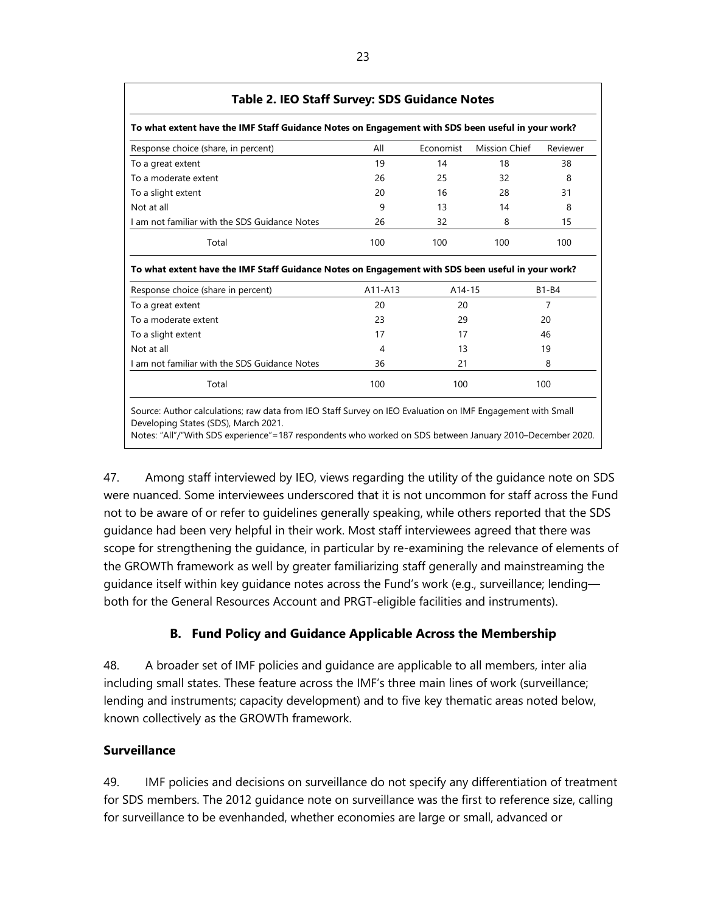| To what extent have the IMF Staff Guidance Notes on Engagement with SDS been useful in your work?                                                                                                                        |         |           |                      |              |
|--------------------------------------------------------------------------------------------------------------------------------------------------------------------------------------------------------------------------|---------|-----------|----------------------|--------------|
| Response choice (share, in percent)                                                                                                                                                                                      | All     | Economist | <b>Mission Chief</b> | Reviewer     |
| To a great extent                                                                                                                                                                                                        | 19      | 14        | 18                   | 38           |
| To a moderate extent                                                                                                                                                                                                     | 26      | 25        | 32                   | 8            |
| To a slight extent                                                                                                                                                                                                       | 20      | 16        | 28                   | 31           |
| Not at all                                                                                                                                                                                                               | 9       | 13        | 14                   | 8            |
| I am not familiar with the SDS Guidance Notes                                                                                                                                                                            | 26      | 32        | 8                    | 15           |
| Total                                                                                                                                                                                                                    | 100     | 100       | 100                  | 100          |
|                                                                                                                                                                                                                          |         |           |                      |              |
|                                                                                                                                                                                                                          |         |           |                      |              |
|                                                                                                                                                                                                                          | A11-A13 | A14-15    |                      | <b>B1-B4</b> |
|                                                                                                                                                                                                                          | 20      | 20        |                      | 7            |
|                                                                                                                                                                                                                          | 23      | 29        |                      | 20           |
|                                                                                                                                                                                                                          | 17      | 17        |                      | 46           |
| To what extent have the IMF Staff Guidance Notes on Engagement with SDS been useful in your work?<br>Response choice (share in percent)<br>To a great extent<br>To a moderate extent<br>To a slight extent<br>Not at all | 4       | 13        |                      | 19           |
| Lam not familiar with the SDS Guidance Notes                                                                                                                                                                             | 36      | 21        |                      | 8            |

Notes: "All"/"With SDS experience"=187 respondents who worked on SDS between January 2010–December 2020.

47. Among staff interviewed by IEO, views regarding the utility of the guidance note on SDS were nuanced. Some interviewees underscored that it is not uncommon for staff across the Fund not to be aware of or refer to guidelines generally speaking, while others reported that the SDS guidance had been very helpful in their work. Most staff interviewees agreed that there was scope for strengthening the guidance, in particular by re-examining the relevance of elements of the GROWTh framework as well by greater familiarizing staff generally and mainstreaming the guidance itself within key guidance notes across the Fund's work (e.g., surveillance; lending both for the General Resources Account and PRGT-eligible facilities and instruments).

# **B. Fund Policy and Guidance Applicable Across the Membership**

48. A broader set of IMF policies and guidance are applicable to all members, inter alia including small states. These feature across the IMF's three main lines of work (surveillance; lending and instruments; capacity development) and to five key thematic areas noted below, known collectively as the GROWTh framework.

# **Surveillance**

49. IMF policies and decisions on surveillance do not specify any differentiation of treatment for SDS members. The 2012 guidance note on surveillance was the first to reference size, calling for surveillance to be evenhanded, whether economies are large or small, advanced or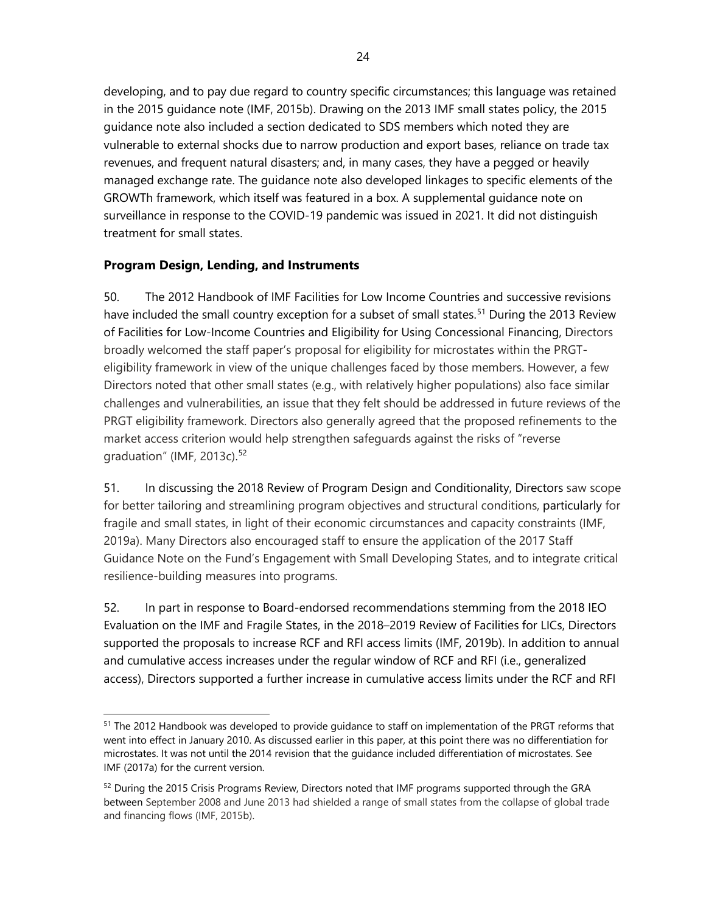developing, and to pay due regard to country specific circumstances; this language was retained in the 2015 guidance note (IMF, 2015b). Drawing on the 2013 IMF small states policy, the 2015 guidance note also included a section dedicated to SDS members which noted they are vulnerable to external shocks due to narrow production and export bases, reliance on trade tax revenues, and frequent natural disasters; and, in many cases, they have a pegged or heavily managed exchange rate. The guidance note also developed linkages to specific elements of the GROWTh framework, which itself was featured in a box. A supplemental guidance note on surveillance in response to the COVID-19 pandemic was issued in 2021. It did not distinguish treatment for small states.

# **Program Design, Lending, and Instruments**

50. The 2012 Handbook of IMF Facilities for Low Income Countries and successive revisions have included the small country exception for a subset of small states.<sup>[51](#page-31-0)</sup> During the 2013 Review of Facilities for Low-Income Countries and Eligibility for Using Concessional Financing, Directors broadly welcomed the staff paper's proposal for eligibility for microstates within the PRGTeligibility framework in view of the unique challenges faced by those members. However, a few Directors noted that other small states (e.g., with relatively higher populations) also face similar challenges and vulnerabilities, an issue that they felt should be addressed in future reviews of the PRGT eligibility framework. Directors also generally agreed that the proposed refinements to the market access criterion would help strengthen safeguards against the risks of "reverse graduation" (IMF, 2013c).<sup>[52](#page-31-1)</sup>

51. In discussing the 2018 Review of Program Design and Conditionality, Directors saw scope for better tailoring and streamlining program objectives and structural conditions, particularly for fragile and small states, in light of their economic circumstances and capacity constraints (IMF, 2019a). Many Directors also encouraged staff to ensure the application of the 2017 Staff Guidance Note on the Fund's Engagement with Small Developing States, and to integrate critical resilience-building measures into programs.

52. In part in response to Board-endorsed recommendations stemming from the 2018 IEO Evaluation on the IMF and Fragile States, in the 2018–2019 Review of Facilities for LICs, Directors supported the proposals to increase RCF and RFI access limits (IMF, 2019b). In addition to annual and cumulative access increases under the regular window of RCF and RFI (i.e., generalized access), Directors supported a further increase in cumulative access limits under the RCF and RFI

<span id="page-31-0"></span><sup>&</sup>lt;sup>51</sup> The 2012 Handbook was developed to provide quidance to staff on implementation of the PRGT reforms that went into effect in January 2010. As discussed earlier in this paper, at this point there was no differentiation for microstates. It was not until the 2014 revision that the guidance included differentiation of microstates. See IMF (2017a) for the current version.

<span id="page-31-1"></span><sup>&</sup>lt;sup>52</sup> During the 2015 Crisis Programs Review, Directors noted that IMF programs supported through the GRA between September 2008 and June 2013 had shielded a range of small states from the collapse of global trade and financing flows (IMF, 2015b).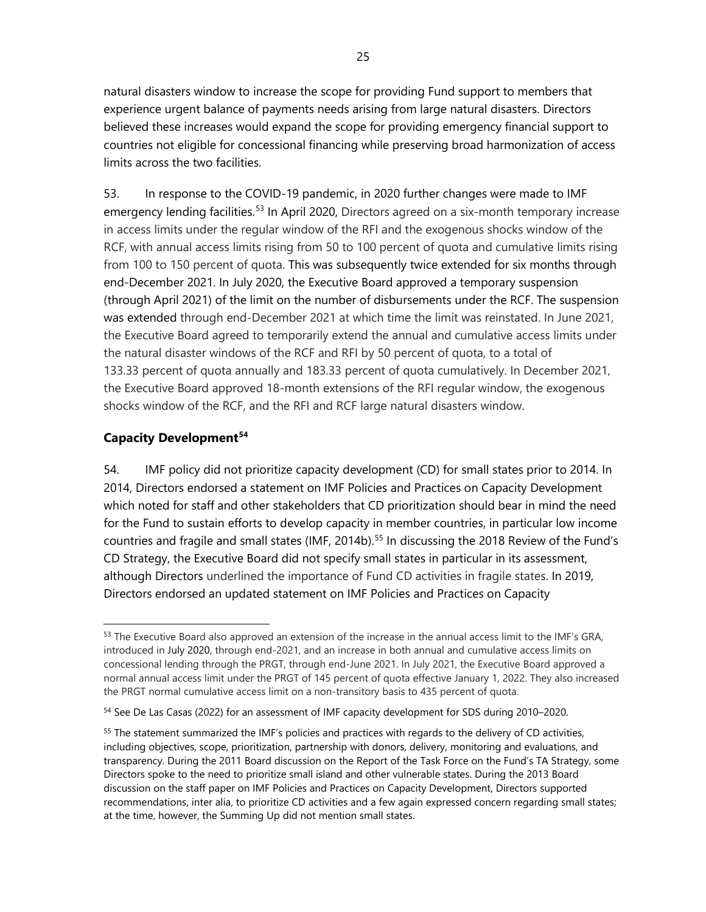natural disasters window to increase the scope for providing Fund support to members that experience urgent balance of payments needs arising from large natural disasters. Directors believed these increases would expand the scope for providing emergency financial support to countries not eligible for concessional financing while preserving broad harmonization of access limits across the two facilities.

53. In response to the COVID-19 pandemic, in 2020 further changes were made to IMF emergency lending facilities.<sup>[53](#page-32-0)</sup> In April 2020, Directors agreed on a six-month temporary increase in access limits under the regular window of the RFI and the exogenous shocks window of the RCF, with annual access limits rising from 50 to 100 percent of quota and cumulative limits rising from 100 to 150 percent of quota. This was subsequently twice extended for six months through end-December 2021. In July 2020, the Executive Board approved a temporary suspension (through April 2021) of the limit on the number of disbursements under the RCF. The suspension was extended through end-December 2021 at which time the limit was reinstated. In June 2021, the Executive Board agreed to temporarily extend the annual and cumulative access limits under the natural disaster windows of the RCF and RFI by 50 percent of quota, to a total of 133.33 percent of quota annually and 183.33 percent of quota cumulatively. In December 2021, the Executive Board approved 18-month extensions of the RFI regular window, the exogenous shocks window of the RCF, and the RFI and RCF large natural disasters window.

# **Capacity Development[54](#page-32-1)**

54. IMF policy did not prioritize capacity development (CD) for small states prior to 2014. In 2014, Directors endorsed a statement on IMF Policies and Practices on Capacity Development which noted for staff and other stakeholders that CD prioritization should bear in mind the need for the Fund to sustain efforts to develop capacity in member countries, in particular low income countries and fragile and small states (IMF, 2014b). [55](#page-32-2) In discussing the 2018 Review of the Fund's CD Strategy, the Executive Board did not specify small states in particular in its assessment, although Directors underlined the importance of Fund CD activities in fragile states. In 2019, Directors endorsed an updated statement on IMF Policies and Practices on Capacity

<span id="page-32-0"></span><sup>&</sup>lt;sup>53</sup> The Executive Board also approved an extension of the increase in the annual access limit to the IMF's GRA, introduced in [July 2020,](https://www.imf.org/en/News/Articles/2020/07/21/pr20267-imf-executive-board-approves-temporary-increase-annual-access-limits-financial-support) through end-2021, and an increase in both annual and cumulative access limits on concessional lending through the PRGT, through end-June 2021. In July 2021, the Executive Board approved a normal annual access limit under the PRGT of 145 percent of quota effective January 1, 2022. They also increased the PRGT normal cumulative access limit on a non-transitory basis to 435 percent of quota.

<span id="page-32-1"></span><sup>54</sup> See De Las Casas (2022) for an assessment of IMF capacity development for SDS during 2010-2020.

<span id="page-32-2"></span> $55$  The statement summarized the IMF's policies and practices with regards to the delivery of CD activities, including objectives, scope, prioritization, partnership with donors, delivery, monitoring and evaluations, and transparency. During the 2011 Board discussion on the Report of the Task Force on the Fund's TA Strategy, some Directors spoke to the need to prioritize small island and other vulnerable states. During the 2013 Board discussion on the staff paper on IMF Policies and Practices on Capacity Development, Directors supported recommendations, inter alia, to prioritize CD activities and a few again expressed concern regarding small states; at the time, however, the Summing Up did not mention small states.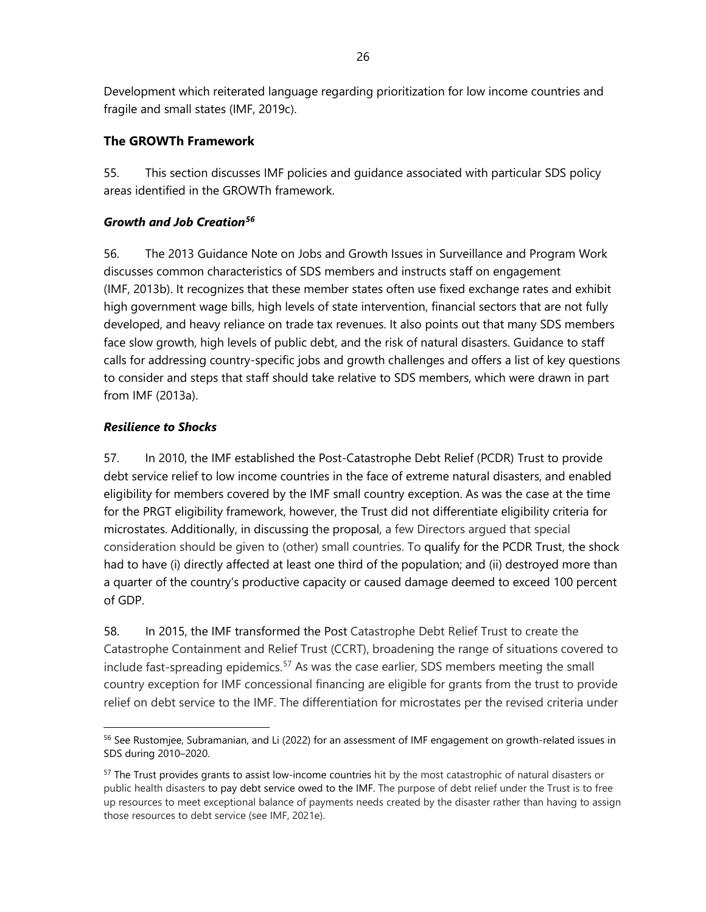Development which reiterated language regarding prioritization for low income countries and fragile and small states (IMF, 2019c).

# **The GROWTh Framework**

55. This section discusses IMF policies and guidance associated with particular SDS policy areas identified in the GROWTh framework.

# *Growth and Job Creation[56](#page-33-0)*

56. The 2013 Guidance Note on Jobs and Growth Issues in Surveillance and Program Work discusses common characteristics of SDS members and instructs staff on engagement (IMF, 2013b). It recognizes that these member states often use fixed exchange rates and exhibit high government wage bills, high levels of state intervention, financial sectors that are not fully developed, and heavy reliance on trade tax revenues. It also points out that many SDS members face slow growth, high levels of public debt, and the risk of natural disasters. Guidance to staff calls for addressing country-specific jobs and growth challenges and offers a list of key questions to consider and steps that staff should take relative to SDS members, which were drawn in part from IMF (2013a).

# *Resilience to Shocks*

57. In 2010, the IMF established the Post-Catastrophe Debt Relief (PCDR) Trust to provide debt service relief to low income countries in the face of extreme natural disasters, and enabled eligibility for members covered by the IMF small country exception. As was the case at the time for the PRGT eligibility framework, however, the Trust did not differentiate eligibility criteria for microstates. Additionally, in discussing the proposal, a few Directors argued that special consideration should be given to (other) small countries. To qualify for the PCDR Trust, the shock had to have (i) directly affected at least one third of the population; and (ii) destroyed more than a quarter of the country's productive capacity or caused damage deemed to exceed 100 percent of GDP.

58. In 2015, the IMF transformed the Post Catastrophe Debt Relief Trust to create the Catastrophe Containment and Relief Trust (CCRT), broadening the range of situations covered to include fast-spreading epidemics.<sup>[57](#page-33-1)</sup> As was the case earlier, SDS members meeting the small country exception for IMF concessional financing are eligible for grants from the trust to provide relief on debt service to the IMF. The differentiation for microstates per the revised criteria under

<span id="page-33-0"></span><sup>&</sup>lt;sup>56</sup> See Rustomjee, Subramanian, and Li (2022) for an assessment of IMF engagement on growth-related issues in SDS during 2010–2020.

<span id="page-33-1"></span><sup>&</sup>lt;sup>57</sup> The Trust provides grants to assist low-income countries hit by the most catastrophic of natural disasters or public health disasters to pay debt service owed to the IMF. The purpose of debt relief under the Trust is to free up resources to meet exceptional balance of payments needs created by the disaster rather than having to assign those resources to debt service (see IMF, 2021e).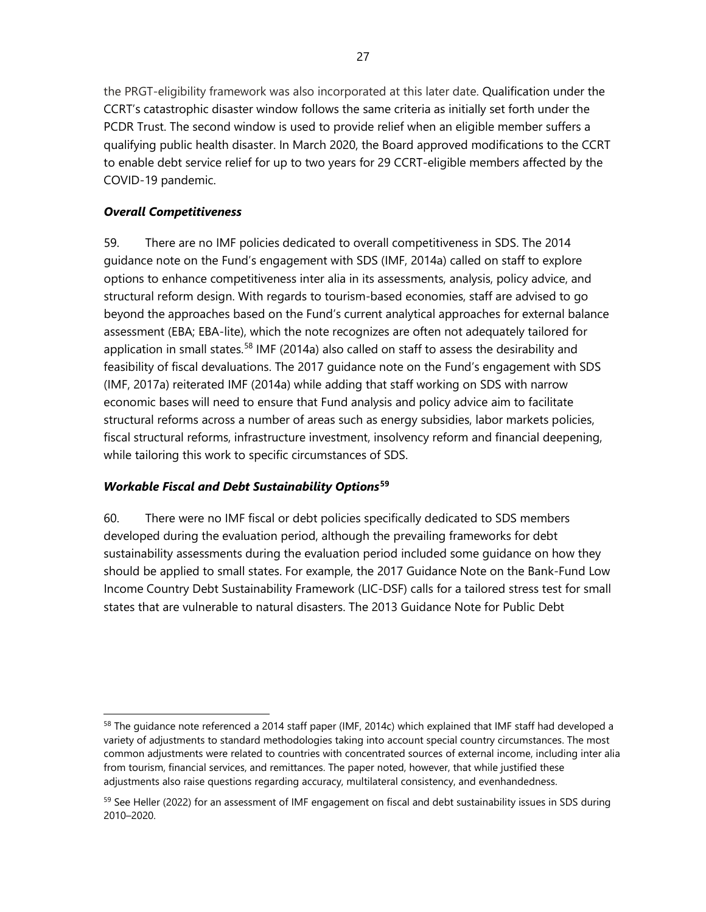the PRGT-eligibility framework was also incorporated at this later date. Qualification under the CCRT's catastrophic disaster window follows the same criteria as initially set forth under the PCDR Trust. The second window is used to provide relief when an eligible member suffers a qualifying public health disaster. In March 2020, the Board approved modifications to the CCRT to enable debt service relief for up to two years for 29 CCRT-eligible members affected by the COVID-19 pandemic.

# *Overall Competitiveness*

59. There are no IMF policies dedicated to overall competitiveness in SDS. The 2014 guidance note on the Fund's engagement with SDS (IMF, 2014a) called on staff to explore options to enhance competitiveness inter alia in its assessments, analysis, policy advice, and structural reform design. With regards to tourism-based economies, staff are advised to go beyond the approaches based on the Fund's current analytical approaches for external balance assessment (EBA; EBA-lite), which the note recognizes are often not adequately tailored for application in small states.<sup>[58](#page-34-0)</sup> IMF (2014a) also called on staff to assess the desirability and feasibility of fiscal devaluations. The 2017 guidance note on the Fund's engagement with SDS (IMF, 2017a) reiterated IMF (2014a) while adding that staff working on SDS with narrow economic bases will need to ensure that Fund analysis and policy advice aim to facilitate structural reforms across a number of areas such as energy subsidies, labor markets policies, fiscal structural reforms, infrastructure investment, insolvency reform and financial deepening, while tailoring this work to specific circumstances of SDS.

# *Workable Fiscal and Debt Sustainability Options***[59](#page-34-1)**

60. There were no IMF fiscal or debt policies specifically dedicated to SDS members developed during the evaluation period, although the prevailing frameworks for debt sustainability assessments during the evaluation period included some guidance on how they should be applied to small states. For example, the 2017 Guidance Note on the Bank-Fund Low Income Country Debt Sustainability Framework (LIC-DSF) calls for a tailored stress test for small states that are vulnerable to natural disasters. The 2013 Guidance Note for Public Debt

<span id="page-34-0"></span><sup>&</sup>lt;sup>58</sup> The guidance note referenced a 2014 staff paper (IMF, 2014c) which explained that IMF staff had developed a variety of adjustments to standard methodologies taking into account special country circumstances. The most common adjustments were related to countries with concentrated sources of external income, including inter alia from tourism, financial services, and remittances. The paper noted, however, that while justified these adjustments also raise questions regarding accuracy, multilateral consistency, and evenhandedness.

<span id="page-34-1"></span> $<sup>59</sup>$  See Heller (2022) for an assessment of IMF engagement on fiscal and debt sustainability issues in SDS during</sup> 2010–2020.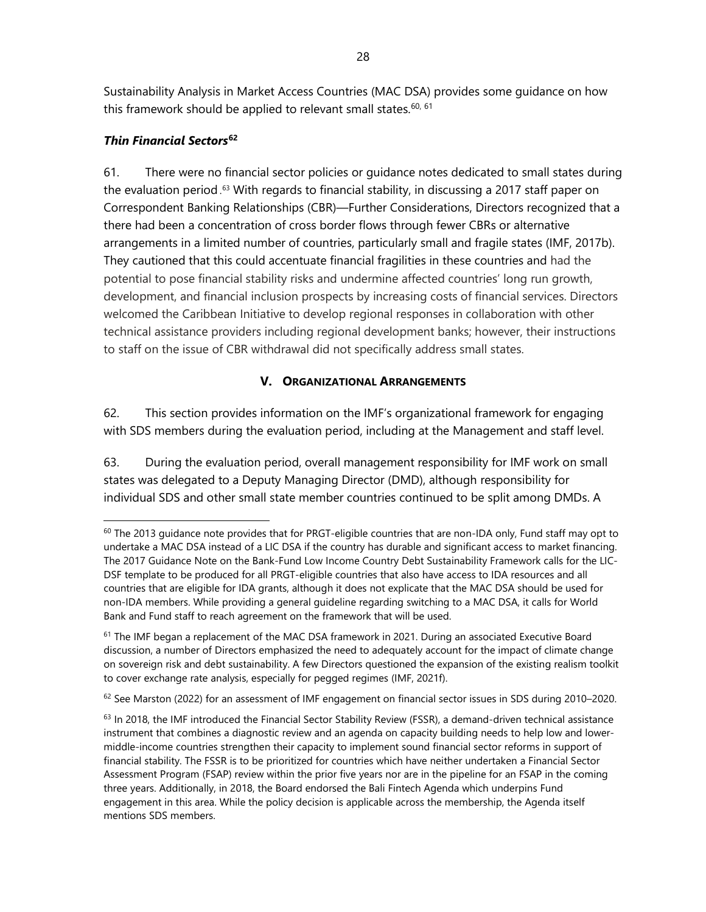Sustainability Analysis in Market Access Countries (MAC DSA) provides some guidance on how this framework should be applied to relevant small states.  $60, 61$  $60, 61$  $60, 61$ 

# *Thin Financial Sectors***[62](#page-35-2)**

61. There were no financial sector policies or guidance notes dedicated to small states during the evaluation period . [63](#page-35-3) With regards to financial stability, in discussing a 2017 staff paper on Correspondent Banking Relationships (CBR)—Further Considerations, Directors recognized that a there had been a concentration of cross border flows through fewer CBRs or alternative arrangements in a limited number of countries, particularly small and fragile states (IMF, 2017b). They cautioned that this could accentuate financial fragilities in these countries and had the potential to pose financial stability risks and undermine affected countries' long run growth, development, and financial inclusion prospects by increasing costs of financial services. Directors welcomed the Caribbean Initiative to develop regional responses in collaboration with other technical assistance providers including regional development banks; however, their instructions to staff on the issue of CBR withdrawal did not specifically address small states.

# **V. ORGANIZATIONAL ARRANGEMENTS**

62. This section provides information on the IMF's organizational framework for engaging with SDS members during the evaluation period, including at the Management and staff level.

63. During the evaluation period, overall management responsibility for IMF work on small states was delegated to a Deputy Managing Director (DMD), although responsibility for individual SDS and other small state member countries continued to be split among DMDs. A

<span id="page-35-0"></span> $60$  The 2013 guidance note provides that for PRGT-eligible countries that are non-IDA only, Fund staff may opt to undertake a MAC DSA instead of a LIC DSA if the country has durable and significant access to market financing. The 2017 Guidance Note on the Bank-Fund Low Income Country Debt Sustainability Framework calls for the LIC-DSF template to be produced for all PRGT-eligible countries that also have access to IDA resources and all countries that are eligible for IDA grants, although it does not explicate that the MAC DSA should be used for non-IDA members. While providing a general guideline regarding switching to a MAC DSA, it calls for World Bank and Fund staff to reach agreement on the framework that will be used.

<span id="page-35-1"></span> $61$  The IMF began a replacement of the MAC DSA framework in 2021. During an associated Executive Board discussion, a number of Directors emphasized the need to adequately account for the impact of climate change on sovereign risk and debt sustainability. A few Directors questioned the expansion of the existing realism toolkit to cover exchange rate analysis, especially for pegged regimes (IMF, 2021f).

<span id="page-35-2"></span> $62$  See Marston (2022) for an assessment of IMF engagement on financial sector issues in SDS during 2010–2020.

<span id="page-35-3"></span> $63$  In 2018, the IMF introduced the Financial Sector Stability Review (FSSR), a demand-driven technical assistance instrument that combines a diagnostic review and an agenda on capacity building needs to help low and lowermiddle-income countries strengthen their capacity to implement sound financial sector reforms in support of financial stability. The FSSR is to be prioritized for countries which have neither undertaken a Financial Sector Assessment Program (FSAP) review within the prior five years nor are in the pipeline for an FSAP in the coming three years. Additionally, in 2018, the Board endorsed the Bali Fintech Agenda which underpins Fund engagement in this area. While the policy decision is applicable across the membership, the Agenda itself mentions SDS members.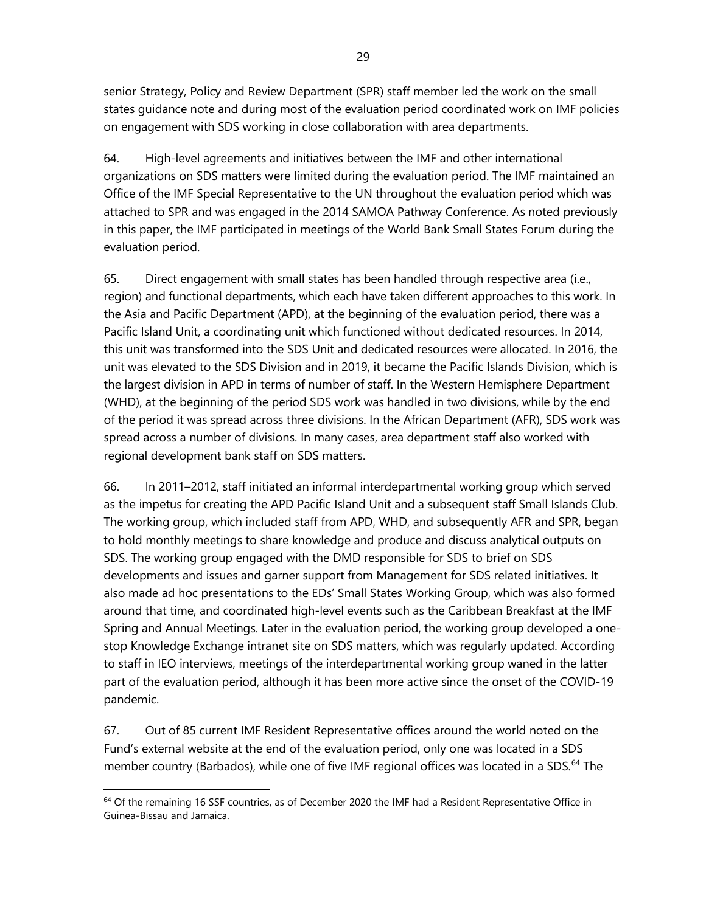senior Strategy, Policy and Review Department (SPR) staff member led the work on the small states guidance note and during most of the evaluation period coordinated work on IMF policies on engagement with SDS working in close collaboration with area departments.

64. High-level agreements and initiatives between the IMF and other international organizations on SDS matters were limited during the evaluation period. The IMF maintained an Office of the IMF Special Representative to the UN throughout the evaluation period which was attached to SPR and was engaged in the 2014 SAMOA Pathway Conference. As noted previously in this paper, the IMF participated in meetings of the World Bank Small States Forum during the evaluation period.

65. Direct engagement with small states has been handled through respective area (i.e., region) and functional departments, which each have taken different approaches to this work. In the Asia and Pacific Department (APD), at the beginning of the evaluation period, there was a Pacific Island Unit, a coordinating unit which functioned without dedicated resources. In 2014, this unit was transformed into the SDS Unit and dedicated resources were allocated. In 2016, the unit was elevated to the SDS Division and in 2019, it became the Pacific Islands Division, which is the largest division in APD in terms of number of staff. In the Western Hemisphere Department (WHD), at the beginning of the period SDS work was handled in two divisions, while by the end of the period it was spread across three divisions. In the African Department (AFR), SDS work was spread across a number of divisions. In many cases, area department staff also worked with regional development bank staff on SDS matters.

66. In 2011–2012, staff initiated an informal interdepartmental working group which served as the impetus for creating the APD Pacific Island Unit and a subsequent staff Small Islands Club. The working group, which included staff from APD, WHD, and subsequently AFR and SPR, began to hold monthly meetings to share knowledge and produce and discuss analytical outputs on SDS. The working group engaged with the DMD responsible for SDS to brief on SDS developments and issues and garner support from Management for SDS related initiatives. It also made ad hoc presentations to the EDs' Small States Working Group, which was also formed around that time, and coordinated high-level events such as the Caribbean Breakfast at the IMF Spring and Annual Meetings. Later in the evaluation period, the working group developed a onestop Knowledge Exchange intranet site on SDS matters, which was regularly updated. According to staff in IEO interviews, meetings of the interdepartmental working group waned in the latter part of the evaluation period, although it has been more active since the onset of the COVID-19 pandemic.

67. Out of 85 current IMF Resident Representative offices around the world noted on the Fund's external website at the end of the evaluation period, only one was located in a SDS member country (Barbados), while one of five IMF regional offices was located in a SDS.<sup>[64](#page-36-0)</sup> The

<span id="page-36-0"></span><sup>&</sup>lt;sup>64</sup> Of the remaining 16 SSF countries, as of December 2020 the IMF had a Resident Representative Office in Guinea-Bissau and Jamaica.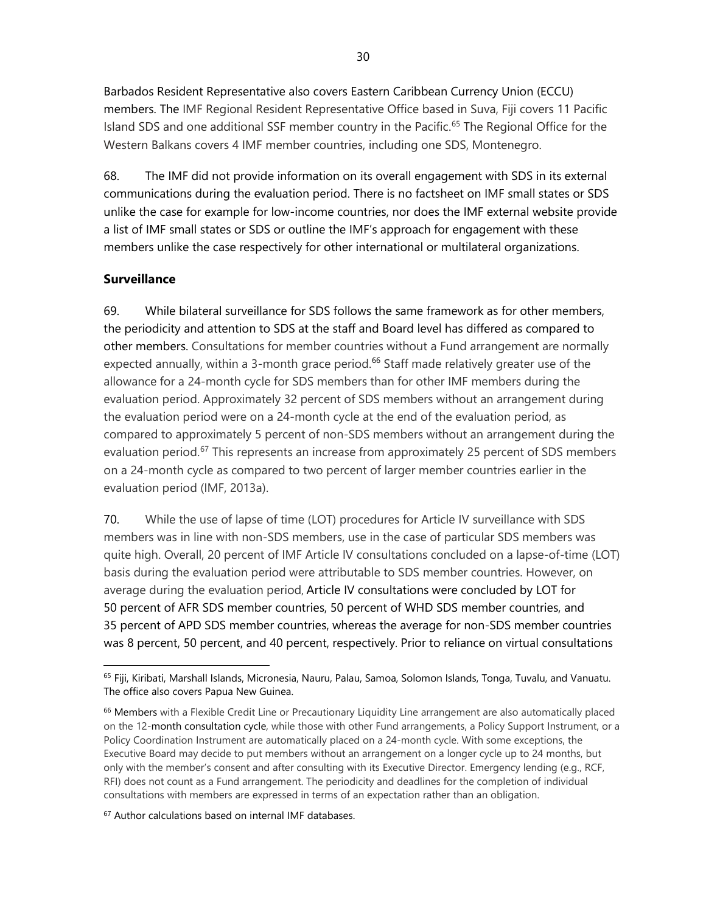Barbados Resident Representative also covers Eastern Caribbean Currency Union (ECCU) members. The IMF Regional Resident Representative Office based in Suva, Fiji covers 11 Pacific Island SDS and one additional SSF member country in the Pacific.<sup>[65](#page-37-0)</sup> The Regional Office for the Western Balkans covers 4 IMF member countries, including one SDS, Montenegro.

68. The IMF did not provide information on its overall engagement with SDS in its external communications during the evaluation period. There is no factsheet on IMF small states or SDS unlike the case for example for low-income countries, nor does the IMF external website provide a list of IMF small states or SDS or outline the IMF's approach for engagement with these members unlike the case respectively for other international or multilateral organizations.

# **Surveillance**

69. While bilateral surveillance for SDS follows the same framework as for other members, the periodicity and attention to SDS at the staff and Board level has differed as compared to other members. Consultations for member countries without a Fund arrangement are normally expected annually, within a 3-month grace period.<sup>[66](#page-37-1)</sup> Staff made relatively greater use of the allowance for a 24-month cycle for SDS members than for other IMF members during the evaluation period. Approximately 32 percent of SDS members without an arrangement during the evaluation period were on a 24-month cycle at the end of the evaluation period, as compared to approximately 5 percent of non-SDS members without an arrangement during the evaluation period.<sup>[67](#page-37-2)</sup> This represents an increase from approximately 25 percent of SDS members on a 24-month cycle as compared to two percent of larger member countries earlier in the evaluation period (IMF, 2013a).

70. While the use of lapse of time (LOT) procedures for Article IV surveillance with SDS members was in line with non-SDS members, use in the case of particular SDS members was quite high. Overall, 20 percent of IMF Article IV consultations concluded on a lapse-of-time (LOT) basis during the evaluation period were attributable to SDS member countries. However, on average during the evaluation period, Article IV consultations were concluded by LOT for 50 percent of AFR SDS member countries, 50 percent of WHD SDS member countries, and 35 percent of APD SDS member countries, whereas the average for non-SDS member countries was 8 percent, 50 percent, and 40 percent, respectively. Prior to reliance on virtual consultations

<span id="page-37-2"></span><sup>67</sup> Author calculations based on internal IMF databases.

<span id="page-37-0"></span><sup>65</sup> [Fiji,](https://www.imf.org/external/country/FJI/index.htm) [Kiribati,](https://www.imf.org/external/country/KIR/index.htm) [Marshall Islands,](https://www.imf.org/external/country/MHL/index.htm) [Micronesia,](https://www.imf.org/external/country/FSM/index.htm) [Nauru,](https://www.imf.org/external/country/NRU/index.htm) [Palau,](https://www.imf.org/external/country/PLW/index.htm) [Samoa,](https://www.imf.org/external/country/WSM/index.htm) [Solomon Islands,](https://www.imf.org/external/cou%20href=) [Tonga,](https://www.imf.org/external/country/TON/index.htm) [Tuvalu,](https://www.imf.org/external/country/TUV/index.htm) and [Vanuatu.](https://www.imf.org/external/country/VUT/index.htm)  The office also cover[s Papua New Guinea.](https://www.imf.org/external/country/PNG/index.htm)

<span id="page-37-1"></span><sup>&</sup>lt;sup>66</sup> Members with a Flexible Credit Line or Precautionary Liquidity Line arrangement are also automatically placed on the 12-month consultation cycle, while those with other Fund arrangements, a Policy Support Instrument, or a Policy Coordination Instrument are automatically placed on a 24-month cycle. With some exceptions, the Executive Board may decide to put members without an arrangement on a longer cycle up to 24 months, but only with the member's consent and after consulting with its Executive Director. Emergency lending (e.g., RCF, RFI) does not count as a Fund arrangement. The periodicity and deadlines for the completion of individual consultations with members are expressed in terms of an expectation rather than an obligation.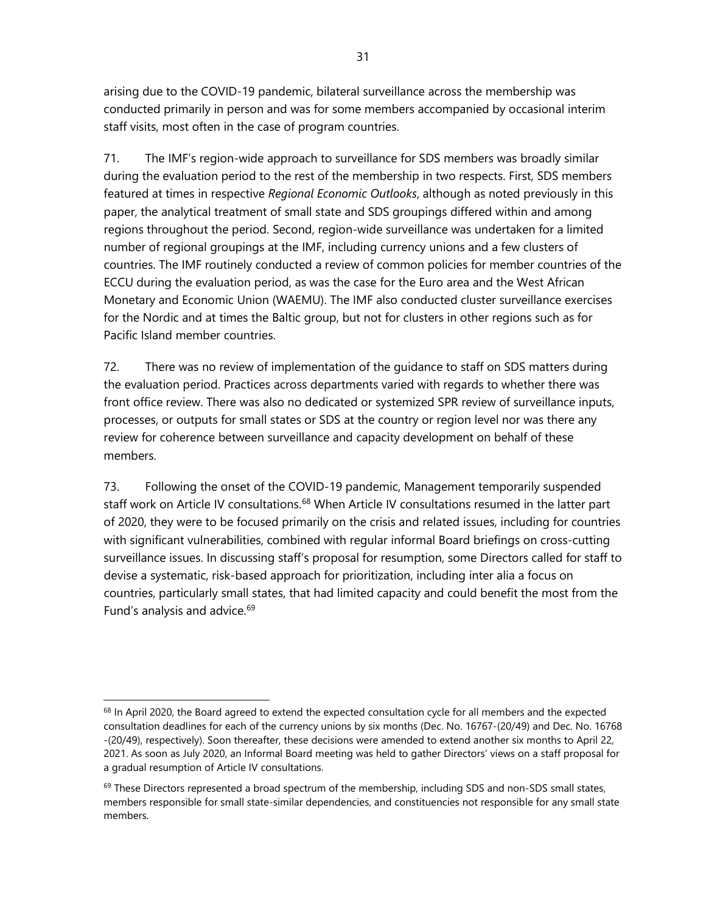arising due to the COVID-19 pandemic, bilateral surveillance across the membership was conducted primarily in person and was for some members accompanied by occasional interim staff visits, most often in the case of program countries.

71. The IMF's region-wide approach to surveillance for SDS members was broadly similar during the evaluation period to the rest of the membership in two respects. First, SDS members featured at times in respective *Regional Economic Outlooks*, although as noted previously in this paper, the analytical treatment of small state and SDS groupings differed within and among regions throughout the period. Second, region-wide surveillance was undertaken for a limited number of regional groupings at the IMF, including currency unions and a few clusters of countries. The IMF routinely conducted a review of common policies for member countries of the ECCU during the evaluation period, as was the case for the Euro area and the West African Monetary and Economic Union (WAEMU). The IMF also conducted cluster surveillance exercises for the Nordic and at times the Baltic group, but not for clusters in other regions such as for Pacific Island member countries.

72. There was no review of implementation of the guidance to staff on SDS matters during the evaluation period. Practices across departments varied with regards to whether there was front office review. There was also no dedicated or systemized SPR review of surveillance inputs, processes, or outputs for small states or SDS at the country or region level nor was there any review for coherence between surveillance and capacity development on behalf of these members.

73. Following the onset of the COVID-19 pandemic, Management temporarily suspended staff work on Article IV consultations.<sup>[68](#page-38-0)</sup> When Article IV consultations resumed in the latter part of 2020, they were to be focused primarily on the crisis and related issues, including for countries with significant vulnerabilities, combined with regular informal Board briefings on cross-cutting surveillance issues. In discussing staff's proposal for resumption, some Directors called for staff to devise a systematic, risk-based approach for prioritization, including inter alia a focus on countries, particularly small states, that had limited capacity and could benefit the most from the Fund's analysis and advice.<sup>[69](#page-38-1)</sup>

<span id="page-38-0"></span><sup>&</sup>lt;sup>68</sup> In April 2020, the Board agreed to extend the expected consultation cycle for all members and the expected consultation deadlines for each of the currency unions by six months (Dec. No. 16767-(20/49) and Dec. No. 16768 -(20/49), respectively). Soon thereafter, these decisions were amended to extend another six months to April 22, 2021. As soon as July 2020, an Informal Board meeting was held to gather Directors' views on a staff proposal for a gradual resumption of Article IV consultations.

<span id="page-38-1"></span> $69$  These Directors represented a broad spectrum of the membership, including SDS and non-SDS small states, members responsible for small state-similar dependencies, and constituencies not responsible for any small state members.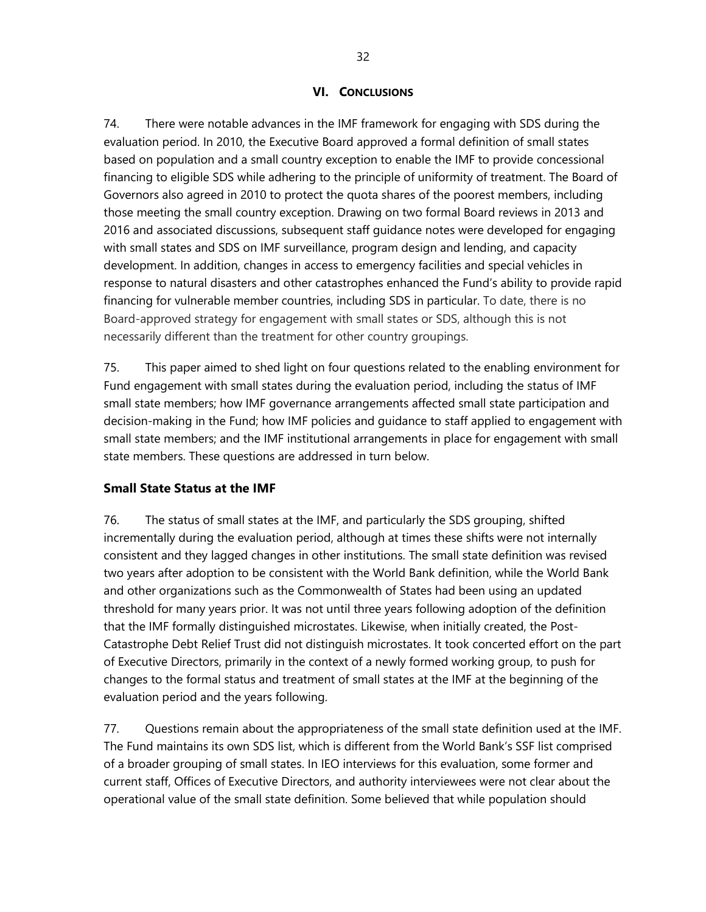#### **VI. CONCLUSIONS**

74. There were notable advances in the IMF framework for engaging with SDS during the evaluation period. In 2010, the Executive Board approved a formal definition of small states based on population and a small country exception to enable the IMF to provide concessional financing to eligible SDS while adhering to the principle of uniformity of treatment. The Board of Governors also agreed in 2010 to protect the quota shares of the poorest members, including those meeting the small country exception. Drawing on two formal Board reviews in 2013 and 2016 and associated discussions, subsequent staff guidance notes were developed for engaging with small states and SDS on IMF surveillance, program design and lending, and capacity development. In addition, changes in access to emergency facilities and special vehicles in response to natural disasters and other catastrophes enhanced the Fund's ability to provide rapid financing for vulnerable member countries, including SDS in particular. To date, there is no Board-approved strategy for engagement with small states or SDS, although this is not necessarily different than the treatment for other country groupings.

75. This paper aimed to shed light on four questions related to the enabling environment for Fund engagement with small states during the evaluation period, including the status of IMF small state members; how IMF governance arrangements affected small state participation and decision-making in the Fund; how IMF policies and guidance to staff applied to engagement with small state members; and the IMF institutional arrangements in place for engagement with small state members. These questions are addressed in turn below.

#### **Small State Status at the IMF**

76. The status of small states at the IMF, and particularly the SDS grouping, shifted incrementally during the evaluation period, although at times these shifts were not internally consistent and they lagged changes in other institutions. The small state definition was revised two years after adoption to be consistent with the World Bank definition, while the World Bank and other organizations such as the Commonwealth of States had been using an updated threshold for many years prior. It was not until three years following adoption of the definition that the IMF formally distinguished microstates. Likewise, when initially created, the Post-Catastrophe Debt Relief Trust did not distinguish microstates. It took concerted effort on the part of Executive Directors, primarily in the context of a newly formed working group, to push for changes to the formal status and treatment of small states at the IMF at the beginning of the evaluation period and the years following.

77. Questions remain about the appropriateness of the small state definition used at the IMF. The Fund maintains its own SDS list, which is different from the World Bank's SSF list comprised of a broader grouping of small states. In IEO interviews for this evaluation, some former and current staff, Offices of Executive Directors, and authority interviewees were not clear about the operational value of the small state definition. Some believed that while population should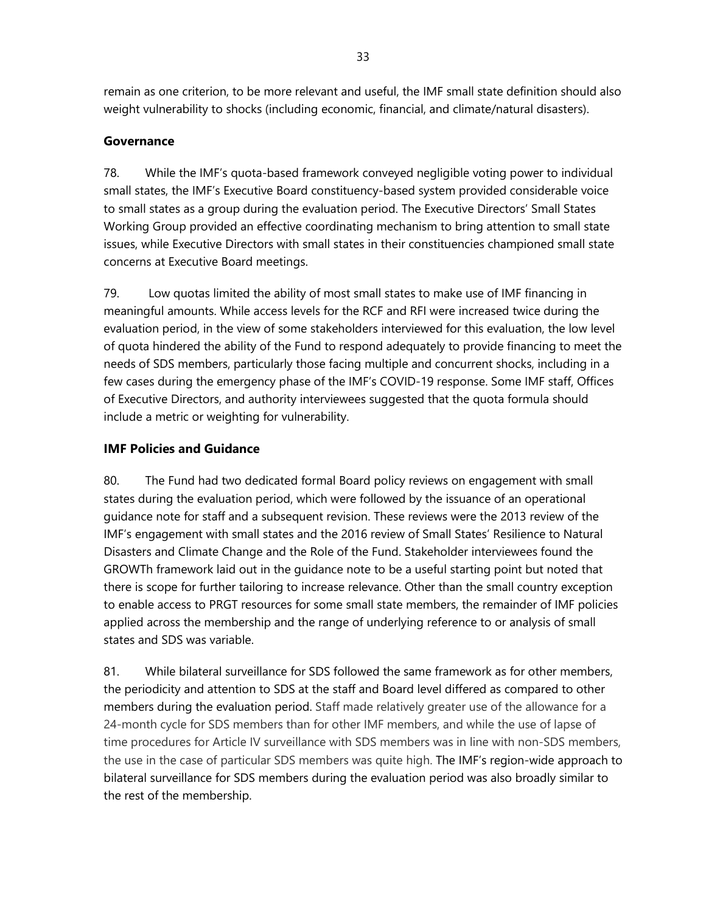remain as one criterion, to be more relevant and useful, the IMF small state definition should also weight vulnerability to shocks (including economic, financial, and climate/natural disasters).

# **Governance**

78. While the IMF's quota-based framework conveyed negligible voting power to individual small states, the IMF's Executive Board constituency-based system provided considerable voice to small states as a group during the evaluation period. The Executive Directors' Small States Working Group provided an effective coordinating mechanism to bring attention to small state issues, while Executive Directors with small states in their constituencies championed small state concerns at Executive Board meetings.

79. Low quotas limited the ability of most small states to make use of IMF financing in meaningful amounts. While access levels for the RCF and RFI were increased twice during the evaluation period, in the view of some stakeholders interviewed for this evaluation, the low level of quota hindered the ability of the Fund to respond adequately to provide financing to meet the needs of SDS members, particularly those facing multiple and concurrent shocks, including in a few cases during the emergency phase of the IMF's COVID-19 response. Some IMF staff, Offices of Executive Directors, and authority interviewees suggested that the quota formula should include a metric or weighting for vulnerability.

# **IMF Policies and Guidance**

80. The Fund had two dedicated formal Board policy reviews on engagement with small states during the evaluation period, which were followed by the issuance of an operational guidance note for staff and a subsequent revision. These reviews were the 2013 review of the IMF's engagement with small states and the 2016 review of Small States' Resilience to Natural Disasters and Climate Change and the Role of the Fund. Stakeholder interviewees found the GROWTh framework laid out in the guidance note to be a useful starting point but noted that there is scope for further tailoring to increase relevance. Other than the small country exception to enable access to PRGT resources for some small state members, the remainder of IMF policies applied across the membership and the range of underlying reference to or analysis of small states and SDS was variable.

81. While bilateral surveillance for SDS followed the same framework as for other members, the periodicity and attention to SDS at the staff and Board level differed as compared to other members during the evaluation period. Staff made relatively greater use of the allowance for a 24-month cycle for SDS members than for other IMF members, and while the use of lapse of time procedures for Article IV surveillance with SDS members was in line with non-SDS members, the use in the case of particular SDS members was quite high. The IMF's region-wide approach to bilateral surveillance for SDS members during the evaluation period was also broadly similar to the rest of the membership.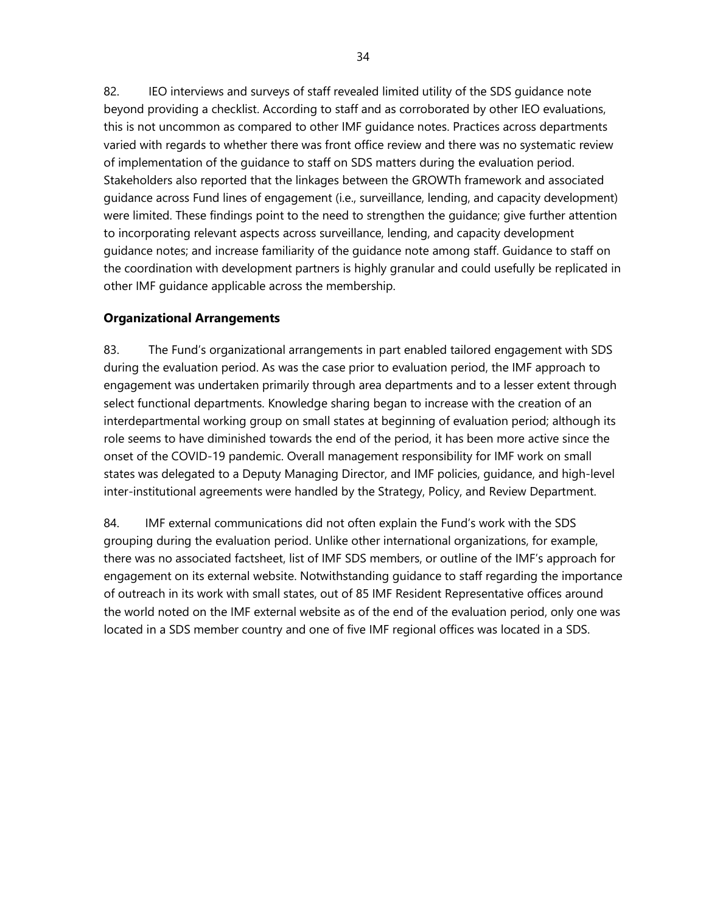82. IEO interviews and surveys of staff revealed limited utility of the SDS guidance note beyond providing a checklist. According to staff and as corroborated by other IEO evaluations, this is not uncommon as compared to other IMF guidance notes. Practices across departments varied with regards to whether there was front office review and there was no systematic review of implementation of the guidance to staff on SDS matters during the evaluation period. Stakeholders also reported that the linkages between the GROWTh framework and associated guidance across Fund lines of engagement (i.e., surveillance, lending, and capacity development) were limited. These findings point to the need to strengthen the guidance; give further attention to incorporating relevant aspects across surveillance, lending, and capacity development guidance notes; and increase familiarity of the guidance note among staff. Guidance to staff on the coordination with development partners is highly granular and could usefully be replicated in other IMF guidance applicable across the membership.

# **Organizational Arrangements**

83. The Fund's organizational arrangements in part enabled tailored engagement with SDS during the evaluation period. As was the case prior to evaluation period, the IMF approach to engagement was undertaken primarily through area departments and to a lesser extent through select functional departments. Knowledge sharing began to increase with the creation of an interdepartmental working group on small states at beginning of evaluation period; although its role seems to have diminished towards the end of the period, it has been more active since the onset of the COVID-19 pandemic. Overall management responsibility for IMF work on small states was delegated to a Deputy Managing Director, and IMF policies, guidance, and high-level inter-institutional agreements were handled by the Strategy, Policy, and Review Department.

84. IMF external communications did not often explain the Fund's work with the SDS grouping during the evaluation period. Unlike other international organizations, for example, there was no associated factsheet, list of IMF SDS members, or outline of the IMF's approach for engagement on its external website. Notwithstanding guidance to staff regarding the importance of outreach in its work with small states, out of 85 IMF Resident Representative offices around the world noted on the IMF external website as of the end of the evaluation period, only one was located in a SDS member country and one of five IMF regional offices was located in a SDS.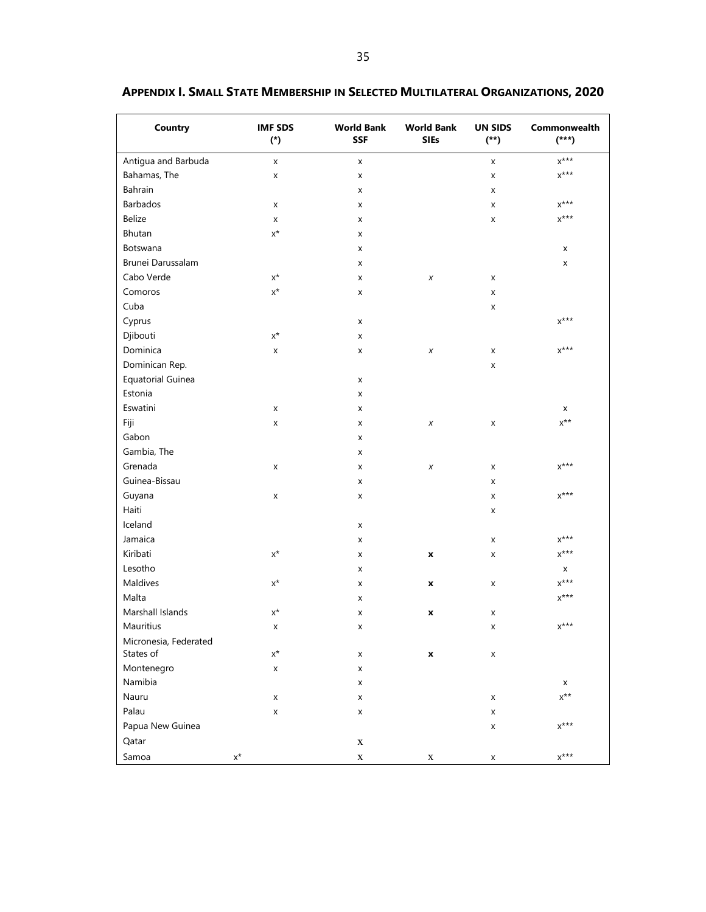| <b>Country</b>        | <b>IMF SDS</b><br>$(*)$ | <b>World Bank</b><br><b>SSF</b> | <b>World Bank</b><br><b>SIEs</b> | <b>UN SIDS</b><br>$^{(*)}$ | Commonwealth<br>$(***)$        |
|-----------------------|-------------------------|---------------------------------|----------------------------------|----------------------------|--------------------------------|
| Antigua and Barbuda   | $\pmb{\times}$          | X                               |                                  | X                          | $X^{\star\star\star}$          |
| Bahamas, The          | X                       | X                               |                                  | x                          | $X^{\star\star\star}$          |
| Bahrain               |                         | X                               |                                  | x                          |                                |
| Barbados              | X                       | X                               |                                  | x                          | $x^{***}$                      |
| Belize                | X                       | X                               |                                  | x                          | $x^{***}$                      |
| Bhutan                | $\mathsf{X}^\star$      | X                               |                                  |                            |                                |
| Botswana              |                         | x                               |                                  |                            | X                              |
| Brunei Darussalam     |                         | X                               |                                  |                            | X                              |
| Cabo Verde            | $\mathsf{X}^\star$      | X                               | X                                | x                          |                                |
| Comoros               | $\mathsf{X}^\star$      | X                               |                                  | X                          |                                |
| Cuba                  |                         |                                 |                                  | x                          |                                |
| Cyprus                |                         | X                               |                                  |                            | $x^{***}$                      |
| Djibouti              | $\mathsf{X}^\star$      | X                               |                                  |                            |                                |
| Dominica              | X                       | X                               | $\chi$                           | X                          | $X^{\star\star\star}$          |
| Dominican Rep.        |                         |                                 |                                  | x                          |                                |
| Equatorial Guinea     |                         | X                               |                                  |                            |                                |
| Estonia               |                         | X                               |                                  |                            |                                |
| Eswatini              | X                       | X                               |                                  |                            | X                              |
| Fiji                  | X                       | X                               | X                                | x                          | $x^{\star\star}$               |
| Gabon                 |                         | X                               |                                  |                            |                                |
| Gambia, The           |                         | X                               |                                  |                            |                                |
| Grenada               | X                       | X                               | X                                | x                          | $x^{***}$                      |
| Guinea-Bissau         |                         | X                               |                                  | x                          |                                |
| Guyana                | X                       | X                               |                                  | x                          | $X^{\star\star\star}$          |
| Haiti                 |                         |                                 |                                  | x                          |                                |
| Iceland               |                         | X                               |                                  |                            |                                |
| Jamaica               |                         | X                               |                                  | X                          | $x^{***}$                      |
| Kiribati              | $\mathsf{X}^\star$      | x                               | X                                | X                          | $X^{\star\star\star}$          |
| Lesotho               |                         | X                               |                                  |                            | x                              |
| Maldives              | $\mathsf{X}^\star$      | x                               | X                                | x                          | $X^{\star\star\star}$          |
| Malta                 |                         | X                               |                                  |                            | $x^{***}$                      |
| Marshall Islands      | $\mathsf{X}^\star$      | x                               | x                                | x                          |                                |
| Mauritius             | $\mathsf X$             | x                               |                                  | X                          | $x^{***}$                      |
| Micronesia, Federated |                         |                                 |                                  |                            |                                |
| States of             | $\mathsf{X}^\star$      | X                               | x                                | X                          |                                |
| Montenegro            | X                       | X                               |                                  |                            |                                |
| Namibia               |                         | x                               |                                  |                            | X                              |
| Nauru                 | X                       | x                               |                                  | X                          | $x^{\star\star}$               |
| Palau                 | X                       | x                               |                                  | X                          |                                |
| Papua New Guinea      |                         |                                 |                                  | X                          | $x^{***}$                      |
| Qatar                 |                         | $\mathbf X$                     |                                  |                            |                                |
| Samoa                 | $\mathsf{X}^\star$      | $\mathbf X$                     | X                                | X                          | $\mathsf{X}^{\star\star\star}$ |

# <span id="page-42-0"></span>**APPENDIX I. SMALL STATE MEMBERSHIP IN SELECTED MULTILATERAL ORGANIZATIONS, 2020**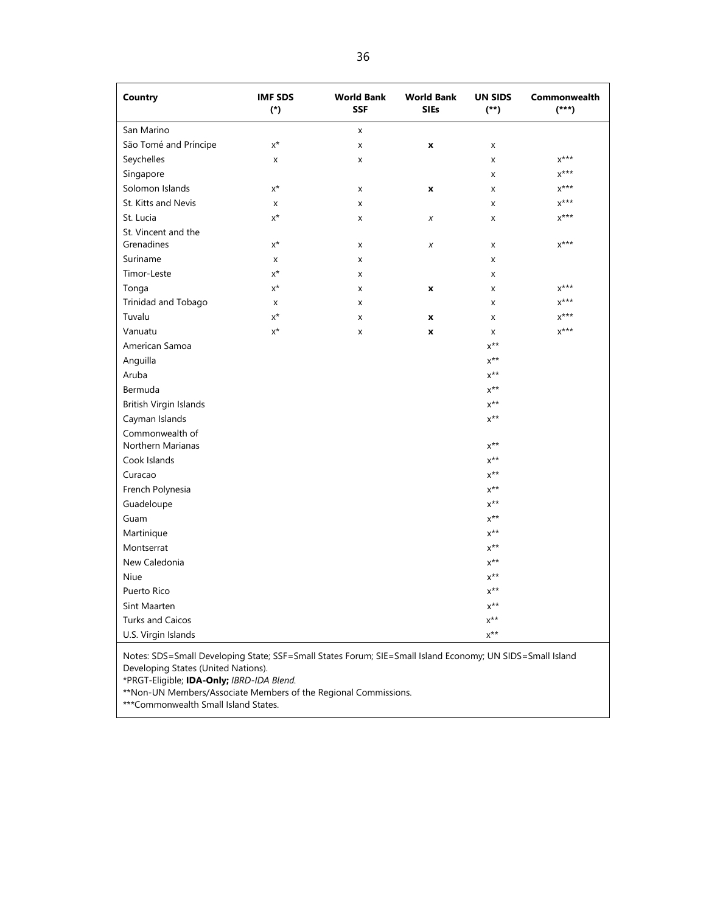| <b>Country</b>                       | <b>IMF SDS</b><br>$(*)$ | <b>World Bank</b><br><b>SSF</b> | <b>World Bank</b><br><b>SIEs</b> | <b>UN SIDS</b><br>$(**)$  | Commonwealth<br>$(***)$ |
|--------------------------------------|-------------------------|---------------------------------|----------------------------------|---------------------------|-------------------------|
| San Marino                           |                         | $\pmb{\mathsf{X}}$              |                                  |                           |                         |
| São Tomé and Príncipe                | $x^*$                   | X                               | $\pmb{\mathsf{x}}$               | X                         |                         |
| Seychelles                           | x                       | X                               |                                  | X                         | $x^{***}$               |
| Singapore                            |                         |                                 |                                  | X                         | $X^{***}$               |
| Solomon Islands                      | $x^*$                   | x                               | $\pmb{\mathsf{x}}$               | X                         | $X^{***}$               |
| St. Kitts and Nevis                  | X                       | X                               |                                  | X                         | $x***$                  |
| St. Lucia                            | $x^*$                   | X                               | X                                | X                         | $x^{***}$               |
| St. Vincent and the<br>Grenadines    | $x^*$                   | X                               | $\boldsymbol{x}$                 | X                         | $x***$                  |
| Suriname                             | x                       | x                               |                                  | X                         |                         |
| Timor-Leste                          | $x^*$                   | X                               |                                  | X                         |                         |
| Tonga                                | $x^*$                   | x                               | $\pmb{\mathsf{x}}$               | X                         | $X^{***}$               |
| Trinidad and Tobago                  | x                       | X                               |                                  | X                         | $x***$                  |
| Tuvalu                               | $x^*$                   | X                               | $\boldsymbol{x}$                 | X                         | $x^{***}$               |
| Vanuatu                              | $x^*$                   | X                               | $\pmb{\mathsf{x}}$               | X                         | $x^{***}$               |
| American Samoa                       |                         |                                 |                                  | $x^{**}$                  |                         |
| Anguilla                             |                         |                                 |                                  | $\mathsf{X}^{\star\star}$ |                         |
| Aruba                                |                         |                                 |                                  | $x^{\star\star}$          |                         |
| Bermuda                              |                         |                                 |                                  | $x^{**}$                  |                         |
| British Virgin Islands               |                         |                                 |                                  | $x^{**}$                  |                         |
| Cayman Islands                       |                         |                                 |                                  | $x^{**}$                  |                         |
| Commonwealth of<br>Northern Marianas |                         |                                 |                                  | $\mathsf{X}^{\star\star}$ |                         |
| Cook Islands                         |                         |                                 |                                  | $x^{**}$                  |                         |
| Curacao                              |                         |                                 |                                  | $x^{\star\star}$          |                         |
| French Polynesia                     |                         |                                 |                                  | $x^{\star\star}$          |                         |
| Guadeloupe                           |                         |                                 |                                  | $x^{\star\star}$          |                         |
| Guam                                 |                         |                                 |                                  | $x^{\star\star}$          |                         |
| Martinique                           |                         |                                 |                                  | $\mathsf{X}^{\star\star}$ |                         |
| Montserrat                           |                         |                                 |                                  | $x^{**}$                  |                         |
| New Caledonia                        |                         |                                 |                                  | $x^{\star\star}$          |                         |
| Niue                                 |                         |                                 |                                  | $x^{**}$                  |                         |
| Puerto Rico                          |                         |                                 |                                  | $\mathsf{X}^{\star\star}$ |                         |
| Sint Maarten                         |                         |                                 |                                  | $\mathsf{X}^{\star\star}$ |                         |
| <b>Turks and Caicos</b>              |                         |                                 |                                  | $x^{**}$                  |                         |
| U.S. Virgin Islands                  |                         |                                 |                                  | $x^{\star\star}$          |                         |

Notes: SDS=Small Developing State; SSF=Small States Forum; SIE=Small Island Economy; UN SIDS=Small Island Developing States (United Nations).

\*PRGT-Eligible; **IDA-Only;** *IBRD-IDA Blend.*

\*\*Non-UN Members/Associate Members of the Regional Commissions.

\*\*\*Commonwealth Small Island States.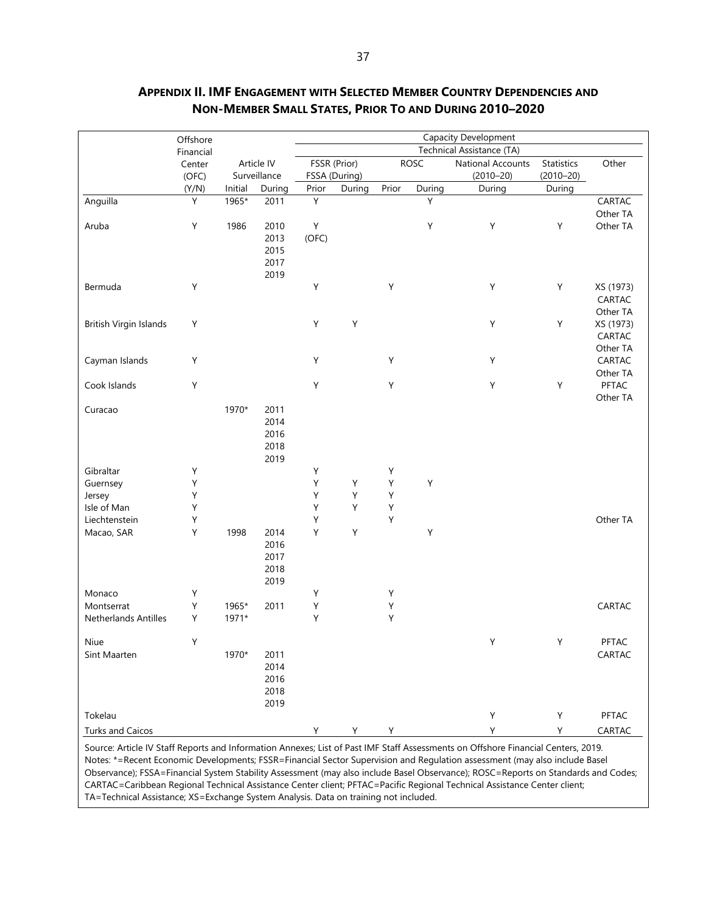| Technical Assistance (TA)<br>Financial<br>FSSR (Prior)<br>Article IV<br>ROSC<br>Statistics<br>Other<br>National Accounts<br>Center<br>Surveillance<br>FSSA (During)<br>$(2010 - 20)$<br>$(2010 - 20)$<br>(OFC)<br>Prior<br>(Y/N)<br>Prior<br>During<br>During<br>During<br>Initial<br>During<br>During<br>Υ<br>Υ<br>Υ<br>Anguilla<br>1965*<br>2011<br>CARTAC<br>Other TA<br>Aruba<br>1986<br>Υ<br>Υ<br>Υ<br>Υ<br>Other TA<br>Υ<br>2010<br>2013<br>(OFC)<br>2015<br>2017<br>2019<br>Υ<br>Υ<br>$\mathsf Y$<br>Υ<br>Bermuda<br>Υ<br>XS (1973)<br>CARTAC<br>Other TA<br>Υ<br>Υ<br>Υ<br>Υ<br>British Virgin Islands<br>Υ<br>XS (1973)<br>CARTAC<br>Other TA<br>Υ<br>Υ<br>$\mathsf Y$<br>Υ<br>CARTAC<br>Cayman Islands<br>Other TA<br>Υ<br>Υ<br>Cook Islands<br>Υ<br>Υ<br>Υ<br>PFTAC<br>Other TA<br>2011<br>1970*<br>Curacao<br>2014<br>2016<br>2018<br>2019<br>Gibraltar<br>Υ<br>Υ<br>Υ<br>Υ<br>Υ<br>Υ<br>Υ<br>Υ<br>Guernsey<br>Υ<br>Υ<br>Υ<br>Υ<br>Jersey<br>Υ<br>Υ<br>Isle of Man<br>Υ<br>Υ<br>Υ<br>Υ<br>Υ<br>Other TA<br>Liechtenstein<br>Υ<br>2014<br>Υ<br>Υ<br>Υ<br>1998<br>Macao, SAR<br>2016<br>2017<br>2018<br>2019<br>Monaco<br>Υ<br>Υ<br>Υ<br>Υ<br>Υ<br>Υ<br>1965*<br>2011<br>CARTAC<br>Montserrat<br>Υ<br>Υ<br>Υ<br>1971*<br><b>Netherlands Antilles</b><br>Y<br>PFTAC<br>Niue<br>Y<br>Y<br>1970*<br>CARTAC<br>Sint Maarten<br>2011<br>2014<br>2016<br>2018<br>2019 |         | Offshore |  | <b>Capacity Development</b> |  |  |  |   |   |       |
|---------------------------------------------------------------------------------------------------------------------------------------------------------------------------------------------------------------------------------------------------------------------------------------------------------------------------------------------------------------------------------------------------------------------------------------------------------------------------------------------------------------------------------------------------------------------------------------------------------------------------------------------------------------------------------------------------------------------------------------------------------------------------------------------------------------------------------------------------------------------------------------------------------------------------------------------------------------------------------------------------------------------------------------------------------------------------------------------------------------------------------------------------------------------------------------------------------------------------------------------------------------------------------------------------------------------------------------------------------------------------|---------|----------|--|-----------------------------|--|--|--|---|---|-------|
|                                                                                                                                                                                                                                                                                                                                                                                                                                                                                                                                                                                                                                                                                                                                                                                                                                                                                                                                                                                                                                                                                                                                                                                                                                                                                                                                                                           |         |          |  |                             |  |  |  |   |   |       |
|                                                                                                                                                                                                                                                                                                                                                                                                                                                                                                                                                                                                                                                                                                                                                                                                                                                                                                                                                                                                                                                                                                                                                                                                                                                                                                                                                                           |         |          |  |                             |  |  |  |   |   |       |
|                                                                                                                                                                                                                                                                                                                                                                                                                                                                                                                                                                                                                                                                                                                                                                                                                                                                                                                                                                                                                                                                                                                                                                                                                                                                                                                                                                           |         |          |  |                             |  |  |  |   |   |       |
|                                                                                                                                                                                                                                                                                                                                                                                                                                                                                                                                                                                                                                                                                                                                                                                                                                                                                                                                                                                                                                                                                                                                                                                                                                                                                                                                                                           |         |          |  |                             |  |  |  |   |   |       |
|                                                                                                                                                                                                                                                                                                                                                                                                                                                                                                                                                                                                                                                                                                                                                                                                                                                                                                                                                                                                                                                                                                                                                                                                                                                                                                                                                                           |         |          |  |                             |  |  |  |   |   |       |
|                                                                                                                                                                                                                                                                                                                                                                                                                                                                                                                                                                                                                                                                                                                                                                                                                                                                                                                                                                                                                                                                                                                                                                                                                                                                                                                                                                           |         |          |  |                             |  |  |  |   |   |       |
|                                                                                                                                                                                                                                                                                                                                                                                                                                                                                                                                                                                                                                                                                                                                                                                                                                                                                                                                                                                                                                                                                                                                                                                                                                                                                                                                                                           |         |          |  |                             |  |  |  |   |   |       |
|                                                                                                                                                                                                                                                                                                                                                                                                                                                                                                                                                                                                                                                                                                                                                                                                                                                                                                                                                                                                                                                                                                                                                                                                                                                                                                                                                                           |         |          |  |                             |  |  |  |   |   |       |
|                                                                                                                                                                                                                                                                                                                                                                                                                                                                                                                                                                                                                                                                                                                                                                                                                                                                                                                                                                                                                                                                                                                                                                                                                                                                                                                                                                           |         |          |  |                             |  |  |  |   |   |       |
|                                                                                                                                                                                                                                                                                                                                                                                                                                                                                                                                                                                                                                                                                                                                                                                                                                                                                                                                                                                                                                                                                                                                                                                                                                                                                                                                                                           |         |          |  |                             |  |  |  |   |   |       |
|                                                                                                                                                                                                                                                                                                                                                                                                                                                                                                                                                                                                                                                                                                                                                                                                                                                                                                                                                                                                                                                                                                                                                                                                                                                                                                                                                                           |         |          |  |                             |  |  |  |   |   |       |
|                                                                                                                                                                                                                                                                                                                                                                                                                                                                                                                                                                                                                                                                                                                                                                                                                                                                                                                                                                                                                                                                                                                                                                                                                                                                                                                                                                           |         |          |  |                             |  |  |  |   |   |       |
|                                                                                                                                                                                                                                                                                                                                                                                                                                                                                                                                                                                                                                                                                                                                                                                                                                                                                                                                                                                                                                                                                                                                                                                                                                                                                                                                                                           |         |          |  |                             |  |  |  |   |   |       |
|                                                                                                                                                                                                                                                                                                                                                                                                                                                                                                                                                                                                                                                                                                                                                                                                                                                                                                                                                                                                                                                                                                                                                                                                                                                                                                                                                                           |         |          |  |                             |  |  |  |   |   |       |
|                                                                                                                                                                                                                                                                                                                                                                                                                                                                                                                                                                                                                                                                                                                                                                                                                                                                                                                                                                                                                                                                                                                                                                                                                                                                                                                                                                           |         |          |  |                             |  |  |  |   |   |       |
|                                                                                                                                                                                                                                                                                                                                                                                                                                                                                                                                                                                                                                                                                                                                                                                                                                                                                                                                                                                                                                                                                                                                                                                                                                                                                                                                                                           |         |          |  |                             |  |  |  |   |   |       |
|                                                                                                                                                                                                                                                                                                                                                                                                                                                                                                                                                                                                                                                                                                                                                                                                                                                                                                                                                                                                                                                                                                                                                                                                                                                                                                                                                                           |         |          |  |                             |  |  |  |   |   |       |
|                                                                                                                                                                                                                                                                                                                                                                                                                                                                                                                                                                                                                                                                                                                                                                                                                                                                                                                                                                                                                                                                                                                                                                                                                                                                                                                                                                           |         |          |  |                             |  |  |  |   |   |       |
|                                                                                                                                                                                                                                                                                                                                                                                                                                                                                                                                                                                                                                                                                                                                                                                                                                                                                                                                                                                                                                                                                                                                                                                                                                                                                                                                                                           |         |          |  |                             |  |  |  |   |   |       |
|                                                                                                                                                                                                                                                                                                                                                                                                                                                                                                                                                                                                                                                                                                                                                                                                                                                                                                                                                                                                                                                                                                                                                                                                                                                                                                                                                                           |         |          |  |                             |  |  |  |   |   |       |
|                                                                                                                                                                                                                                                                                                                                                                                                                                                                                                                                                                                                                                                                                                                                                                                                                                                                                                                                                                                                                                                                                                                                                                                                                                                                                                                                                                           |         |          |  |                             |  |  |  |   |   |       |
|                                                                                                                                                                                                                                                                                                                                                                                                                                                                                                                                                                                                                                                                                                                                                                                                                                                                                                                                                                                                                                                                                                                                                                                                                                                                                                                                                                           |         |          |  |                             |  |  |  |   |   |       |
|                                                                                                                                                                                                                                                                                                                                                                                                                                                                                                                                                                                                                                                                                                                                                                                                                                                                                                                                                                                                                                                                                                                                                                                                                                                                                                                                                                           |         |          |  |                             |  |  |  |   |   |       |
|                                                                                                                                                                                                                                                                                                                                                                                                                                                                                                                                                                                                                                                                                                                                                                                                                                                                                                                                                                                                                                                                                                                                                                                                                                                                                                                                                                           | Tokelau |          |  |                             |  |  |  | Υ | Υ | PFTAC |
| Υ<br><b>Turks and Caicos</b><br>Υ<br>CARTAC<br>Y<br>Y.<br>Y                                                                                                                                                                                                                                                                                                                                                                                                                                                                                                                                                                                                                                                                                                                                                                                                                                                                                                                                                                                                                                                                                                                                                                                                                                                                                                               |         |          |  |                             |  |  |  |   |   |       |

# <span id="page-44-0"></span>**APPENDIX II. IMF ENGAGEMENT WITH SELECTED MEMBER COUNTRY DEPENDENCIES AND NON-MEMBER SMALL STATES, PRIOR TO AND DURING 2010–2020**

Source: Article IV Staff Reports and Information Annexes; List of Past IMF Staff Assessments on Offshore Financial Centers, 2019. Notes: \*=Recent Economic Developments; FSSR=Financial Sector Supervision and Regulation assessment (may also include Basel Observance); FSSA=Financial System Stability Assessment (may also include Basel Observance); ROSC=Reports on Standards and Codes; CARTAC=Caribbean Regional Technical Assistance Center client; PFTAC=Pacific Regional Technical Assistance Center client; TA=Technical Assistance; XS=Exchange System Analysis. Data on training not included.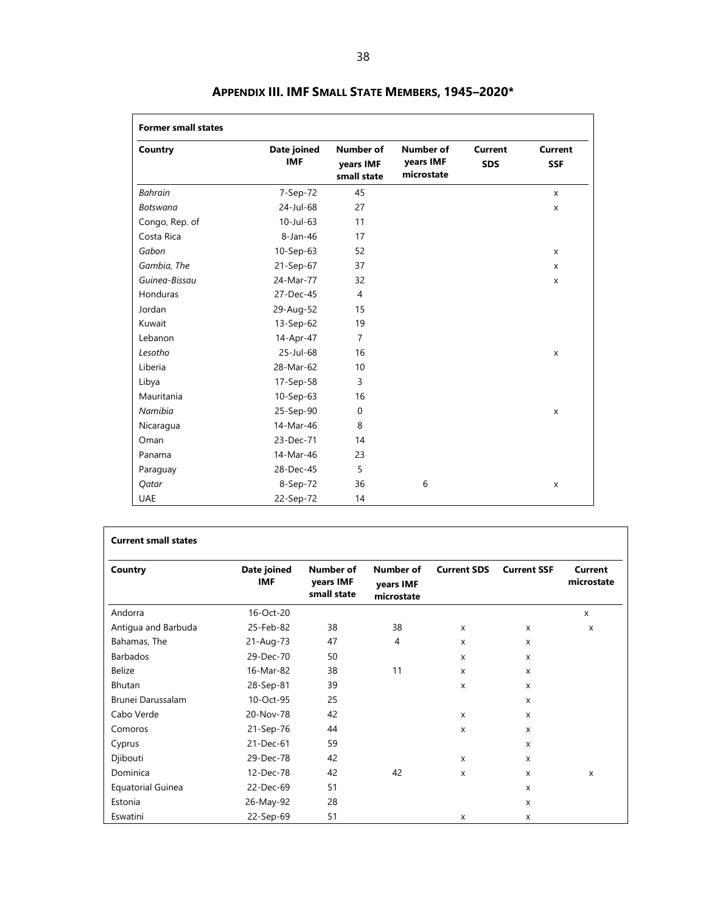<span id="page-45-0"></span>

| Country         | Date joined<br><b>IMF</b> | <b>Number of</b><br>years IMF<br>small state | Number of<br>years IMF<br>microstate | <b>Current</b><br><b>SDS</b> | Current<br><b>SSF</b> |
|-----------------|---------------------------|----------------------------------------------|--------------------------------------|------------------------------|-----------------------|
| <b>Bahrain</b>  | 7-Sep-72                  | 45                                           |                                      |                              | $\mathsf{x}$          |
| <b>Botswana</b> | 24-Jul-68                 | 27                                           |                                      |                              | $\mathsf{x}$          |
| Congo, Rep. of  | $10$ -Jul-63              | 11                                           |                                      |                              |                       |
| Costa Rica      | 8-Jan-46                  | 17                                           |                                      |                              |                       |
| Gabon           | $10-Sep-63$               | 52                                           |                                      |                              | $\mathsf{x}$          |
| Gambia, The     | 21-Sep-67                 | 37                                           |                                      |                              | X                     |
| Guinea-Bissau   | 24-Mar-77                 | 32                                           |                                      |                              | X                     |
| Honduras        | 27-Dec-45                 | 4                                            |                                      |                              |                       |
| Jordan          | 29-Aug-52                 | 15                                           |                                      |                              |                       |
| Kuwait          | 13-Sep-62                 | 19                                           |                                      |                              |                       |
| Lebanon         | 14-Apr-47                 | $\overline{7}$                               |                                      |                              |                       |
| Lesotho         | 25-Jul-68                 | 16                                           |                                      |                              | $\mathsf{x}$          |
| Liberia         | 28-Mar-62                 | 10                                           |                                      |                              |                       |
| Libya           | 17-Sep-58                 | 3                                            |                                      |                              |                       |
| Mauritania      | 10-Sep-63                 | 16                                           |                                      |                              |                       |
| Namibia         | 25-Sep-90                 | $\Omega$                                     |                                      |                              | X                     |
| Nicaragua       | 14-Mar-46                 | 8                                            |                                      |                              |                       |
| Oman            | 23-Dec-71                 | 14                                           |                                      |                              |                       |
| Panama          | 14-Mar-46                 | 23                                           |                                      |                              |                       |
| Paraguay        | 28-Dec-45                 | 5                                            |                                      |                              |                       |
| Qatar           | 8-Sep-72                  | 36                                           | 6                                    |                              | X                     |
| <b>UAE</b>      | 22-Sep-72                 | 14                                           |                                      |                              |                       |

# **APPENDIX III. IMF SMALL STATE MEMBERS, 1945–2020\***

| <b>Current small states</b> |                           |                                              |                                      |                    |                           |                           |
|-----------------------------|---------------------------|----------------------------------------------|--------------------------------------|--------------------|---------------------------|---------------------------|
| Country                     | Date joined<br><b>IMF</b> | <b>Number of</b><br>years IMF<br>small state | Number of<br>years IMF<br>microstate | <b>Current SDS</b> | <b>Current SSF</b>        | Current<br>microstate     |
| Andorra                     | 16-Oct-20                 |                                              |                                      |                    |                           | X                         |
| Antigua and Barbuda         | 25-Feb-82                 | 38                                           | 38                                   | X                  | $\boldsymbol{\mathsf{x}}$ | $\boldsymbol{\mathsf{x}}$ |
| Bahamas, The                | 21-Aug-73                 | 47                                           | 4                                    | X                  | X                         |                           |
| Barbados                    | 29-Dec-70                 | 50                                           |                                      | X                  | $\boldsymbol{\mathsf{x}}$ |                           |
| <b>Belize</b>               | 16-Mar-82                 | 38                                           | 11                                   | X                  | $\boldsymbol{\mathsf{x}}$ |                           |
| Bhutan                      | 28-Sep-81                 | 39                                           |                                      | $\mathsf{x}$       | $\boldsymbol{\mathsf{x}}$ |                           |
| Brunei Darussalam           | 10-Oct-95                 | 25                                           |                                      |                    | $\boldsymbol{\mathsf{x}}$ |                           |
| Cabo Verde                  | 20-Nov-78                 | 42                                           |                                      | X                  | X                         |                           |
| Comoros                     | 21-Sep-76                 | 44                                           |                                      | X                  | X                         |                           |
| Cyprus                      | 21-Dec-61                 | 59                                           |                                      |                    | X                         |                           |
| Djibouti                    | 29-Dec-78                 | 42                                           |                                      | X                  | $\boldsymbol{\mathsf{x}}$ |                           |
| Dominica                    | 12-Dec-78                 | 42                                           | 42                                   | X                  | x                         | X                         |
| <b>Equatorial Guinea</b>    | 22-Dec-69                 | 51                                           |                                      |                    | X                         |                           |
| Estonia                     | 26-May-92                 | 28                                           |                                      |                    | X                         |                           |
| Eswatini                    | 22-Sep-69                 | 51                                           |                                      | X                  | X                         |                           |

٦

 $\Gamma$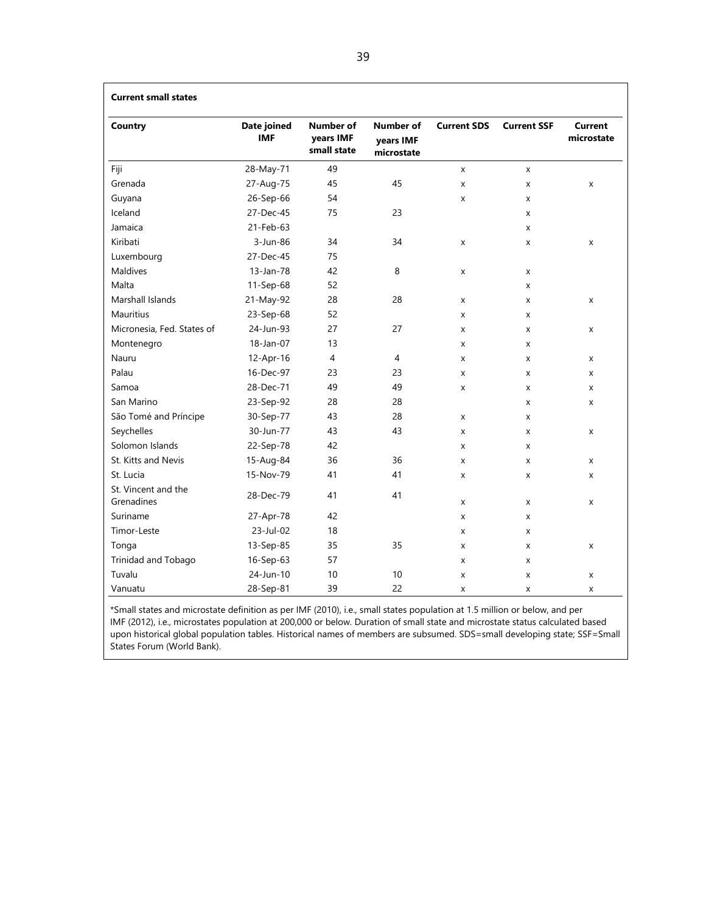| <b>Current small states</b>       |                           |                                              |                                             |                    |                    |                              |
|-----------------------------------|---------------------------|----------------------------------------------|---------------------------------------------|--------------------|--------------------|------------------------------|
| Country                           | Date joined<br><b>IMF</b> | <b>Number of</b><br>years IMF<br>small state | <b>Number of</b><br>vears IMF<br>microstate | <b>Current SDS</b> | <b>Current SSF</b> | <b>Current</b><br>microstate |
| Fiji                              | 28-May-71                 | 49                                           |                                             | X                  | X                  |                              |
| Grenada                           | 27-Aug-75                 | 45                                           | 45                                          | X                  | X                  | x                            |
| Guyana                            | 26-Sep-66                 | 54                                           |                                             | X                  | X                  |                              |
| Iceland                           | 27-Dec-45                 | 75                                           | 23                                          |                    | x                  |                              |
| Jamaica                           | 21-Feb-63                 |                                              |                                             |                    | X                  |                              |
| Kiribati                          | 3-Jun-86                  | 34                                           | 34                                          | X                  | X                  | X                            |
| Luxembourg                        | 27-Dec-45                 | 75                                           |                                             |                    |                    |                              |
| Maldives                          | 13-Jan-78                 | 42                                           | 8                                           | x                  | X                  |                              |
| Malta                             | 11-Sep-68                 | 52                                           |                                             |                    | X                  |                              |
| Marshall Islands                  | 21-May-92                 | 28                                           | 28                                          | X                  | X                  | X                            |
| <b>Mauritius</b>                  | 23-Sep-68                 | 52                                           |                                             | X                  | x                  |                              |
| Micronesia, Fed. States of        | 24-Jun-93                 | 27                                           | 27                                          | x                  | X                  | X                            |
| Montenegro                        | $18$ -Jan-07              | 13                                           |                                             | X                  | x                  |                              |
| Nauru                             | 12-Apr-16                 | 4                                            | 4                                           | x                  | X                  | x                            |
| Palau                             | 16-Dec-97                 | 23                                           | 23                                          | X                  | X                  | X                            |
| Samoa                             | 28-Dec-71                 | 49                                           | 49                                          | X                  | X                  | X                            |
| San Marino                        | 23-Sep-92                 | 28                                           | 28                                          |                    | X                  | x                            |
| São Tomé and Príncipe             | 30-Sep-77                 | 43                                           | 28                                          | X                  | X                  |                              |
| Seychelles                        | 30-Jun-77                 | 43                                           | 43                                          | X                  | X                  | X                            |
| Solomon Islands                   | 22-Sep-78                 | 42                                           |                                             | X                  | x                  |                              |
| St. Kitts and Nevis               | 15-Aug-84                 | 36                                           | 36                                          | X                  | X                  | x                            |
| St. Lucia                         | 15-Nov-79                 | 41                                           | 41                                          | x                  | x                  | x                            |
| St. Vincent and the<br>Grenadines | 28-Dec-79                 | 41                                           | 41                                          | X                  | X                  | X                            |
| Suriname                          | 27-Apr-78                 | 42                                           |                                             | x                  | X                  |                              |
| Timor-Leste                       | 23-Jul-02                 | 18                                           |                                             | X                  | X                  |                              |
| Tonga                             | 13-Sep-85                 | 35                                           | 35                                          | X                  | X                  | x                            |
| Trinidad and Tobago               | 16-Sep-63                 | 57                                           |                                             | X                  | x                  |                              |
| Tuvalu                            | 24-Jun-10                 | 10                                           | 10                                          | X                  | X                  | X                            |
| Vanuatu                           | 28-Sep-81                 | 39                                           | 22                                          | X                  | x                  | X                            |

\*Small states and microstate definition as per IMF (2010), i.e., small states population at 1.5 million or below, and per IMF (2012), i.e., microstates population at 200,000 or below. Duration of small state and microstate status calculated based upon historical global population tables. Historical names of members are subsumed. SDS=small developing state; SSF=Small States Forum (World Bank).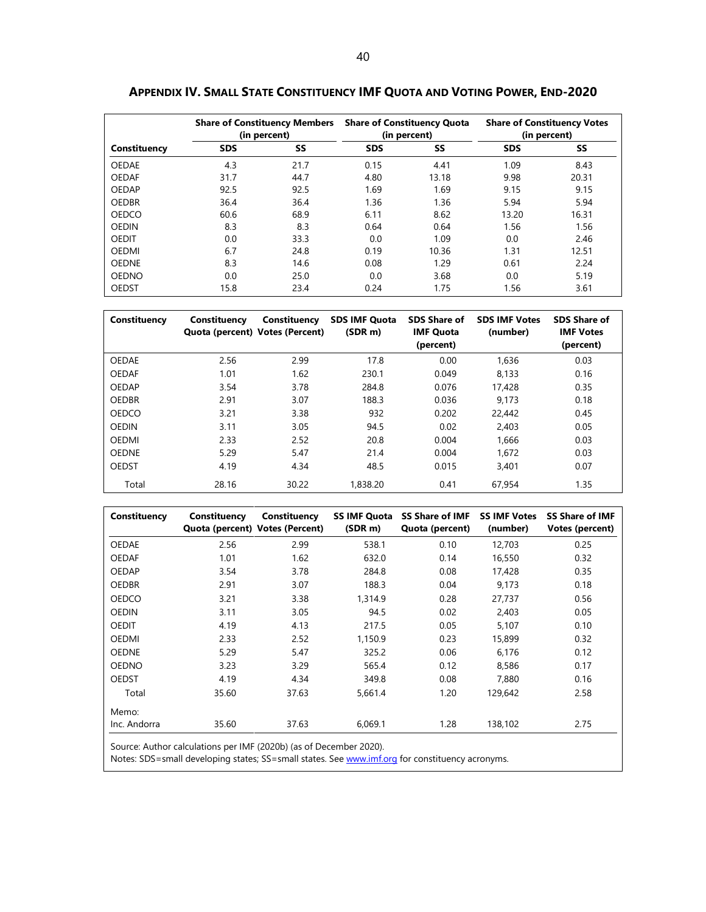|              |            | <b>Share of Constituency Members</b><br>(in percent) |            | <b>Share of Constituency Quota</b><br>(in percent) | <b>Share of Constituency Votes</b><br>(in percent) |       |
|--------------|------------|------------------------------------------------------|------------|----------------------------------------------------|----------------------------------------------------|-------|
| Constituency | <b>SDS</b> | SS                                                   | <b>SDS</b> | SS                                                 | <b>SDS</b>                                         | SS    |
| <b>OEDAE</b> | 4.3        | 21.7                                                 | 0.15       | 4.41                                               | 1.09                                               | 8.43  |
| <b>OEDAF</b> | 31.7       | 44.7                                                 | 4.80       | 13.18                                              | 9.98                                               | 20.31 |
| OEDAP        | 92.5       | 92.5                                                 | 1.69       | 1.69                                               | 9.15                                               | 9.15  |
| <b>OEDBR</b> | 36.4       | 36.4                                                 | 1.36       | 1.36                                               | 5.94                                               | 5.94  |
| <b>OEDCO</b> | 60.6       | 68.9                                                 | 6.11       | 8.62                                               | 13.20                                              | 16.31 |
| <b>OEDIN</b> | 8.3        | 8.3                                                  | 0.64       | 0.64                                               | 1.56                                               | 1.56  |
| <b>OEDIT</b> | 0.0        | 33.3                                                 | 0.0        | 1.09                                               | 0.0                                                | 2.46  |
| <b>OEDMI</b> | 6.7        | 24.8                                                 | 0.19       | 10.36                                              | 1.31                                               | 12.51 |
| <b>OEDNE</b> | 8.3        | 14.6                                                 | 0.08       | 1.29                                               | 0.61                                               | 2.24  |
| <b>OEDNO</b> | 0.0        | 25.0                                                 | 0.0        | 3.68                                               | 0.0                                                | 5.19  |
| <b>OEDST</b> | 15.8       | 23.4                                                 | 0.24       | 1.75                                               | 1.56                                               | 3.61  |

<span id="page-47-0"></span>**APPENDIX IV. SMALL STATE CONSTITUENCY IMF QUOTA AND VOTING POWER, END-2020**

| Constituency | Constituency<br>Quota (percent) Votes (Percent) | Constituency | <b>SDS IMF Quota</b><br>(SDR <sub>m</sub> ) | <b>SDS Share of</b><br><b>IMF Quota</b><br>(percent) | <b>SDS IMF Votes</b><br>(number) | <b>SDS Share of</b><br><b>IMF Votes</b><br>(percent) |
|--------------|-------------------------------------------------|--------------|---------------------------------------------|------------------------------------------------------|----------------------------------|------------------------------------------------------|
| <b>OEDAE</b> | 2.56                                            | 2.99         | 17.8                                        | 0.00                                                 | 1.636                            | 0.03                                                 |
| <b>OEDAF</b> | 1.01                                            | 1.62         | 230.1                                       | 0.049                                                | 8.133                            | 0.16                                                 |
| OEDAP        | 3.54                                            | 3.78         | 284.8                                       | 0.076                                                | 17,428                           | 0.35                                                 |
| <b>OEDBR</b> | 2.91                                            | 3.07         | 188.3                                       | 0.036                                                | 9.173                            | 0.18                                                 |
| <b>OEDCO</b> | 3.21                                            | 3.38         | 932                                         | 0.202                                                | 22,442                           | 0.45                                                 |
| <b>OEDIN</b> | 3.11                                            | 3.05         | 94.5                                        | 0.02                                                 | 2.403                            | 0.05                                                 |
| <b>OEDMI</b> | 2.33                                            | 2.52         | 20.8                                        | 0.004                                                | 1.666                            | 0.03                                                 |
| <b>OEDNE</b> | 5.29                                            | 5.47         | 21.4                                        | 0.004                                                | 1,672                            | 0.03                                                 |
| <b>OEDST</b> | 4.19                                            | 4.34         | 48.5                                        | 0.015                                                | 3.401                            | 0.07                                                 |
| Total        | 28.16                                           | 30.22        | 1,838.20                                    | 0.41                                                 | 67.954                           | 1.35                                                 |

| Constituency | Constituency<br>Quota (percent) Votes (Percent) | Constituency | <b>SS IMF Quota</b><br>$(SDR \, m)$ | <b>SS Share of IMF</b><br>Quota (percent) | <b>SS IMF Votes</b><br>(number) | <b>SS Share of IMF</b><br>Votes (percent) |
|--------------|-------------------------------------------------|--------------|-------------------------------------|-------------------------------------------|---------------------------------|-------------------------------------------|
| <b>OEDAE</b> | 2.56                                            | 2.99         | 538.1                               | 0.10                                      | 12,703                          | 0.25                                      |
| <b>OEDAF</b> | 1.01                                            | 1.62         | 632.0                               | 0.14                                      | 16,550                          | 0.32                                      |
| <b>OEDAP</b> | 3.54                                            | 3.78         | 284.8                               | 0.08                                      | 17,428                          | 0.35                                      |
| <b>OEDBR</b> | 2.91                                            | 3.07         | 188.3                               | 0.04                                      | 9,173                           | 0.18                                      |
| <b>OEDCO</b> | 3.21                                            | 3.38         | 1,314.9                             | 0.28                                      | 27,737                          | 0.56                                      |
| <b>OEDIN</b> | 3.11                                            | 3.05         | 94.5                                | 0.02                                      | 2,403                           | 0.05                                      |
| <b>OEDIT</b> | 4.19                                            | 4.13         | 217.5                               | 0.05                                      | 5,107                           | 0.10                                      |
| <b>OEDMI</b> | 2.33                                            | 2.52         | 1.150.9                             | 0.23                                      | 15,899                          | 0.32                                      |
| <b>OEDNE</b> | 5.29                                            | 5.47         | 325.2                               | 0.06                                      | 6,176                           | 0.12                                      |
| <b>OEDNO</b> | 3.23                                            | 3.29         | 565.4                               | 0.12                                      | 8,586                           | 0.17                                      |
| <b>OEDST</b> | 4.19                                            | 4.34         | 349.8                               | 0.08                                      | 7,880                           | 0.16                                      |
| Total        | 35.60                                           | 37.63        | 5,661.4                             | 1.20                                      | 129,642                         | 2.58                                      |
| Memo:        |                                                 |              |                                     |                                           |                                 |                                           |
| Inc. Andorra | 35.60                                           | 37.63        | 6,069.1                             | 1.28                                      | 138,102                         | 2.75                                      |

Source: Author calculations per IMF (2020b) (as of December 2020).

Notes: SDS=small developing states; SS=small states. Se[e www.imf.org](http://www.imf.org/) for constituency acronyms.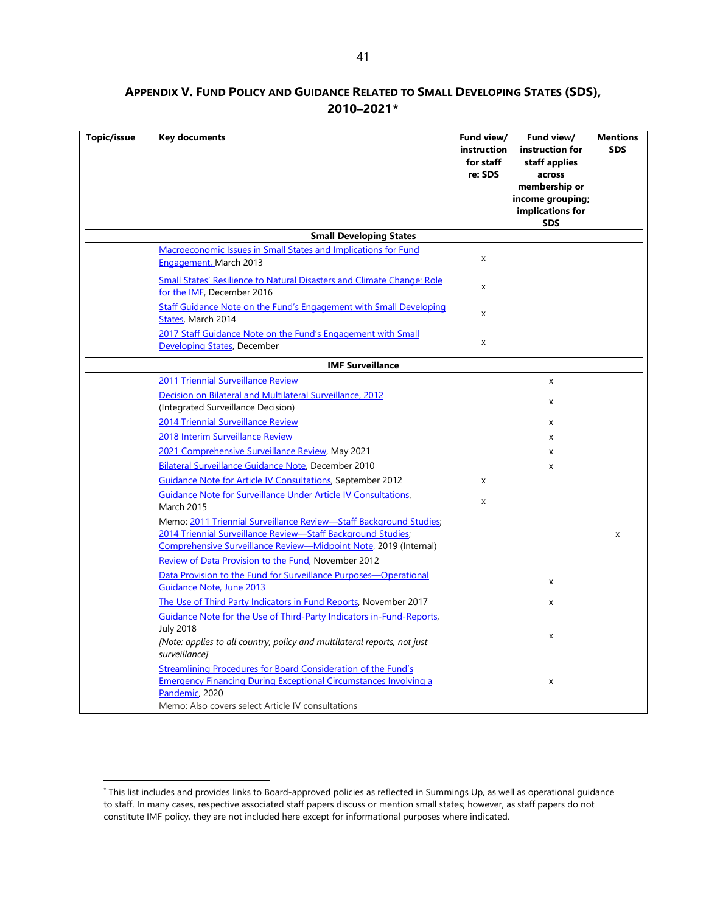# <span id="page-48-0"></span>**APPENDIX V. FUND POLICY AND GUIDANCE RELATED TO SMALL DEVELOPING STATES (SDS), 2010–2021[\\*](#page-48-1)**

| Topic/issue | <b>Key documents</b>                                                                                                                                                                                                                                          | Fund view/<br>instruction<br>for staff<br>re: SDS | Fund view/<br>instruction for<br>staff applies<br>across<br>membership or<br>income grouping;<br>implications for<br><b>SDS</b> | <b>Mentions</b><br><b>SDS</b> |
|-------------|---------------------------------------------------------------------------------------------------------------------------------------------------------------------------------------------------------------------------------------------------------------|---------------------------------------------------|---------------------------------------------------------------------------------------------------------------------------------|-------------------------------|
|             | <b>Small Developing States</b>                                                                                                                                                                                                                                |                                                   |                                                                                                                                 |                               |
|             | <b>Macroeconomic Issues in Small States and Implications for Fund</b><br>Engagement, March 2013                                                                                                                                                               | X                                                 |                                                                                                                                 |                               |
|             | <b>Small States' Resilience to Natural Disasters and Climate Change: Role</b><br>for the IME, December 2016                                                                                                                                                   | X                                                 |                                                                                                                                 |                               |
|             | Staff Guidance Note on the Fund's Engagement with Small Developing<br>States, March 2014                                                                                                                                                                      | X                                                 |                                                                                                                                 |                               |
|             | 2017 Staff Guidance Note on the Fund's Engagement with Small<br>Developing States, December                                                                                                                                                                   | X                                                 |                                                                                                                                 |                               |
|             | <b>IMF Surveillance</b>                                                                                                                                                                                                                                       |                                                   |                                                                                                                                 |                               |
|             | 2011 Triennial Surveillance Review                                                                                                                                                                                                                            |                                                   | x                                                                                                                               |                               |
|             | Decision on Bilateral and Multilateral Surveillance, 2012<br>(Integrated Surveillance Decision)                                                                                                                                                               |                                                   | X                                                                                                                               |                               |
|             | 2014 Triennial Surveillance Review                                                                                                                                                                                                                            |                                                   |                                                                                                                                 |                               |
|             | 2018 Interim Surveillance Review                                                                                                                                                                                                                              |                                                   | X<br>x                                                                                                                          |                               |
|             | 2021 Comprehensive Surveillance Review, May 2021                                                                                                                                                                                                              |                                                   | X                                                                                                                               |                               |
|             | Bilateral Surveillance Guidance Note, December 2010                                                                                                                                                                                                           |                                                   | X                                                                                                                               |                               |
|             | <b>Guidance Note for Article IV Consultations, September 2012</b>                                                                                                                                                                                             | X                                                 |                                                                                                                                 |                               |
|             | Guidance Note for Surveillance Under Article IV Consultations,                                                                                                                                                                                                |                                                   |                                                                                                                                 |                               |
|             | <b>March 2015</b>                                                                                                                                                                                                                                             | X                                                 |                                                                                                                                 |                               |
|             | Memo: 2011 Triennial Surveillance Review-Staff Background Studies;<br>2014 Triennial Surveillance Review-Staff Background Studies;<br>Comprehensive Surveillance Review-Midpoint Note, 2019 (Internal)<br>Review of Data Provision to the Fund, November 2012 |                                                   |                                                                                                                                 | X                             |
|             | Data Provision to the Fund for Surveillance Purposes-Operational<br>Guidance Note, June 2013                                                                                                                                                                  |                                                   | X                                                                                                                               |                               |
|             | The Use of Third Party Indicators in Fund Reports, November 2017                                                                                                                                                                                              |                                                   | X                                                                                                                               |                               |
|             | Guidance Note for the Use of Third-Party Indicators in-Fund-Reports,                                                                                                                                                                                          |                                                   |                                                                                                                                 |                               |
|             | <b>July 2018</b><br>[Note: applies to all country, policy and multilateral reports, not just<br>surveillance]                                                                                                                                                 |                                                   | X                                                                                                                               |                               |
|             | <b>Streamlining Procedures for Board Consideration of the Fund's</b><br><b>Emergency Financing During Exceptional Circumstances Involving a</b><br>Pandemic, 2020<br>Memo: Also covers select Article IV consultations                                        |                                                   | x                                                                                                                               |                               |

<span id="page-48-1"></span><sup>\*</sup> This list includes and provides links to Board-approved policies as reflected in Summings Up, as well as operational guidance to staff. In many cases, respective associated staff papers discuss or mention small states; however, as staff papers do not constitute IMF policy, they are not included here except for informational purposes where indicated.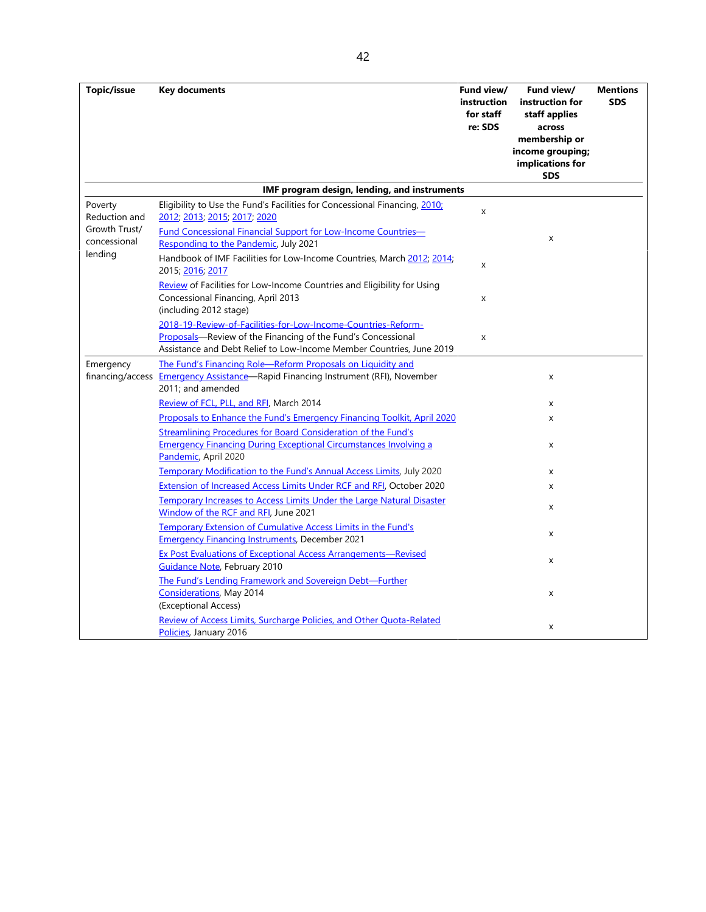| Topic/issue                               | <b>Key documents</b>                                                                                                                                                                                  | Fund view/<br>instruction<br>for staff | Fund view/<br>instruction for<br>staff applies                                | <b>Mentions</b><br><b>SDS</b> |
|-------------------------------------------|-------------------------------------------------------------------------------------------------------------------------------------------------------------------------------------------------------|----------------------------------------|-------------------------------------------------------------------------------|-------------------------------|
|                                           |                                                                                                                                                                                                       | re: SDS                                | across<br>membership or<br>income grouping;<br>implications for<br><b>SDS</b> |                               |
|                                           | IMF program design, lending, and instruments                                                                                                                                                          |                                        |                                                                               |                               |
| Poverty<br>Reduction and<br>Growth Trust/ | Eligibility to Use the Fund's Facilities for Concessional Financing, 2010;<br>2012, 2013, 2015, 2017, 2020<br><b>Fund Concessional Financial Support for Low-Income Countries-</b>                    | X                                      |                                                                               |                               |
| concessional                              | Responding to the Pandemic, July 2021                                                                                                                                                                 |                                        | x                                                                             |                               |
| lending                                   | Handbook of IMF Facilities for Low-Income Countries, March 2012; 2014;<br>2015; 2016; 2017                                                                                                            | X                                      |                                                                               |                               |
|                                           | Review of Facilities for Low-Income Countries and Eligibility for Using<br>Concessional Financing, April 2013<br>(including 2012 stage)                                                               | x                                      |                                                                               |                               |
|                                           | 2018-19-Review-of-Facilities-for-Low-Income-Countries-Reform-<br>Proposals-Review of the Financing of the Fund's Concessional<br>Assistance and Debt Relief to Low-Income Member Countries, June 2019 | X                                      |                                                                               |                               |
| Emergency<br>financing/access             | The Fund's Financing Role-Reform Proposals on Liquidity and<br><b>Emergency Assistance-Rapid Financing Instrument (RFI), November</b><br>2011; and amended                                            |                                        | X                                                                             |                               |
|                                           | Review of FCL, PLL, and RFI, March 2014                                                                                                                                                               |                                        | x                                                                             |                               |
|                                           | Proposals to Enhance the Fund's Emergency Financing Toolkit, April 2020                                                                                                                               |                                        | X                                                                             |                               |
|                                           | <b>Streamlining Procedures for Board Consideration of the Fund's</b><br><b>Emergency Financing During Exceptional Circumstances Involving a</b><br>Pandemic, April 2020                               |                                        | X                                                                             |                               |
|                                           | Temporary Modification to the Fund's Annual Access Limits, July 2020                                                                                                                                  |                                        | X                                                                             |                               |
|                                           | <b>Extension of Increased Access Limits Under RCF and RFI, October 2020</b>                                                                                                                           |                                        | X                                                                             |                               |
|                                           | <b>Temporary Increases to Access Limits Under the Large Natural Disaster</b><br>Window of the RCF and RFI, June 2021                                                                                  |                                        | X                                                                             |                               |
|                                           | Temporary Extension of Cumulative Access Limits in the Fund's<br><b>Emergency Financing Instruments, December 2021</b>                                                                                |                                        | x                                                                             |                               |
|                                           | <b>Ex Post Evaluations of Exceptional Access Arrangements-Revised</b><br><b>Guidance Note</b> , February 2010                                                                                         |                                        | X                                                                             |                               |
|                                           | The Fund's Lending Framework and Sovereign Debt-Further<br><b>Considerations</b> , May 2014<br>(Exceptional Access)                                                                                   |                                        | x                                                                             |                               |
|                                           | Review of Access Limits, Surcharge Policies, and Other Quota-Related<br>Policies, January 2016                                                                                                        |                                        | x                                                                             |                               |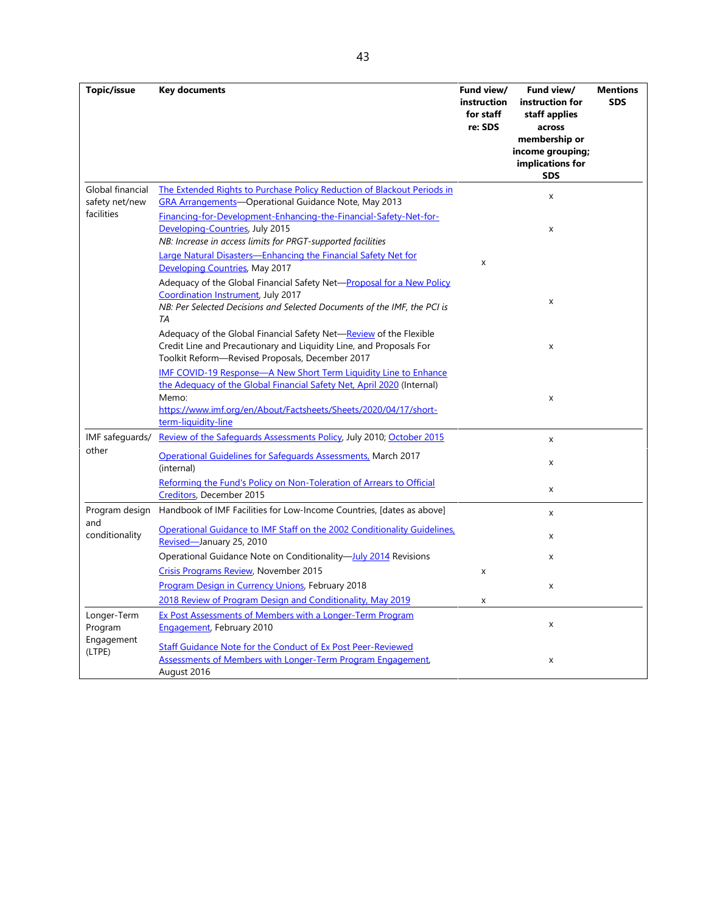| Topic/issue                                    | <b>Key documents</b>                                                                                                                                                                    | Fund view/  | Fund view/              | <b>Mentions</b> |
|------------------------------------------------|-----------------------------------------------------------------------------------------------------------------------------------------------------------------------------------------|-------------|-------------------------|-----------------|
|                                                |                                                                                                                                                                                         | instruction | instruction for         | <b>SDS</b>      |
|                                                |                                                                                                                                                                                         | for staff   | staff applies           |                 |
|                                                |                                                                                                                                                                                         | re: SDS     | across<br>membership or |                 |
|                                                |                                                                                                                                                                                         |             | income grouping;        |                 |
|                                                |                                                                                                                                                                                         |             | implications for        |                 |
|                                                |                                                                                                                                                                                         |             | <b>SDS</b>              |                 |
| Global financial<br>safety net/new             | The Extended Rights to Purchase Policy Reduction of Blackout Periods in<br><b>GRA Arrangements-Operational Guidance Note, May 2013</b>                                                  |             | X                       |                 |
| facilities                                     | Financing-for-Development-Enhancing-the-Financial-Safety-Net-for-<br>Developing-Countries, July 2015                                                                                    |             | X                       |                 |
|                                                | NB: Increase in access limits for PRGT-supported facilities                                                                                                                             |             |                         |                 |
|                                                | Large Natural Disasters-Enhancing the Financial Safety Net for<br>Developing Countries, May 2017                                                                                        | X           |                         |                 |
|                                                | Adequacy of the Global Financial Safety Net-Proposal for a New Policy<br>Coordination Instrument, July 2017<br>NB: Per Selected Decisions and Selected Documents of the IMF, the PCI is |             | X                       |                 |
|                                                | TA<br>Adequacy of the Global Financial Safety Net-Review of the Flexible                                                                                                                |             |                         |                 |
|                                                | Credit Line and Precautionary and Liquidity Line, and Proposals For<br>Toolkit Reform-Revised Proposals, December 2017                                                                  |             | X                       |                 |
|                                                | IMF COVID-19 Response-A New Short Term Liquidity Line to Enhance<br>the Adequacy of the Global Financial Safety Net, April 2020 (Internal)<br>Memo:                                     |             | x                       |                 |
|                                                | https://www.imf.org/en/About/Factsheets/Sheets/2020/04/17/short-<br>term-liquidity-line                                                                                                 |             |                         |                 |
| IMF safequards/                                | Review of the Safeguards Assessments Policy, July 2010; October 2015                                                                                                                    |             | X                       |                 |
| other                                          | <b>Operational Guidelines for Safeguards Assessments, March 2017</b><br>(internal)                                                                                                      |             | x                       |                 |
|                                                | Reforming the Fund's Policy on Non-Toleration of Arrears to Official<br>Creditors, December 2015                                                                                        |             | x                       |                 |
| Program design<br>and                          | Handbook of IMF Facilities for Low-Income Countries, [dates as above]                                                                                                                   |             | x                       |                 |
| conditionality                                 | <b>Operational Guidance to IMF Staff on the 2002 Conditionality Guidelines.</b><br>Revised-January 25, 2010                                                                             |             | X                       |                 |
|                                                | Operational Guidance Note on Conditionality-July 2014 Revisions                                                                                                                         |             | X                       |                 |
|                                                | <b>Crisis Programs Review, November 2015</b>                                                                                                                                            | X           |                         |                 |
|                                                | Program Design in Currency Unions, February 2018                                                                                                                                        |             | X                       |                 |
|                                                | 2018 Review of Program Design and Conditionality, May 2019                                                                                                                              | X           |                         |                 |
| Longer-Term<br>Program<br>Engagement<br>(LTPE) | Ex Post Assessments of Members with a Longer-Term Program<br><b>Engagement</b> , February 2010                                                                                          |             | X                       |                 |
|                                                | <b>Staff Guidance Note for the Conduct of Ex Post Peer-Reviewed</b><br>Assessments of Members with Longer-Term Program Engagement,<br>August 2016                                       |             | X                       |                 |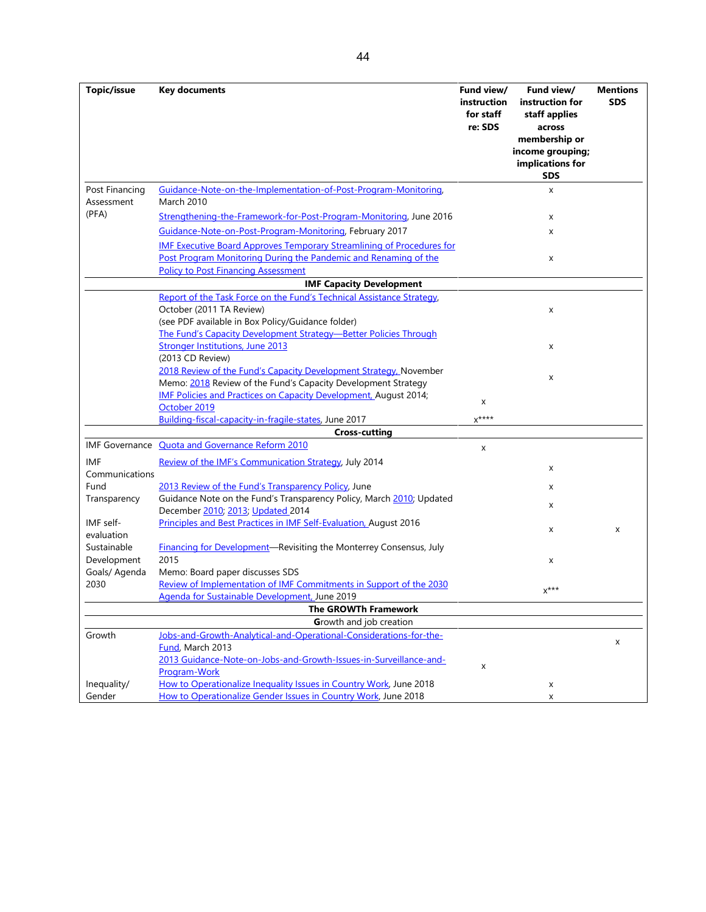**Topic/issue Key documents Fund view/ instruction for staff re: SDS Fund view/ instruction for staff applies across membership or income grouping; implications for SDS Mentions SDS** Post Financing Assessment (PFA) [Guidance-Note-on-the-Implementation-of-Post-Program-Monitoring,](https://www.imf.org/en/Publications/Policy-Papers/Issues/2016/12/31/Guidance-Note-on-the-Implementation-of-Post-Program-Monitoring-PP4465)  March 2010 x [Strengthening-the-Framework-for-Post-Program-Monitoring,](https://www.imf.org/en/News/Articles/2016/07/22/16/30/PR16354-Strengthening-the-Framework-for-Post-Program-Monitoring) June 2016 x [Guidance-Note-on-Post-Program-Monitoring,](https://www.imf.org/en/Publications/Policy-Papers/Issues/2017/03/02/Guidance-Note-on-Post-Program-Monitoring) February 2017 x [IMF Executive Board Approves Temporary Streamlining of Procedures for](https://www.imf.org/en/News/Articles/2021/05/14/pr21131-exec-board-approves-temp-streamline-procedure-ppm-pandemic-rename-policy-post-finance-assess)  Post Program Monitoring [During the Pandemic and Renaming of the](https://www.imf.org/en/News/Articles/2021/05/14/pr21131-exec-board-approves-temp-streamline-procedure-ppm-pandemic-rename-policy-post-finance-assess)  [Policy to Post Financing Assessment](https://www.imf.org/en/News/Articles/2021/05/14/pr21131-exec-board-approves-temp-streamline-procedure-ppm-pandemic-rename-policy-post-finance-assess) x **IMF Capacity Development** [Report of the Task Force on the Fund's Technical Assistance Strategy,](https://www.imf.org/en/Publications/Policy-Papers/Issues/2016/12/31/Report-of-the-Task-Force-on-the-Fund-s-Technical-Assistance-Strategy-PP4780) October (2011 TA Review) (see PDF available in Box Policy/Guidance folder) x [The Fund's Capacity Development Strategy—Better Policies Through](https://www.imf.org/en/News/Articles%20%20%20The%20Fund)  [Stronger Institutions,](https://www.imf.org/en/News/Articles%20%20%20The%20Fund) June 2013 (2013 CD Review) x [2018 Review of the Fund's Capacity Development Strategy, N](https://www.imf.org/en/News/Articles/2018/11/20/pr18434-imf-executive-board-concludes-)ovember **EXAMPLE TO THE FUND SUPPLIFY DEVELOPMENT STRATEGY.**<br>Memo: <u>2018</u> Review of the Fund's Capacity Development Strategy [IMF Policies and Practices on Capacity Development, August 2014;](https://www.imf.org/en/Publications/Policy-Papers/Issues/2016/12/31/IMF-Policies-and-Practices-on-Capacity-Development-PP4891)  <u>INTERNATIONAL BIRDING OF Capacity Development</u>, August 2014,<br>[October 2019](https://www.imf.org/en/Publications/Policy-Papers/Issues/2016/12/31/IMF-Policies-and-Practices-on-Capacity-Development-PP4891) [Building-fiscal-capacity-in-fragile-states,](https://www.imf.org/en/News/Articles/2017/06/14/pr17221-imf-executive-board-discusses-building-fiscal-capacity-in-fragile-states) June 2017 **Cross-cutting** IMF Governance Quota and Governance Reform 2010 IMF Communications [Review of the IMF's Communication Strategy,](https://www.imf.org/%7E/media/Websites/IMF/Imported/external/np/pp/eng/2014/_063014pdf.ashx) July 2014 Fund Transparency [2013 Review of the Fund's Transparency Policy,](https://www.imf.org/en/News/Articles/2015/09/14/01/49/pr13270) June x Guidance Note on the Fund's Transparency Policy, March [2010;](https://www.imf.org/en/Publications/Policy-Papers/Issues/2016/12/31/Guidance-Note-on-the-Funds-Transparency-Policy-PP4433) Updated Decembe[r 2010;](https://www.imf.org/%7E/media/Websites/IMF/imported-full-text-pdf/external/np/pp/eng/2010/_032510.ashx) [2013;](https://www.imf.org/en/Publications/Policy-Papers/Issues/2016/12/31/Guidance-Note-on-the-Fund-s-Transparency-Policy-PP4835) [Updated 2](https://www.imf.org/en/Publications/Policy-Papers/Issues/2016/12/31/Updated-Guidance-Note-on-the-Funds-Transparency-Policy-PP4861)014 IMF selfevaluation [Principles and Best Practices in IMF Self-Evaluation, A](http://edms.imf.org/cyberdocs/Viewdocument.asp?doc=6096307&lib=DMSDR1S)ugust 2016 <br>x x x x x Sustainable Development Goals/ Agenda 2030 [Financing for Development—Revisiting the Monterrey Consensus, J](https://www.imf.org/en/News/Articles/2015/09/14/01/49/pr15325)uly 2015 Memo: Board paper discusses SDS x [Review of Implementation of IMF Commitments in Support of the 2030](https://www.imf.org/en/News/Articles/2019/06/03/pr19194-imf-executive-board-reviews-implementation-commit-support-2030-agenda-sustain-develop)  Review of implementation of live Commitments in Support of the 2050<br>[Agenda for Sustainable Development, J](https://www.imf.org/en/News/Articles/2019/06/03/pr19194-imf-executive-board-reviews-implementation-commit-support-2030-agenda-sustain-develop)une 2019 **The GROWTh Framework G**rowth and job creation Growth [Jobs-and-Growth-Analytical-and-Operational-Considerations-for-the-](https://www.imf.org/en/Publications/Policy-Papers/Issues/2016/12/31/Jobs-and-Growth-Analytical-and-Operational-Considerations-for-the-Fund-PP4750)<u>Fund</u>, March 2013 x [2013 Guidance-Note-on-Jobs-and-Growth-Issues-in-Surveillance-and-](https://www.imf.org/en/Publications/Policy-Papers/Issues/2016/12/31/Guidance-Note-on-Jobs-and-Growth-Issues-in-Surveillance-and-Program-Work-PP4814)<u>[Program-Work](https://www.imf.org/en/Publications/Policy-Papers/Issues/2016/12/31/Guidance-Note-on-Jobs-and-Growth-Issues-in-Surveillance-and-Program-Work-PP4814)</u> Work Controlled and Chowen issues in Survemented and Theorem 2017 Inequality/ [How to Operationalize Inequality Issues in Country Work,](https://www.imf.org/en/Publications/Policy-Papers/Issues/2018/06/13/pp060118howto-note-on-inequality) June 2018 x Gender [How to Operationalize Gender Issues in Country Work,](https://www.imf.org/en/Publications/Policy-Papers/Issues/2018/06/13/pp060118howto-note-on-gender) June 2018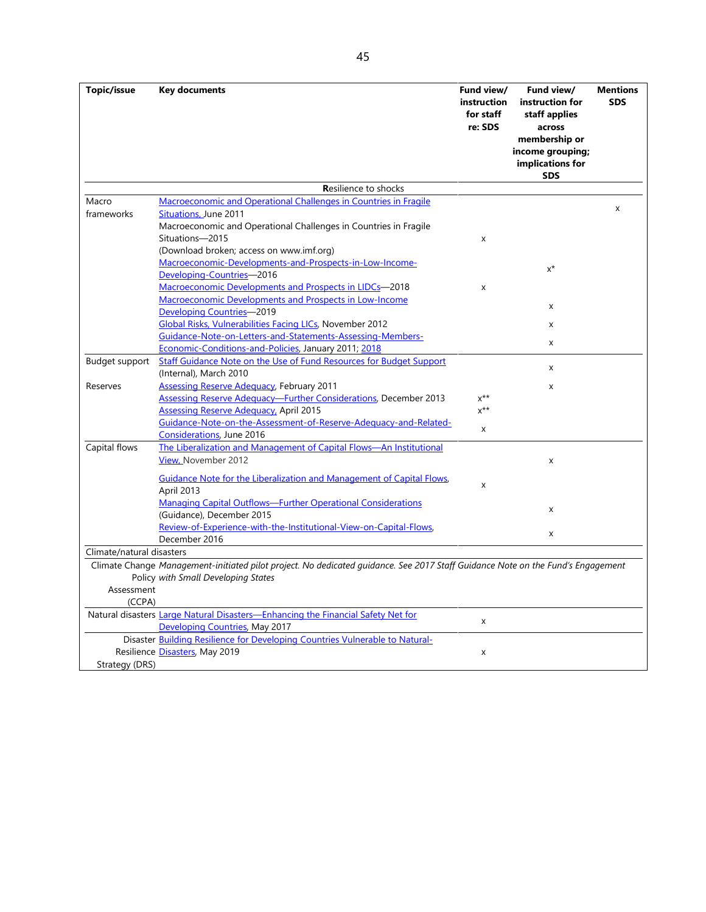| Topic/issue               | <b>Key documents</b>                                                                                                            | Fund view/<br>instruction<br>for staff<br>re: SDS | Fund view/<br>instruction for<br>staff applies<br>across            | <b>Mentions</b><br><b>SDS</b> |
|---------------------------|---------------------------------------------------------------------------------------------------------------------------------|---------------------------------------------------|---------------------------------------------------------------------|-------------------------------|
|                           |                                                                                                                                 |                                                   | membership or<br>income grouping;<br>implications for<br><b>SDS</b> |                               |
|                           | <b>Resilience to shocks</b>                                                                                                     |                                                   |                                                                     |                               |
| Macro                     | Macroeconomic and Operational Challenges in Countries in Fragile                                                                |                                                   |                                                                     | X                             |
| frameworks                | Situations, June 2011<br>Macroeconomic and Operational Challenges in Countries in Fragile<br>Situations-2015                    | X                                                 |                                                                     |                               |
|                           | (Download broken; access on www.imf.org)                                                                                        |                                                   |                                                                     |                               |
|                           | Macroeconomic-Developments-and-Prospects-in-Low-Income-                                                                         |                                                   |                                                                     |                               |
|                           | Developing-Countries-2016                                                                                                       |                                                   | $x^*$                                                               |                               |
|                           | Macroeconomic Developments and Prospects in LIDCs-2018                                                                          | X                                                 |                                                                     |                               |
|                           | Macroeconomic Developments and Prospects in Low-Income                                                                          |                                                   |                                                                     |                               |
|                           | Developing Countries-2019                                                                                                       |                                                   | X                                                                   |                               |
|                           | Global Risks, Vulnerabilities Facing LICs, November 2012                                                                        |                                                   | x                                                                   |                               |
|                           | Guidance-Note-on-Letters-and-Statements-Assessing-Members-                                                                      |                                                   |                                                                     |                               |
|                           | Economic-Conditions-and-Policies, January 2011; 2018                                                                            |                                                   | x                                                                   |                               |
| Budget support            | Staff Guidance Note on the Use of Fund Resources for Budget Support                                                             |                                                   |                                                                     |                               |
|                           | (Internal), March 2010                                                                                                          |                                                   | x                                                                   |                               |
| Reserves                  | <b>Assessing Reserve Adequacy, February 2011</b>                                                                                |                                                   | x                                                                   |                               |
|                           | Assessing Reserve Adequacy-Further Considerations, December 2013                                                                | $x^{**}$                                          |                                                                     |                               |
|                           | <b>Assessing Reserve Adequacy, April 2015</b>                                                                                   | $x^{**}$                                          |                                                                     |                               |
|                           | Guidance-Note-on-the-Assessment-of-Reserve-Adequacy-and-Related-                                                                |                                                   |                                                                     |                               |
|                           | Considerations, June 2016                                                                                                       | X                                                 |                                                                     |                               |
| Capital flows             | The Liberalization and Management of Capital Flows-An Institutional                                                             |                                                   |                                                                     |                               |
|                           | View, November 2012                                                                                                             |                                                   | x                                                                   |                               |
|                           | Guidance Note for the Liberalization and Management of Capital Flows,                                                           | X                                                 |                                                                     |                               |
|                           | April 2013                                                                                                                      |                                                   |                                                                     |                               |
|                           | <b>Managing Capital Outflows-Further Operational Considerations</b>                                                             |                                                   | x                                                                   |                               |
|                           | (Guidance), December 2015                                                                                                       |                                                   |                                                                     |                               |
|                           | Review-of-Experience-with-the-Institutional-View-on-Capital-Flows,                                                              |                                                   | X                                                                   |                               |
|                           | December 2016                                                                                                                   |                                                   |                                                                     |                               |
| Climate/natural disasters |                                                                                                                                 |                                                   |                                                                     |                               |
|                           | Climate Change Management-initiated pilot project. No dedicated guidance. See 2017 Staff Guidance Note on the Fund's Engagement |                                                   |                                                                     |                               |
|                           | Policy with Small Developing States                                                                                             |                                                   |                                                                     |                               |
| Assessment                |                                                                                                                                 |                                                   |                                                                     |                               |
| (CCPA)                    |                                                                                                                                 |                                                   |                                                                     |                               |
|                           | Natural disasters Large Natural Disasters-Enhancing the Financial Safety Net for                                                | X                                                 |                                                                     |                               |
|                           | Developing Countries, May 2017                                                                                                  |                                                   |                                                                     |                               |
|                           | Disaster Building Resilience for Developing Countries Vulnerable to Natural-                                                    |                                                   |                                                                     |                               |
|                           | Resilience Disasters, May 2019                                                                                                  | X                                                 |                                                                     |                               |
| Strategy (DRS)            |                                                                                                                                 |                                                   |                                                                     |                               |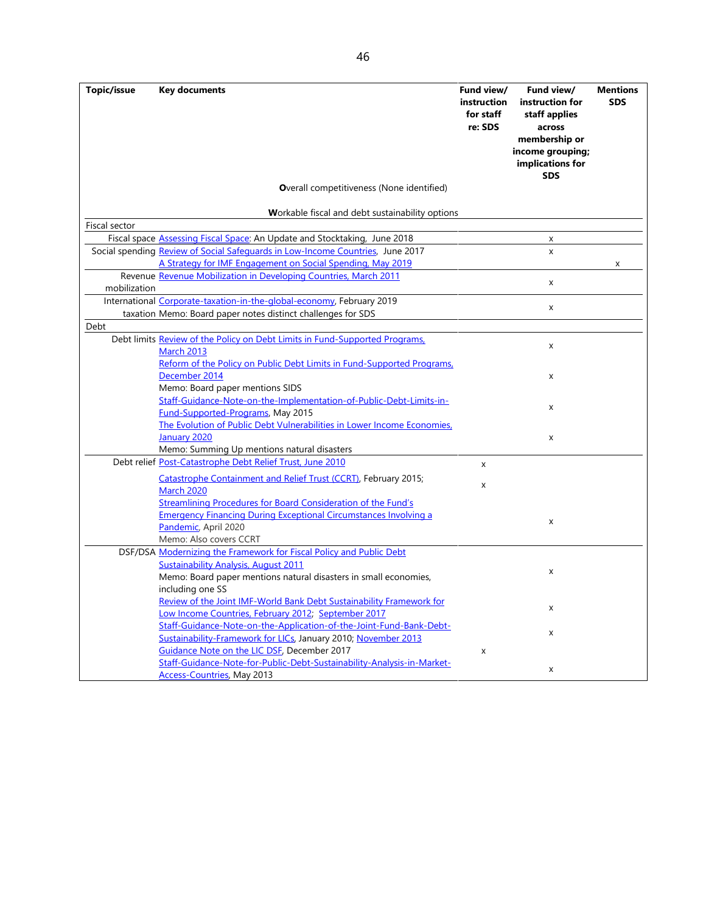**Topic/issue Key documents Fund view/ instruction for staff re: SDS Fund view/ instruction for staff applies across membership or income grouping; implications for SDS Mentions SDS O**verall competitiveness (None identified) **W**orkable fiscal and debt sustainability options Fiscal sector Fiscal space [Assessing Fiscal Space:](https://www.imf.org/en/News/Articles/2018/06/26/pr18260imf-board-takes-stock-of-work-on-fiscal-space) An Update and Stocktaking, June 2018 **x** x Social spending **Review of Social Safeguards in Low-Income Countries**, June 2017 x [A Strategy for IMF Engagement on Social Spending,](https://www.imf.org/en/News/Articles/2019/06/13/pr19217-imf-executive-board-supports-new-strategy-for-engagement-on-social-spending) May 2019 Revenue <u>[Revenue Mobilization in Developing Countries, March 2011](https://www.imf.org/en/News/Articles/2015/09/28/04/53/pn1136)</u><br>-<sup>:11</sup>--\*iere mobilization International [Corporate-taxation-in-the-global-economy,](https://www.imf.org/en/News/Articles/2019/03/08/pr1969-imf-executive-board-reviews-corporate-taxation-in-the-global-economy) February 2019 taxation Memo: Board paper notes distinct challenges for SDS x Debt Debt limits [Review of the Policy on Debt Limits in Fund-Supported Programs,](https://www.imf.org/en/News/Articles/2015/09/28/04/53/pn1343)  <u>[March 2013](https://www.imf.org/en/News/Articles/2015/09/28/04/53/pn1343)</u><br>March 2013 [Reform of the Policy on Public Debt Limits in Fund-Supported Programs,](https://www.imf.org/en/News/Articles/2015/09/14/01/49/pr14591)  [December 2014](https://www.imf.org/en/News/Articles/2015/09/14/01/49/pr14591) Memo: Board paper mentions SIDS x [Staff-Guidance-Note-on-the-Implementation-of-Public-Debt-Limits-in-](https://www.imf.org/en/Publications/Policy-Papers/Issues/2016/12/31/Staff-Guidance-Note-on-the-Implementation-of-Public-Debt-Limits-in-Fund-Supported-Programs-PP4960)<u>Fund-Supported-Programs</u>, May 2015<br>
<u>Fund-Supported-Programs</u>, May 2015 [The Evolution of Public Debt Vulnerabilities in Lower Income Economies,](https://www.imf.org/en/News/Articles/2020/02/05/pr2033-imf-executive-board-discusses-evolution-public-debt-vulnerabilities-lower-income-economies)  [January 2020](https://www.imf.org/en/News/Articles/2020/02/05/pr2033-imf-executive-board-discusses-evolution-public-debt-vulnerabilities-lower-income-economies) Memo: Summing Up mentions natural disasters x Debt relief [Post-Catastrophe Debt Relief](https://www.imf.org/en/News/Articles/2015/09/28/04/53/pn1092) Trust, June 2010 [Catastrophe Containment and Relief Trust \(CCRT\), February 2015;](https://www.imf.org/external/np/sec/pr/2015/pr1553.htm)  [March 2020](https://www.imf.org/en/News/Articles/2020/04/16/pr20165-board-approves-immediate-debt-service-relief-for-25-eligible-low-income-countries) <sup>x</sup> [Streamlining Procedures for Board Consideration of the Fund's](https://www.imf.org/en/Publications/Policy-Papers/Issues/2020/04/09/Streamlining-Procedures-for-Board-Consideration-of-The-Funds-Emergency-Financing-During-49322)  [Emergency Financing During Exceptional Circumstances Involving a](https://www.imf.org/en/Publications/Policy-Papers/Issues/2020/04/09/Streamlining-Procedures-for-Board-Consideration-of-The-Funds-Emergency-Financing-During-49322)  [Pandemic,](https://www.imf.org/en/Publications/Policy-Papers/Issues/2020/04/09/Streamlining-Procedures-for-Board-Consideration-of-The-Funds-Emergency-Financing-During-49322) April 2020 Memo: Also covers CCRT x DSF/DSA [Modernizing the Framework for Fiscal Policy and Public Debt](https://www.imf.org/en/News/Articles/2015/09/28/04/53/pn11118)  [Sustainability Analysis, August 2011](https://www.imf.org/en/News/Articles/2015/09/28/04/53/pn11118) Memo: Board paper mentions natural disasters in small economies, including one SS x [Review of the Joint IMF-World Bank Debt Sustainability Framework for](https://www.imf.org/en/News/Articles/2015/09/28/04/53/pn1217)  <u>Low Income Countries, February 2012</u>; September 2017<br>[Low Income Countries, February 2012;](https://www.imf.org/en/News/Articles/2015/09/28/04/53/pn1217) [September 2017](https://www.imf.org/en/News/Articles/2017/10/02/pr17380-imf-executive-board-reviews-the-joint-imf-world-bank-debt-sustainability-framework-for-lics) [Staff-Guidance-Note-on-the-Application-of-the-Joint-Fund-Bank-Debt-](https://www.imf.org/en/Publications/Policy-Papers/Issues/2016/12/31/Staff-Guidance-Note-on-the-Application-of-the-Joint-Fund-Bank-Debt-Sustainability-Framework-PP4419)[Sustainability-Framework for LICs,](https://www.imf.org/en/Publications/Policy-Papers/Issues/2016/12/31/Staff-Guidance-Note-on-the-Application-of-the-Joint-Fund-Bank-Debt-Sustainability-Framework-PP4419) January 2010; November 2013 [Guidance Note on the LIC DSF,](https://www.imf.org/en/Publications/Policy-Papers/Issues/2018/02/14/pp122617Guidance%20Note%20on%20the%20LIC%20lf) December 2017 [Staff-Guidance-Note-for-Public-Debt-Sustainability-Analysis-in-Market-](https://www.imf.org/en/Publications/Policy-Papers/Issues/2016/12/31/Staff-Guidance-Note-for-Public-Debt-Sustainability-Analysis-in-Market-Access-Countries-PP4771)[Access-Countries,](https://www.imf.org/en/Publications/Policy-Papers/Issues/2016/12/31/Staff-Guidance-Note-for-Public-Debt-Sustainability-Analysis-in-Market-Access-Countries-PP4771) May 2013 <sup>x</sup>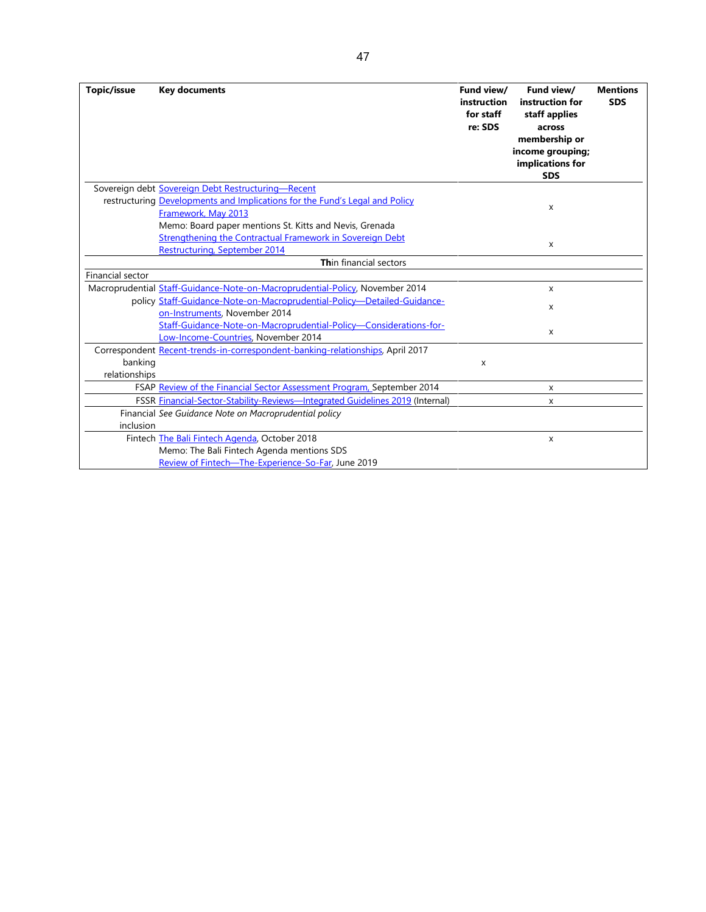| Topic/issue      | <b>Key documents</b>                                                           | Fund view/<br>instruction<br>for staff<br>re: SDS | Fund view/<br>instruction for<br>staff applies<br>across<br>membership or<br>income grouping;<br>implications for<br><b>SDS</b> | <b>Mentions</b><br><b>SDS</b> |
|------------------|--------------------------------------------------------------------------------|---------------------------------------------------|---------------------------------------------------------------------------------------------------------------------------------|-------------------------------|
|                  | Sovereign debt Sovereign Debt Restructuring-Recent                             |                                                   |                                                                                                                                 |                               |
|                  | restructuring Developments and Implications for the Fund's Legal and Policy    |                                                   |                                                                                                                                 |                               |
|                  | Framework, May 2013                                                            |                                                   | X                                                                                                                               |                               |
|                  | Memo: Board paper mentions St. Kitts and Nevis, Grenada                        |                                                   |                                                                                                                                 |                               |
|                  | Strengthening the Contractual Framework in Sovereign Debt                      |                                                   | X                                                                                                                               |                               |
|                  | Restructuring, September 2014                                                  |                                                   |                                                                                                                                 |                               |
|                  | Thin financial sectors                                                         |                                                   |                                                                                                                                 |                               |
| Financial sector |                                                                                |                                                   |                                                                                                                                 |                               |
|                  | Macroprudential Staff-Guidance-Note-on-Macroprudential-Policy, November 2014   |                                                   | X                                                                                                                               |                               |
|                  | policy Staff-Guidance-Note-on-Macroprudential-Policy-Detailed-Guidance-        |                                                   | x                                                                                                                               |                               |
|                  | on-Instruments, November 2014                                                  |                                                   |                                                                                                                                 |                               |
|                  | Staff-Guidance-Note-on-Macroprudential-Policy-Considerations-for-              |                                                   | X                                                                                                                               |                               |
|                  | Low-Income-Countries, November 2014                                            |                                                   |                                                                                                                                 |                               |
|                  | Correspondent Recent-trends-in-correspondent-banking-relationships, April 2017 |                                                   |                                                                                                                                 |                               |
| banking          |                                                                                | X                                                 |                                                                                                                                 |                               |
| relationships    |                                                                                |                                                   |                                                                                                                                 |                               |
|                  | FSAP Review of the Financial Sector Assessment Program, September 2014         |                                                   | x                                                                                                                               |                               |
|                  | FSSR Financial-Sector-Stability-Reviews-Integrated Guidelines 2019 (Internal)  |                                                   | X                                                                                                                               |                               |
|                  | Financial See Guidance Note on Macroprudential policy                          |                                                   |                                                                                                                                 |                               |
| inclusion        |                                                                                |                                                   |                                                                                                                                 |                               |
|                  | Fintech The Bali Fintech Agenda, October 2018                                  |                                                   | X                                                                                                                               |                               |
|                  | Memo: The Bali Fintech Agenda mentions SDS                                     |                                                   |                                                                                                                                 |                               |
|                  | Review of Fintech-The-Experience-So-Far, June 2019                             |                                                   |                                                                                                                                 |                               |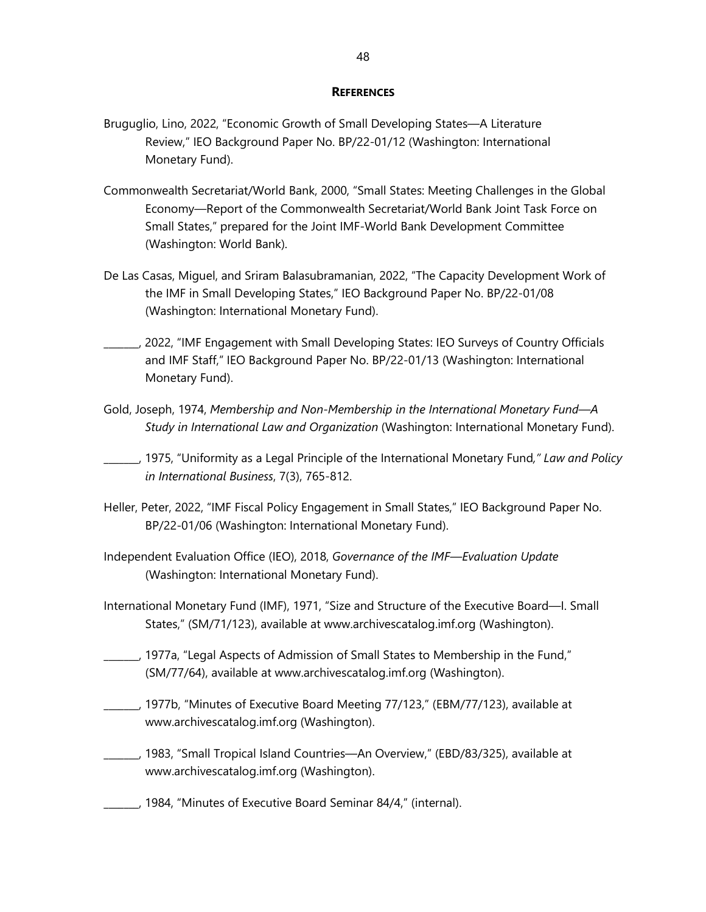#### **REFERENCES**

- <span id="page-55-0"></span>Bruguglio, Lino, 2022, "Economic Growth of Small Developing States—A Literature Review," IEO Background Paper No. BP/22-01/12 (Washington: International Monetary Fund).
- Commonwealth Secretariat/World Bank, 2000, "Small States: Meeting Challenges in the Global Economy—Report of the Commonwealth Secretariat/World Bank Joint Task Force on Small States," prepared for the Joint IMF-World Bank Development Committee (Washington: World Bank).
- De Las Casas, Miguel, and Sriram Balasubramanian, 2022, "The Capacity Development Work of the IMF in Small Developing States," IEO Background Paper No. BP/22-01/08 (Washington: International Monetary Fund).
- \_\_\_\_\_\_\_, 2022, "IMF Engagement with Small Developing States: IEO Surveys of Country Officials and IMF Staff," IEO Background Paper No. BP/22-01/13 (Washington: International Monetary Fund).
- Gold, Joseph, 1974, *Membership and Non-Membership in the International Monetary Fund—A Study in International Law and Organization* (Washington: International Monetary Fund).
- \_\_\_\_\_\_\_, 1975, "Uniformity as a Legal Principle of the International Monetary Fund*," Law and Policy in International Business*, 7(3), 765-812.
- Heller, Peter, 2022, "IMF Fiscal Policy Engagement in Small States," IEO Background Paper No. BP/22-01/06 (Washington: International Monetary Fund).
- Independent Evaluation Office (IEO), 2018, *Governance of the IMF—Evaluation Update* (Washington: International Monetary Fund).
- International Monetary Fund (IMF), 1971, "Size and Structure of the Executive Board—I. Small States," (SM/71/123), available at [www.archivescatalog.imf.org](http://www.archivescatalog.imf.org/) (Washington).
- \_\_\_\_\_\_\_, 1977a, "Legal Aspects of Admission of Small States to Membership in the Fund," (SM/77/64), available at [www.archivescatalog.imf.org](http://www.archivescatalog.imf.org/) (Washington).
- \_\_\_\_\_\_\_, 1977b, "Minutes of Executive Board Meeting 77/123," (EBM/77/123), available at [www.archivescatalog.imf.org](http://www.archivescatalog.imf.org/) (Washington).
- \_\_\_\_\_\_\_, 1983, "Small Tropical Island Countries—An Overview," (EBD/83/325), available at [www.archivescatalog.imf.org](http://www.archivescatalog.imf.org/) (Washington).
- \_\_\_\_\_\_\_, 1984, "Minutes of Executive Board Seminar 84/4," (internal).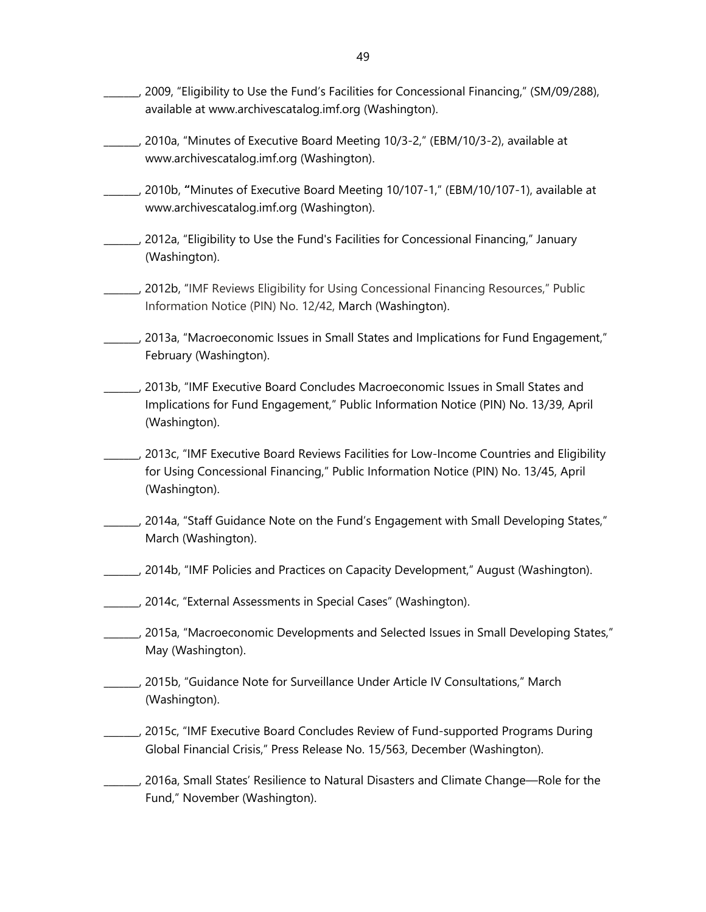- \_\_\_\_\_\_\_, 2009, "Eligibility to Use the Fund's Facilities for Concessional Financing," (SM/09/288), available at [www.archivescatalog.imf.org](http://www.archivescatalog.imf.org/) (Washington).
- \_\_\_\_\_\_\_, 2010a, "Minutes of Executive Board Meeting 10/3-2," (EBM/10/3-2), available at [www.archivescatalog.imf.org](http://www.archivescatalog.imf.org/) (Washington).
- \_\_\_\_\_\_\_, 2010b, **"**Minutes of Executive Board Meeting 10/107-1," (EBM/10/107-1), available at [www.archivescatalog.imf.org](http://www.archivescatalog.imf.org/) (Washington).
- \_\_\_\_\_\_\_, 2012a, "Eligibility to Use the Fund's Facilities for Concessional Financing," January (Washington).
- \_\_\_\_\_\_\_, 2012b, "IMF Reviews Eligibility for Using Concessional Financing Resources," Public Information Notice (PIN) No. 12/42, March (Washington).
- \_\_\_\_\_\_\_, 2013a, ["Macroeconomic Issues in Small States and Implications for Fund Engagement,"](https://www.imf.org/%7E/media/Websites/IMF/Imported/external/np/pp/eng/2013/_022013pdf.ashx) February (Washington).
- \_\_\_\_\_\_\_, 2013b, "IMF Executive Board Concludes [Macroeconomic Issues in Small States and](https://www.imf.org/en/News/Articles/2015/09/28/04/53/pn1339)  [Implications for Fund Engagement," P](https://www.imf.org/en/News/Articles/2015/09/28/04/53/pn1339)ublic Information Notice (PIN) No. 13/39, April (Washington).
- \_\_\_\_\_\_\_, 2013c, "IMF Executive Board Reviews Facilities for Low-Income Countries and Eligibility for Using Concessional Financing," Public Information Notice (PIN) No. 13/45, April (Washington).
- \_\_\_\_\_\_\_, 2014a, ["Staff Guidance Note on the Fund's Engagement with Small Developing States,"](https://www.imf.org/en/Publications/Policy-Papers/Issues/2016/12/31/Staff-Guidance-Note-on-the-Fund-s-Engagement-with-Small-Developing-States-PP4868) March (Washington).
- \_\_\_\_\_\_\_, 2014b, ["IMF Policies and Practices on Capacity Development," A](https://www.imf.org/en/Publications/Policy-Papers/Issues/2016/12/31/IMF-Policies-and-Practices-on-Capacity-Development-PP4891)ugust (Washington).
- \_\_\_\_\_\_\_, 2014c, "External Assessments in Special Cases" (Washington).
- \_\_\_\_\_\_\_, 2015a, "Macroeconomic Developments and Selected Issues in Small Developing States," May (Washington).
- \_\_\_\_\_\_\_, 2015b, ["Guidance Note for Surveillance Under Article IV Consultations,](https://www.imf.org/en/Publications/Policy-Papers/Issues/2016/12/31/Guidance-Note-for-Surveillance-Under-Article-IV-Consultations-PP4949)" March (Washington).
- \_\_\_\_\_\_\_, 2015c, "IMF Executive Board Concludes Review of Fund-supported Programs During Global Financial Crisis," Press Release No. 15/563, December (Washington).
- \_\_\_\_\_\_\_, 2016a, [Small States' Resilience to Natural Disasters and Climate Change—Role for the](http://www.imf.org/external/pp/longres.aspx?id=5079)  [Fund," N](http://www.imf.org/external/pp/longres.aspx?id=5079)ovember (Washington).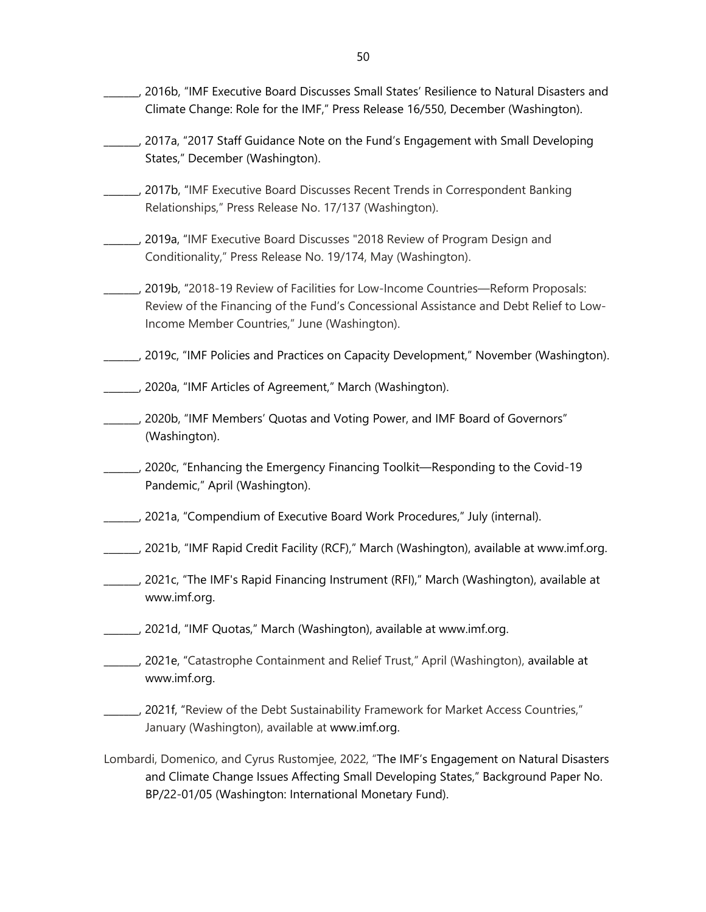- \_\_\_\_\_\_\_, 2016b, "IMF Executive Board Discusses [Small States' Resilience to Natural Disasters and](https://www.imf.org/en/News/Articles/2016/12/12/PR16550-IMF-Discusses-Small-States-Resilience-to-Natural-Disasters-and-Climate-Change-and-IMF-Role)  [Climate Change: Role for the IMF,](https://www.imf.org/en/News/Articles/2016/12/12/PR16550-IMF-Discusses-Small-States-Resilience-to-Natural-Disasters-and-Climate-Change-and-IMF-Role)" Press Release 16/550, December (Washington).
- \_\_\_\_\_\_\_, 2017a, ["2017 Staff Guidance Note on the Fund's Engagement with Small Developing](https://www.imf.org/%7E/media/Files/Publications/PP/2017/pp121117-2017-staff-guidance-note-on-the-fund-s-engagement-with-small-developing-states.ashx)  [States,](https://www.imf.org/%7E/media/Files/Publications/PP/2017/pp121117-2017-staff-guidance-note-on-the-fund-s-engagement-with-small-developing-states.ashx)" December (Washington).
- \_\_\_\_\_\_\_, 2017b, "IMF Executive Board Discusses Recent Trends in Correspondent Banking Relationships," Press Release No. 17/137 (Washington).
- \_\_\_\_\_\_\_, 2019a, "IMF Executive Board Discusses "2018 Review of Program Design and Conditionality," Press Release No. 19/174, May (Washington).
- \_\_\_\_\_\_\_, 2019b, "2018-19 Review of Facilities for Low-Income Countries—Reform Proposals: Review of the Financing of the Fund's Concessional Assistance and Debt Relief to Low-Income Member Countries," June (Washington).
- \_\_\_\_\_\_\_, 2019c, "IMF Policies and Practices on Capacity Development," November (Washington).
- \_\_\_\_\_\_\_, 2020a, "IMF Articles of Agreement," March (Washington).
- \_\_\_\_\_\_\_, 2020b, "IMF Members' [Quotas and Voting Power, and IMF Board of Governors"](https://www.imf.org/en/About/executive-board/members-quotas) (Washington).
- \_\_\_\_\_\_\_, 2020c, "Enhancing the Emergency Financing Toolkit—Responding to the Covid-19 Pandemic," April (Washington).
- \_\_\_\_\_\_\_, 2021a, "Compendium of Executive Board Work Procedures," July (internal).
- \_\_\_\_\_\_\_, 2021b, "IMF Rapid Credit Facility (RCF)," March (Washington), available at [www.imf.org.](http://www.imf.org/)
- \_\_\_\_\_\_\_, 2021c, "The IMF's Rapid Financing Instrument (RFI)," March (Washington), available at [www.imf.org.](http://www.imf.org/)
- \_\_\_\_\_\_\_, 2021d, "IMF Quotas," March (Washington), available a[t www.imf.org.](http://www.imf.org/)
- \_\_\_\_\_\_\_, 2021e, "Catastrophe Containment and Relief Trust," April (Washington), available at [www.imf.org.](http://www.imf.org/)
- \_\_\_\_\_\_\_, 2021f, "Review of the Debt Sustainability Framework for Market Access Countries," January (Washington), available at [www.imf.org.](http://www.imf.org/)
- Lombardi, Domenico, and Cyrus Rustomjee, 2022, "The IMF's Engagement on Natural Disasters and Climate Change Issues Affecting Small Developing States," Background Paper No. BP/22-01/05 (Washington: International Monetary Fund).